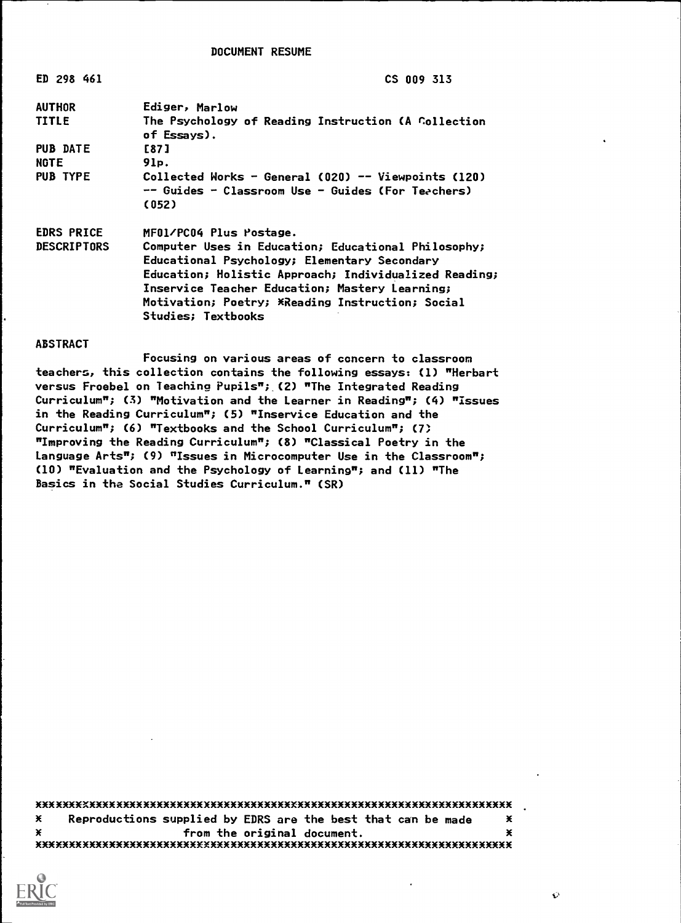DOCUMENT RESUME

| ED 298 461         | <b>CS 009 313</b>                                                  |
|--------------------|--------------------------------------------------------------------|
| AUTHOR             | Ediger, Marlow                                                     |
| TITLE              | The Psychology of Reading Instruction (A Collection<br>of Essays). |
| <b>PUB DATE</b>    | [87]                                                               |
| <b>NGTE</b>        | 91p.                                                               |
| <b>PUB TYPE</b>    | Collected Works - General (020) -- Viewpoints (120)                |
|                    | -- Guides - Classroom Use - Guides (For Teachers)                  |
|                    | (052)                                                              |
| <b>EDRS PRICE</b>  | MFO1/PCO4 Plus Postage.                                            |
| <b>DESCRIPTORS</b> | Computer Uses in Education; Educational Philosophy;                |
|                    | Educational Psychology; Elementary Secondary                       |
|                    | Education; Holistic Approach; Individualized Reading;              |
|                    | Inservice Teacher Education; Mastery Learning;                     |
|                    | Motivation; Poetry; XReading Instruction; Social                   |
|                    | <b>Studies; Textbooks</b>                                          |

#### ABSTRACT

Focusing on various areas of concern to classroom teachers, this collection contains the following essays: (1) "Herbart versus Froebel on Teaching Pupils"; (2) "The Integrated Reading Curriculum"; (3) "Motivation and the Learner in Reading"; (4) "Issues in the Reading Curriculum"; (5) "Inservice Education and the Curriculum"; (6) "Textbooks and the School Curriculum"; (7) "Improving the Reading Curriculum"; (8) "Classical Poetry in the Language Arts"; (9) "Issues in Microcomputer Use in the Classroom"; (10) "Evaluation and the Psychology of Learning"; and (11) "The Basics in the Social Studies Curriculum." (SR)

xxxxxxxxxxxxxxxxxxxxxxxxxxxxxxxxxxxxxxxxxxxxxxxxxxxxxxxxxxxxxxxxxxxxxxx  $*$  Reproductions supplied by EDRS are the best that can be made  $*$ X m and the original document. MMMMMMMMMMMMMMMMMMMMMMMMMXMMMMMMMMMMMMMMMMMMMMMMMMMMMMMMMMMMMMMMMMMMMMM



 $\ddot{\Omega}$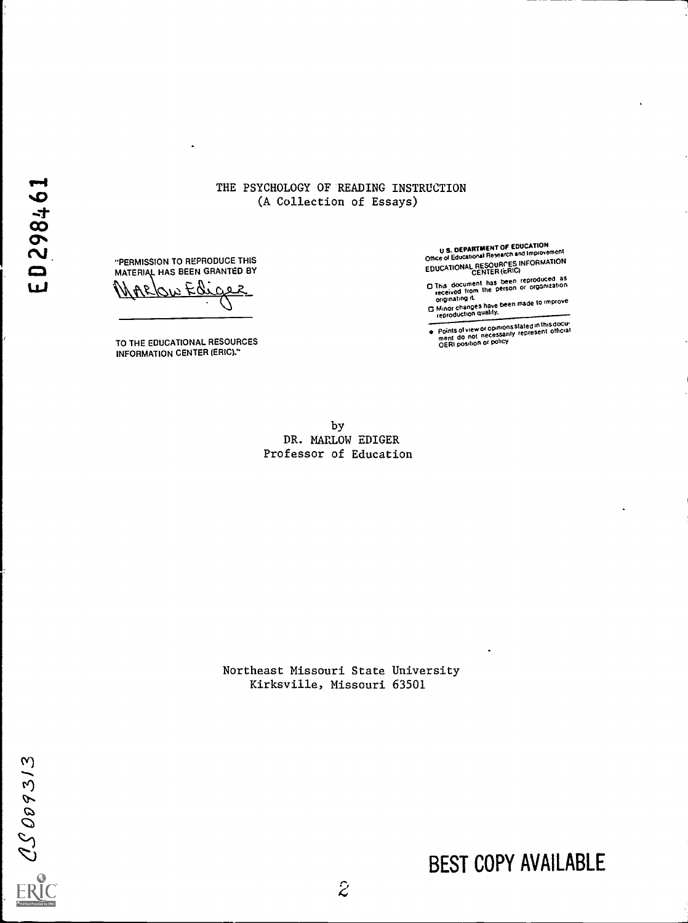### THE PSYCHOLOGY OF READING INSTRUCTION (A Collection of Essays)

"PERMISSION TO REPRODUCE THIS MATERIAL HAS BEEN GRANTED BY

 $EQ$  $\mathbf C$ جو

TO THE EDUCATIONAL RESOURCES INFORMATION CENTER (ERIC)."

U S. DEPARTMENT OF EDUCATION<br>Office of Educational Research and Improvement EDUCATIONAL RESOURCES INFORMATION

- 0 This document has been reproduced ationas received from the person or organiz originating it
- originating it.<br> **C** Minor changes have been made to improve<br>
reproduction quality,
- Points of view or opinions stated in this docu- Points of view of opinionally represent official OERI position or policy

by DR. MARLOW EDIGER Professor of Education

Northeast Missouri State University Kirksville, Missouri 63501

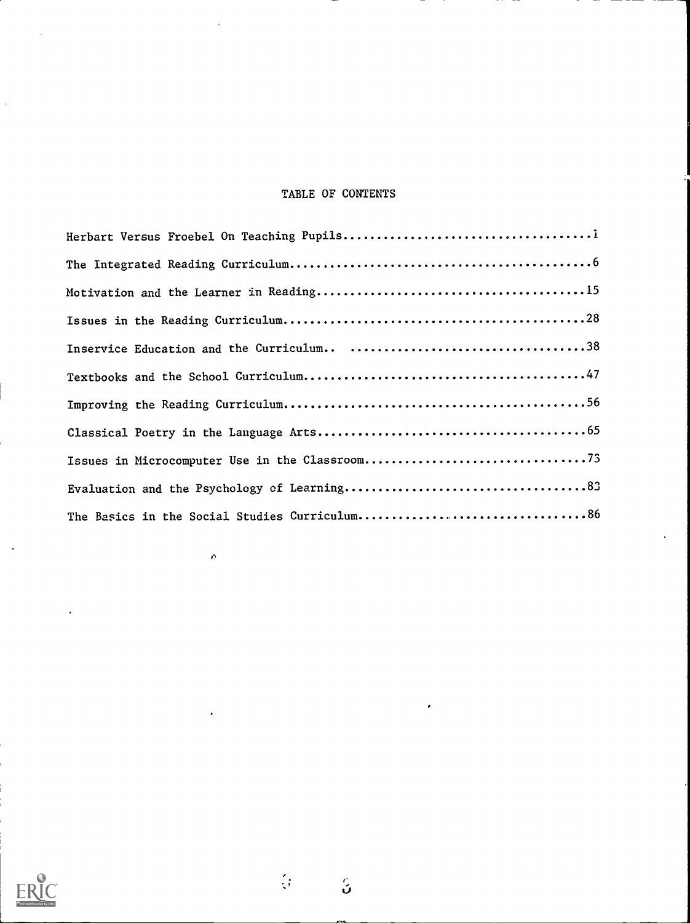# TABLE OF CONTENTS

 $\mathcal{C}$ 

 $\frac{\partial}{\partial t}$ 

 $\mathbb{S}^2$ 

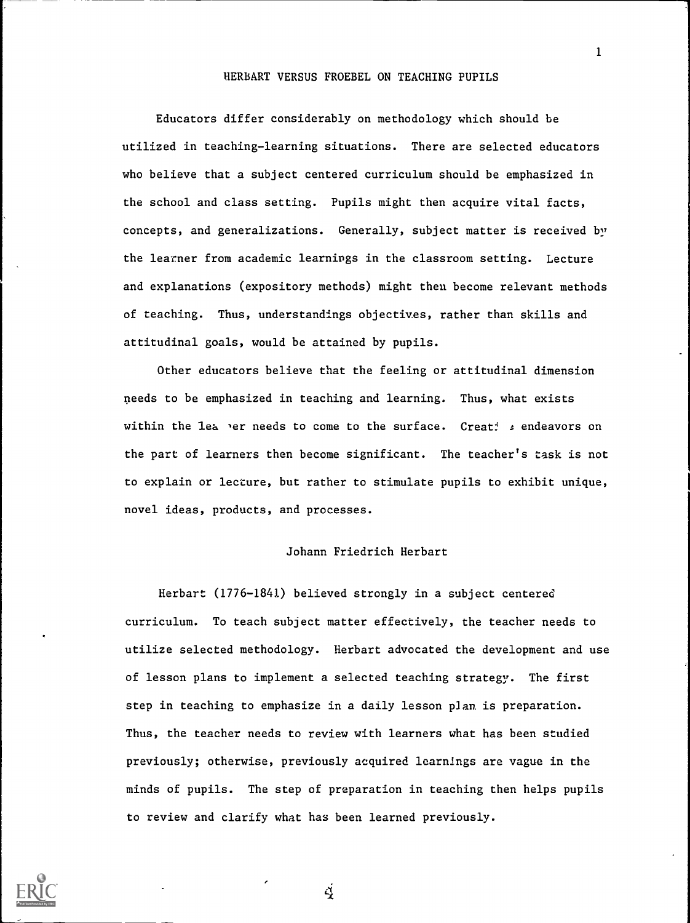### HERBART VERSUS FROEBEL ON TEACHING PUPILS

Educators differ considerably on methodology which should be utilized in teaching-learning situations. There are selected educators who believe that a subject centered curriculum should be emphasized in the school and class setting. Pupils might then acquire vital facts, concepts, and generalizations. Generally, subject matter is received by the learner from academic learnings in the classroom setting. Lecture and explanations (expository methods) might then become relevant methods of teaching. Thus, understandings objectives, rather than skills and attitudinal goals, would be attained by pupils.

Other educators believe that the feeling or attitudinal dimension needs to be emphasized in teaching and learning. Thus, what exists within the lea er needs to come to the surface. Creati : endeavors on the part of learners then become significant. The teacher's task is not to explain or lecture, but rather to stimulate pupils to exhibit unique, novel ideas, products, and processes.

#### Johann Friedrich Herbart

Herbart (1776-1841) believed strongly in a subject centered curriculum. To teach subject matter effectively, the teacher needs to utilize selected methodology. Herbart advocated the development and use of lesson plans to implement a selected teaching strategy. The first step in teaching to emphasize in a daily lesson plan is preparation. Thus, the teacher needs to review with learners what has been studied previously; otherwise, previously acquired learnings are vague in the minds of pupils. The step of preparation in teaching then helps pupils to review and clarify what has been learned previously.

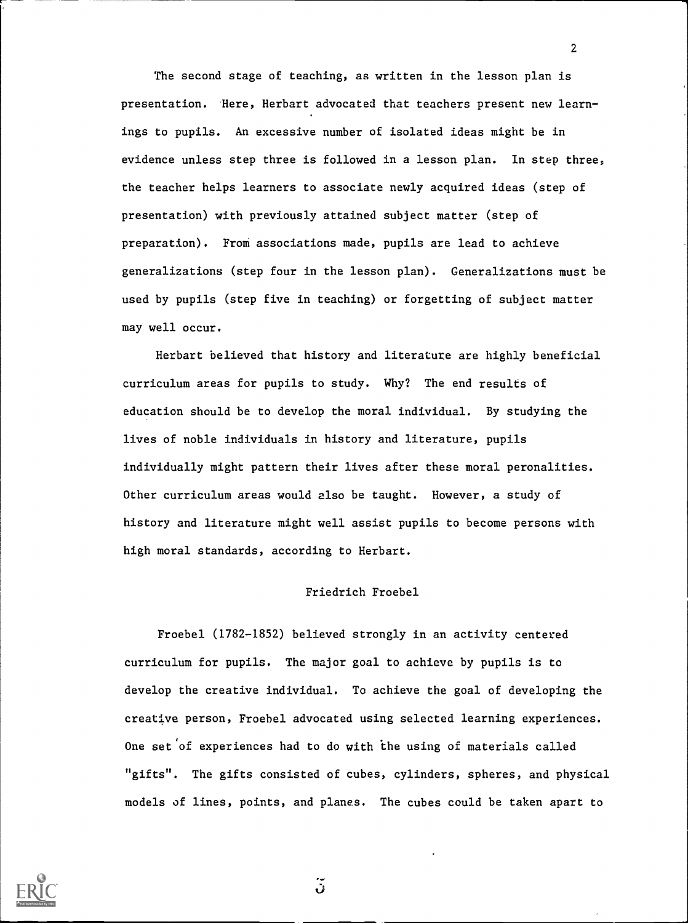The second stage of teaching, as written in the lesson plan is presentation. Here, Herbart advocated that teachers present new learnings to pupils. An excessive number of isolated ideas might be in evidence unless step three is followed in a lesson plan. In step three, the teacher helps learners to associate newly acquired ideas (step of presentation) with previously attained subject matter (step of preparation). From associations made, pupils are lead to achieve generalizations (step four in the lesson plan). Generalizations must be used by pupils (step five in teaching) or forgetting of subject matter may well occur.

2

Herbart believed that history and literature are highly beneficial curriculum areas for pupils to study. Why? The end results of education should be to develop the moral individual. By studying the lives of noble individuals in history and literature, pupils individually might pattern their lives after these moral peronalities. Other curriculum areas would also be taught. However, a study of history and literature might well assist pupils to become persons with high moral standards, according to Herbart.

### Friedrich Froebel

Froebel (1782-1852) believed strongly in an activity centered curriculum for pupils. The major goal to achieve by pupils is to develop the creative individual. To achieve the goal of developing the creative person, Froebel advocated using selected learning experiences. One set'of experiences had to do with the using of materials called "gifts". The gifts consisted of cubes, cylinders, spheres, and physical models of lines, points, and planes. The cubes could be taken apart to



 $\ddot{\bm{v}}$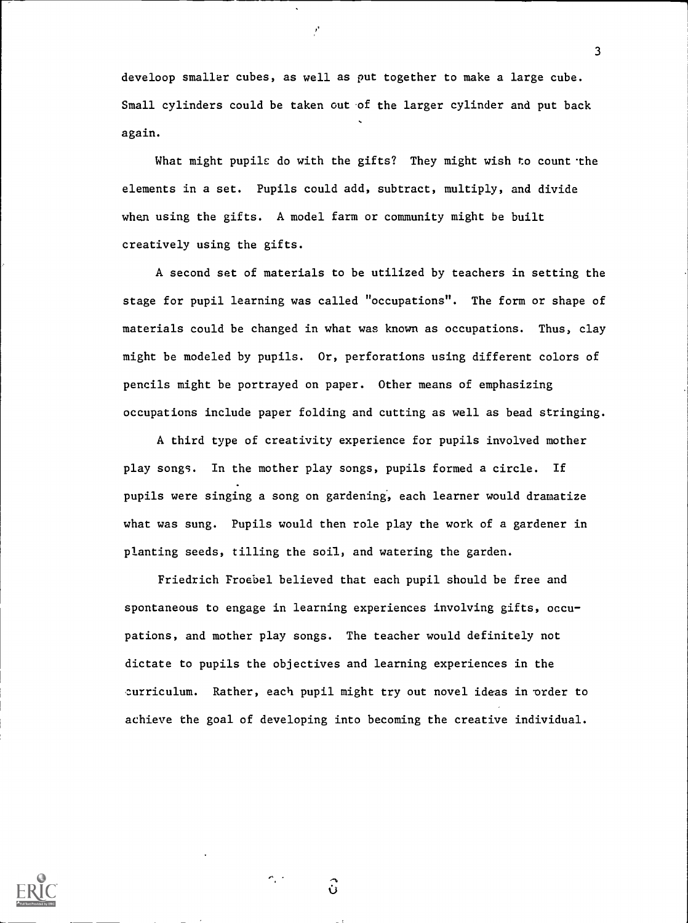develoop smaller cubes, as well as put together to make a large cube. Small cylinders could be taken out of the larger cylinder and put back again.

3

What might pupils do with the gifts? They might wish to count the elements in a set. Pupils could add, subtract, multiply, and divide when using the gifts. A model farm or community might be built creatively using the gifts.

A second set of materials to be utilized by teachers in setting the stage for pupil learning was called "occupations". The form or shape of materials could be changed in what was known as occupations. Thus, clay might be modeled by pupils. Or, perforations using different colors of pencils might be portrayed on paper. Other means of emphasizing occupations include paper folding and cutting as well as bead stringing.

A third type of creativity experience for pupils involved mother play songs. In the mother play songs, pupils formed a circle. If pupils were singing a song on gardening, each learner would dramatize what was sung. Pupils would then role play the work of a gardener in planting seeds, tilling the soil, and watering the garden.

Friedrich Froebel believed that each pupil should be free and spontaneous to engage in learning experiences involving gifts, occu pations, and mother play songs. The teacher would definitely not dictate to pupils the objectives and learning experiences in the curriculum. Rather, each pupil might try out novel ideas in order to achieve the goal of developing into becoming the creative individual.



 $\hat{\mathbf{u}}$ 

 $\sim$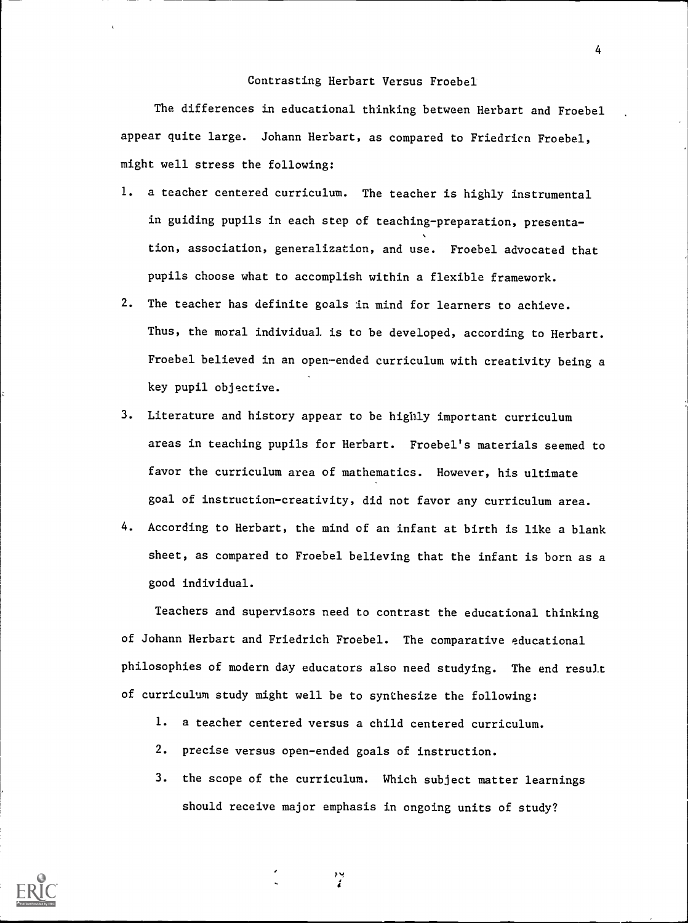### Contrasting Herbart Versus Froebel

The differences in educational thinking between Herbart and Froebel appear quite large. Johann Herbart, as compared to Friedricn Froebel, might well stress the following:

- 1. a teacher centered curriculum. The teacher is highly instrumental in guiding pupils in each step of teaching-preparation, presentation, association, generalization, and use. Froebel advocated that pupils choose what to accomplish within a flexible framework.
- 2. The teacher has definite goals in mind for learners to achieve. Thus, the moral individual is to be developed, according to Herbart. Froebel believed in an open-ended curriculum with creativity being a key pupil objective.
- 3. Literature and history appear to be highly important curriculum areas in teaching pupils for Herbart. Froebel's materials seemed to favor the curriculum area of mathematics. However, his ultimate goal of instruction-creativity, did not favor any curriculum area.
- 4. According to Herbart, the mind of an infant at birth is like a blank sheet, as compared to Froebel believing that the infant is born as a good individual.

Teachers and supervisors need to contrast the educational thinking of Johann Herbart and Friedrich Froebel. The comparative educational philosophies of modern day educators also need studying. The end result of curriculum study might well be to synthesize the following:

- 1. a teacher centered versus a child centered curriculum.
- 2. precise versus open-ended goals of instruction.
- 3. the scope of the curriculum. Which subject matter learnings should receive major emphasis in ongoing units of study?



4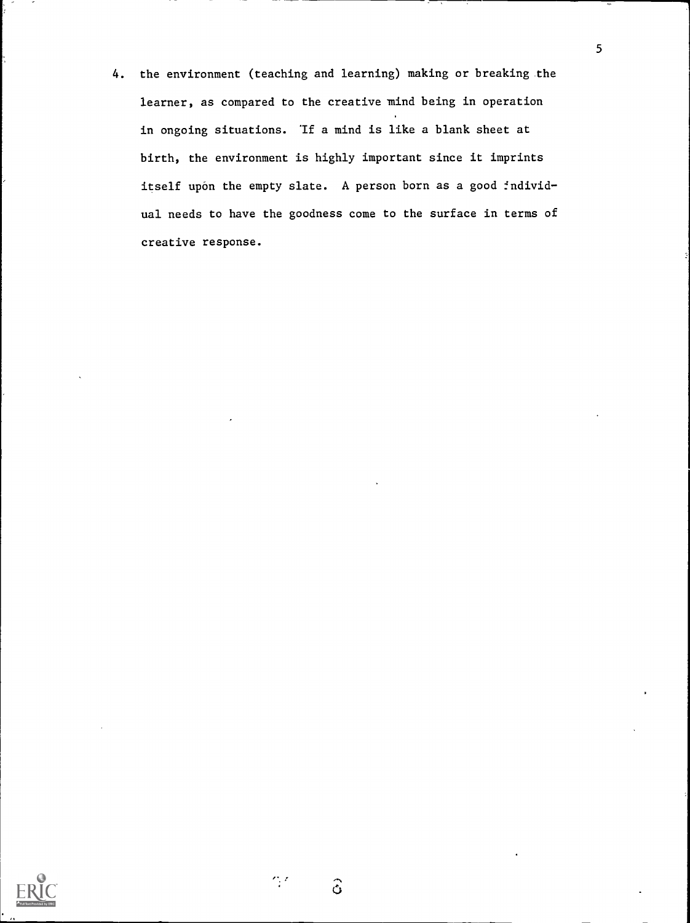4. the environment (teaching and learning) making or breaking the learner, as compared to the creative mind being in operation in ongoing situations. If a mind is like a blank sheet at birth, the environment is highly important since it imprints itself upon the empty slate. A person born as a good individual needs to have the goodness come to the surface in terms of creative response.



 $\hat{\mathbf{o}}$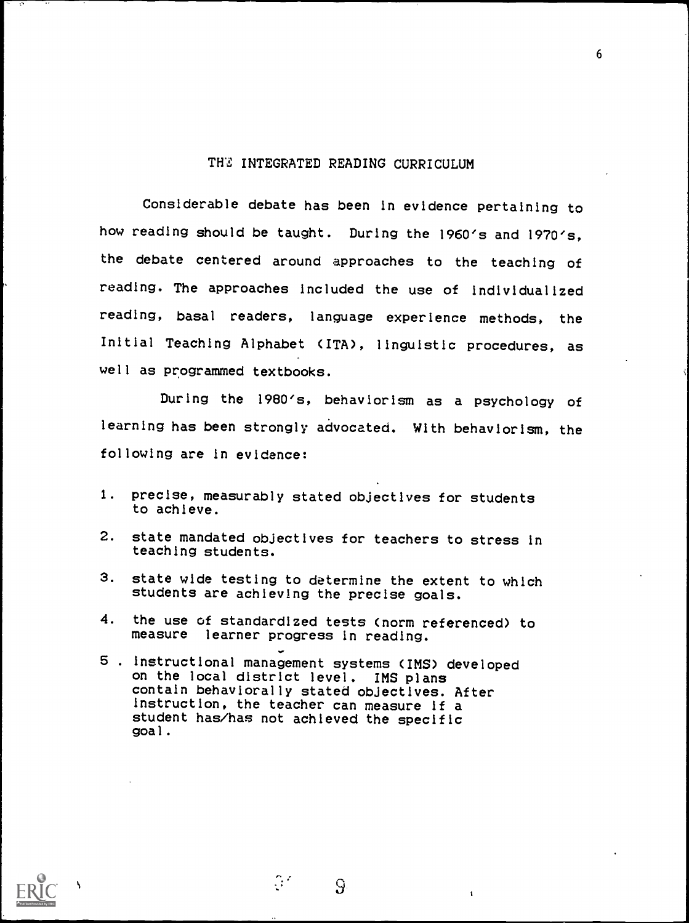### THE INTEGRATED READING CURRICULUM

6

Considerable debate has been in evidence pertaining to how reading should be taught. During the 1960's and 1970's, the debate centered around approaches to the teaching of reading. The approaches included the use of individualized reading, basal readers, language experience methods, the Initial Teaching Alphabet (ITA), linguistic procedures, as well as programmed textbooks.

During the 1980's, behaviorism as a psychology of learning has been strongly advocated. With behaviorism, the following are in evidence:

- 1. precise, measurably stated objectives for students to achieve.
- 2. state mandated objectives for teachers to stress in teaching students.
- 3. state wide testing to determine the extent to which students are achieving the precise goals.
- 4. the use of standardized tests (norm referenced) to measure learner progress in reading.
- 5 . instructional management systems (IMS) developed on the local district level. IMS plans contain behaviorally stated objectives. After instruction, the teacher can measure if a student has/has not achieved the specific goal.

 $\mathbb{C}^{\mathbb{Z}}$ 

9.

ti a controller della controller della controller della controller della controller della controller della controller della controller della controller della controller della controller della controller della controller de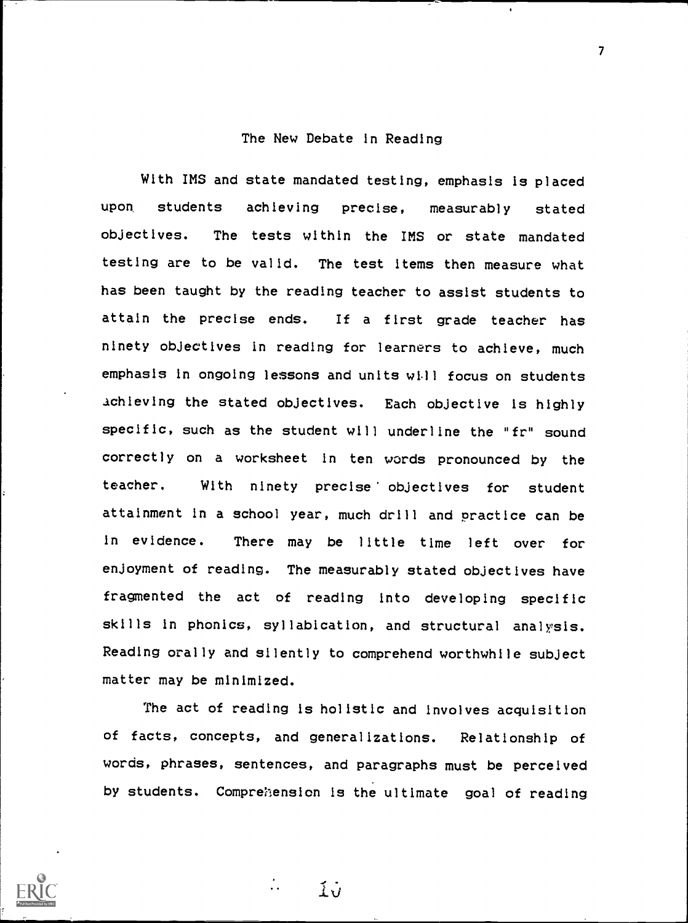### The New Debate in Reading

With IMS and state mandated testing, emphasis is placed upon, students achieving precise, measurably stated objectives. The tests within the IMS or state mandated testing are to be valid. The test items then measure what has been taught by the reading teacher to assist students to attain the precise ends. If a first grade teacher has ninety objectives in reading for learners to achieve, much emphasis in ongoing lessons and units will focus on students achieving the stated objectives. Each objective is highly specific, such as the student will underline the "fr" sound correctly on a worksheet in ten words pronounced by the teacher. With ninety precise' objectives for student attainment in a school year, much drill and practice can be in evidence. There may be little time left over for enjoyment of reading. The measurably stated objectives have fragmented the act of reading into developing specific skills in phonics, syllabication, and structural analysis. Reading orally and silently to comprehend worthwhile subject matter may be minimized.

The act of reading is holistic and involves acquisition of facts, concepts, and generalizations. Relationship of words, phrases, sentences, and paragraphs must be perceived by students. Compremention is the ultimate goal of reading

 $\overline{1}v$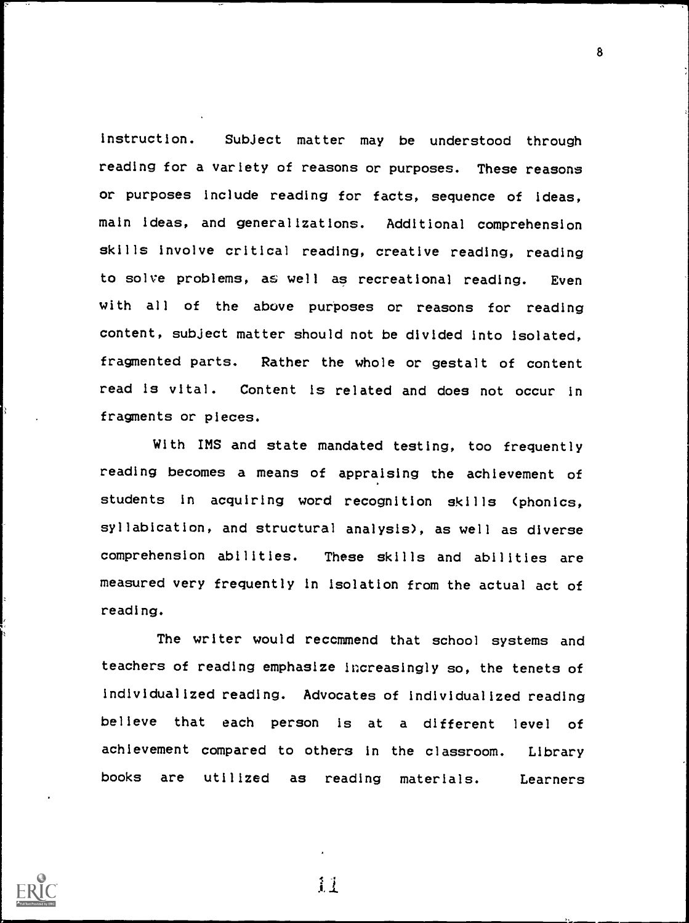Instruction. Subject matter may be understood through reading for a variety of reasons or purposes. These reasons or purposes include reading for facts, sequence of ideas, main ideas, and generalizations. Additional comprehension skills involve critical reading, creative reading, reading to solve problems, as well as recreational reading. Even with all of the above purposes or reasons for reading content, subject matter should not be divided into isolated, fragmented parts. Rather the whole or gestalt of content read is vital. Content is related and does not occur in fragments or pieces.

With IMS and state mandated testing, too frequently reading becomes a means of appraising the achievement of students in acquiring word recognition skills (phonics, syllabication, and structural analysis), as well as diverse comprehension abilities. These skills and abilities are measured very frequently in isolation from the actual act of reading.

The writer would recommend that school systems and teachers of reading emphasize increasingly so, the tenets of individualized reading. Advocates of individualized reading believe that each person is at a different level of achievement compared to others in the classroom. Library books are utilized as reading materials. Learners



11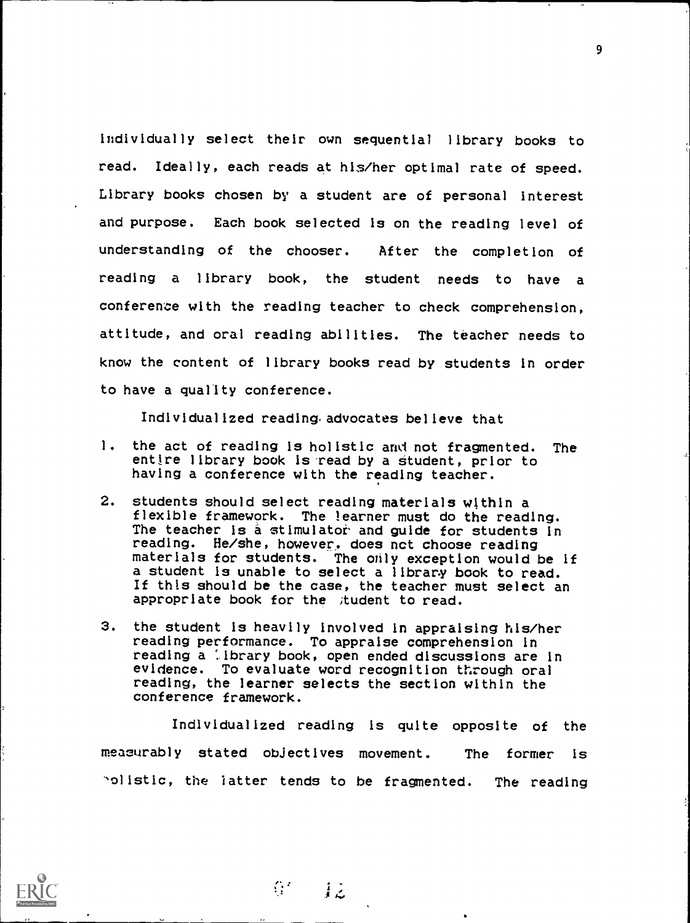Individually select their own sequential library books to read. Ideally, each reads at his/her optimal rate of speed. Library books chosen by a student are of personal Interest and purpose. Each book selected Is on the reading level of understanding of the chooser. After the completion of reading a library book, the student needs to have a conference with the reading teacher to check comprehension, attitude, and oral reading abilities. The teacher needs to know the content of library books read by students In order to have a quality conference.

Individualized reading advocates believe that

- 1. the act of reading Is holistic and not fragmented. The entire library book is read by a student, prior to having a conference with the reading teacher.
- 2. students should select reading materials within a flexible framework. The learner must do the reading. The teacher is a stimulator and guide for students in reading. He/she, however, does nct choose reading materials for students. The only exception would be if a student is unable to select a library book to read. If this should be the case, the teacher must select an appropriate book for the student to read.
- 3. the student is heavily involved in appraising his/her reading performance. To appraise comprehension in reading a library book, open ended discussions are in evidence. To evaluate word recognition through oral reading, the learner selects the section within the conference framework.

Individualized reading is quite opposite of the measurably stated objectives movement. The former is ''olistic, the latter tends to be fragmented. The reading



 $6' - 12$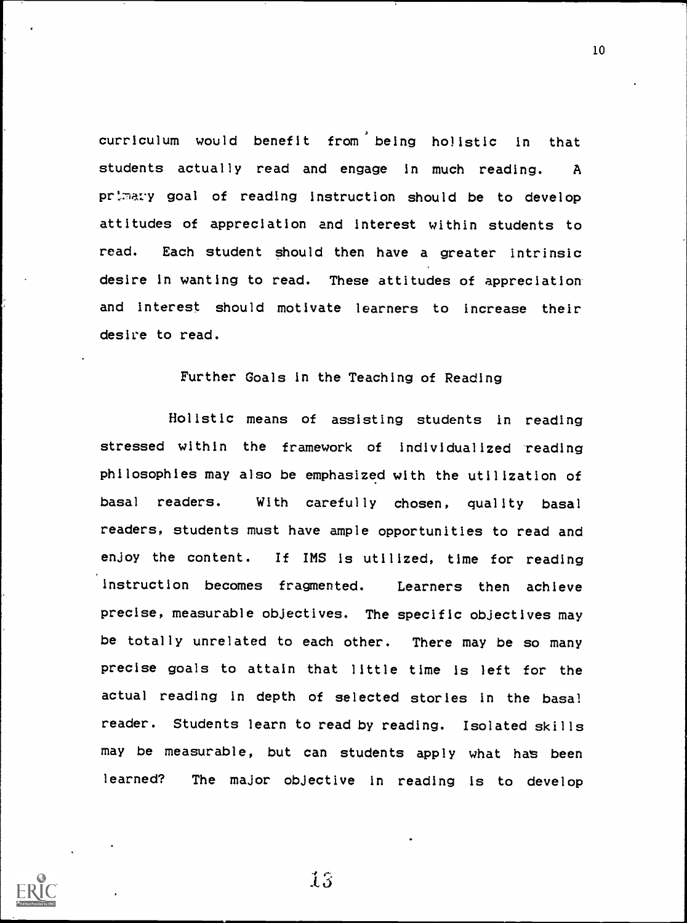curriculum would benefit from being holistic in that students actually read and engage in much reading. A primaty goal of reading instruction should be to develop attitudes of appreciation and interest within students to read. Each student should then have a greater intrinsic desire in wanting to read. These attitudes of appreciation and interest should motivate learners to increase their desire to read.

## Further Goals in the Teaching of Reading

Holistic means of assisting students in reading stressed within the framework of individualized reading philosophies may also be emphasized with the utilization of basal readers. With carefully chosen, quality basal readers, students must have ample opportunities to read and enjoy the content. If IMS is utilized, time for reading instruction becomes fragmented. Learners then achieve precise, measurable objectives. The specific objectives may be totally unrelated to each other. There may be so many precise goals to attain that little time is left for the actual reading in depth of selected stories in the basal reader. Students learn to read by reading. Isolated skills may be measurable, but can students apply what has been learned? The major objective in reading is to develop



16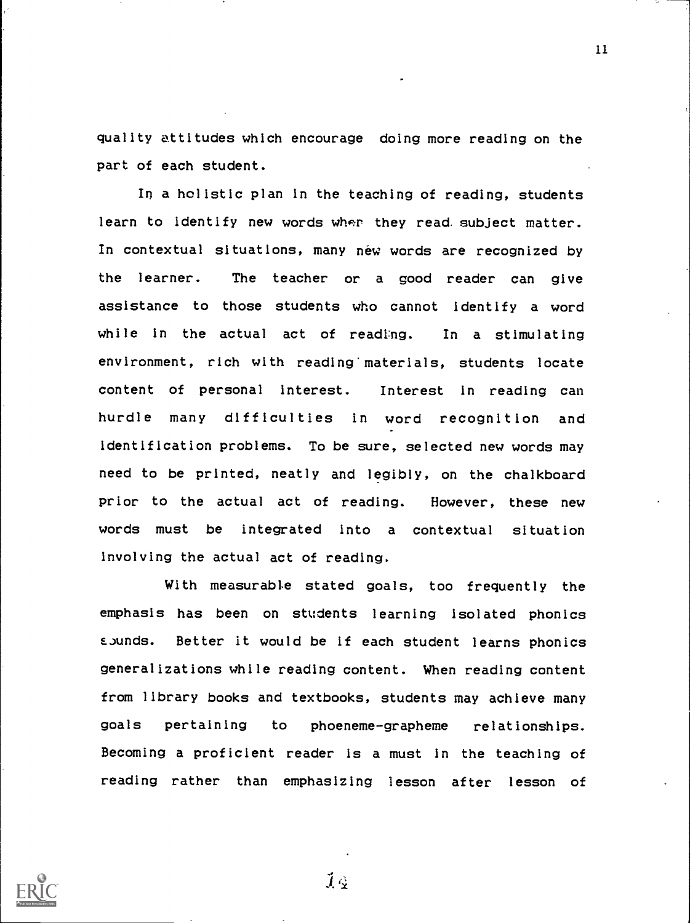quality attitudes which encourage doing more reading on the part of each student.

In a holistic plan in the teaching of reading, students learn to identify new words wher they read subject matter. In contextual situations, many néw words are recognized by the learner. The teacher or a good reader can give assistance to those students who cannot identify a word while in the actual act of reading. In a stimulating environment, rich with reading' materials, students locate content of personal interest. Interest in reading can hurdle many difficulties in word recognition and identification problems. To be sure, selected new words may need to be printed, neatly and legibly, on the chalkboard prior to the actual act of reading. However, these new words must be integrated into a contextual situation involving the actual act of reading.

With measurable stated goals, too frequently the emphasis has been on students learning isolated phonics EJunds. Better it would be if each student learns phonics generalizations while reading content. When reading content from library books and textbooks, students may achieve many goals pertaining to phoeneme-grapheme relationships. Becoming a proficient reader is a must in the teaching of reading rather than emphasizing lesson after lesson of



 $\tilde{I}$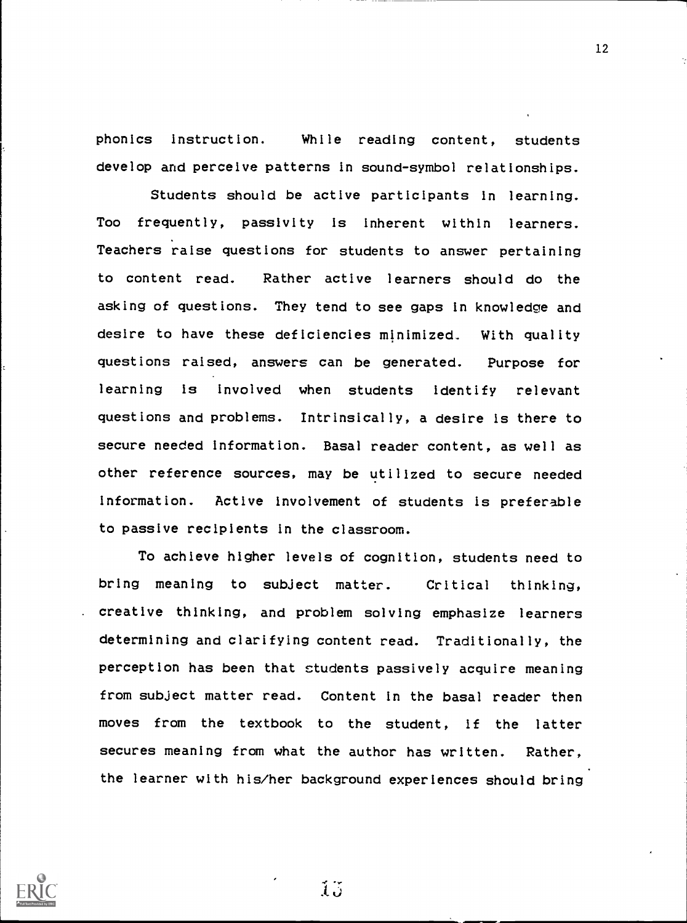phonics instruction. While reading content, students develop and perceive patterns in sound-symbol relationships.

Students should be active participants in learning. Too frequently, passivity is inherent within learners. Teachers raise questions for students to answer pertaining to content read. Rather active learners should do the asking of questions. They tend to see gaps In knowledge and desire to have these deficiencies minimized. With quality questions raised, answers can be generated. Purpose for learning is involved when students Identify relevant questions and problems. Intrinsically, a desire is there to secure needed information. Basal reader content, as well as other reference sources, may be utilized to secure needed information. Active involvement of students is preferable to passive recipients In the classroom.

To achieve higher levels of cognition, students need to bring meaning to subject matter. Critical thinking, creative thinking, and problem solving emphasize learners determining and clarifying content read. Traditionally, the perception has been that students passively acquire meaning from subject matter read. Content In the basal reader then moves from the textbook to the student, if the latter secures meaning from what the author has written. Rather, the learner with his/her background experiences should bring



 $15$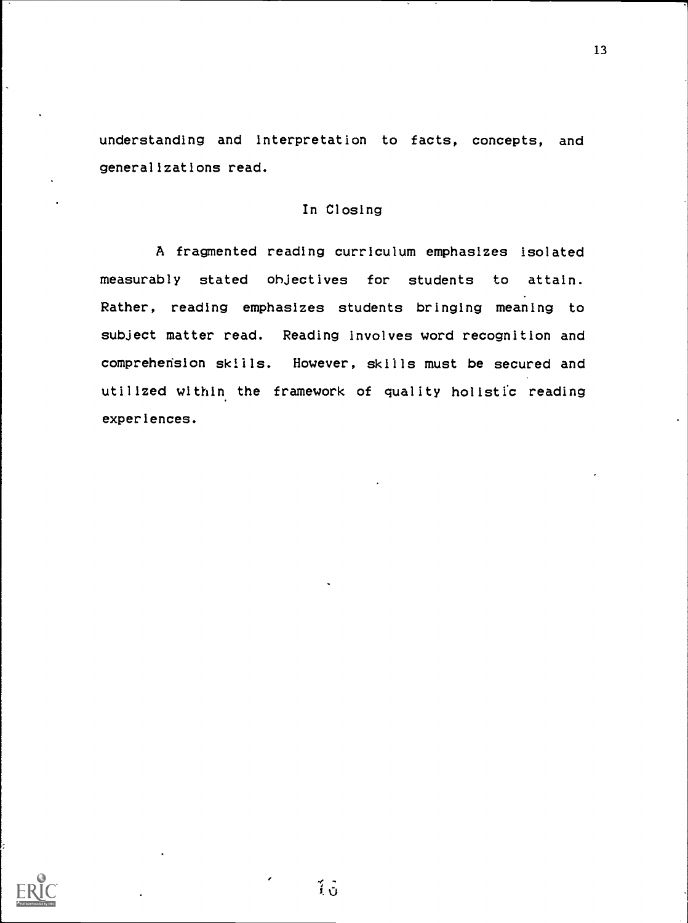understanding and interpretation to facts, concepts, and generalizations read.

## In Closing

A fragmented reading curriculum emphasizes isolated measurably stated objectives for students to attain. Rather, reading emphasizes students bringing meaning to subject matter read. Reading involves word recognition and comprehension skills. However, skills must be secured and utilized within the framework of quality holistic reading experiences.



 $\tilde{1}$   $\tilde{0}$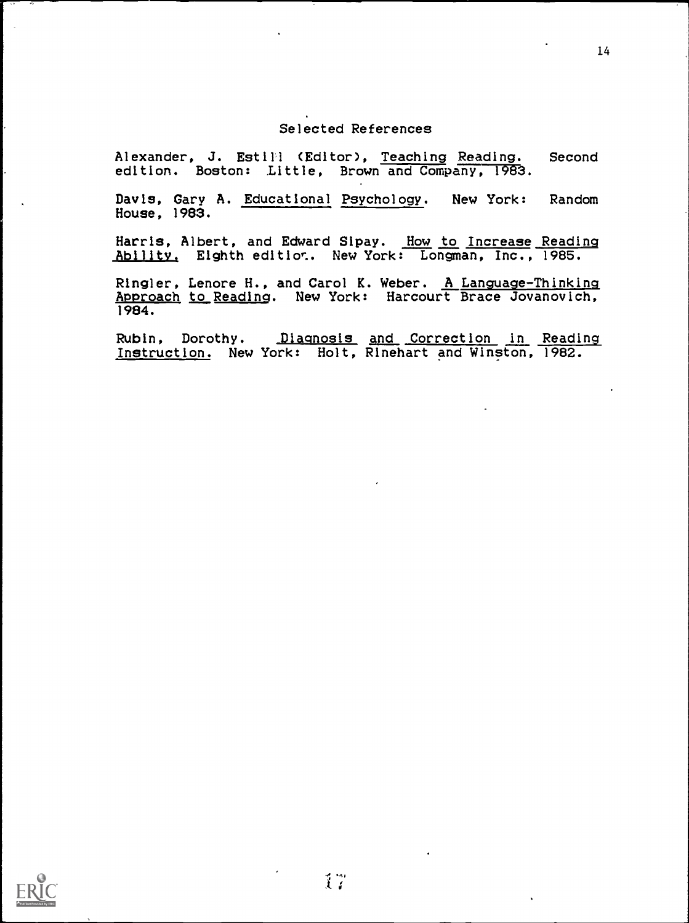## Selected References

Alexander, J. Estill (Editor), Teaching Reading. Second edition. Boston: Little, Brown and Company, 1983.

Davis, Gary A. Educational Psychology. New York: Random House, 1983.

Harris, Albert, and Edward Sipay. How to Increase Reading Ability. Eighth edition. New York: Longman, Inc., 1985.

Ringler, Lenore H., and Carol K. Weber. A Language-Thinking Approach to Reading. New York: Harcourt Brace Jovanovich, 1984.

Rubin, Dorothy. Diagnosis and Correction in Reading Instruction. New York: Holt, Rinehart and Winston, 1982.

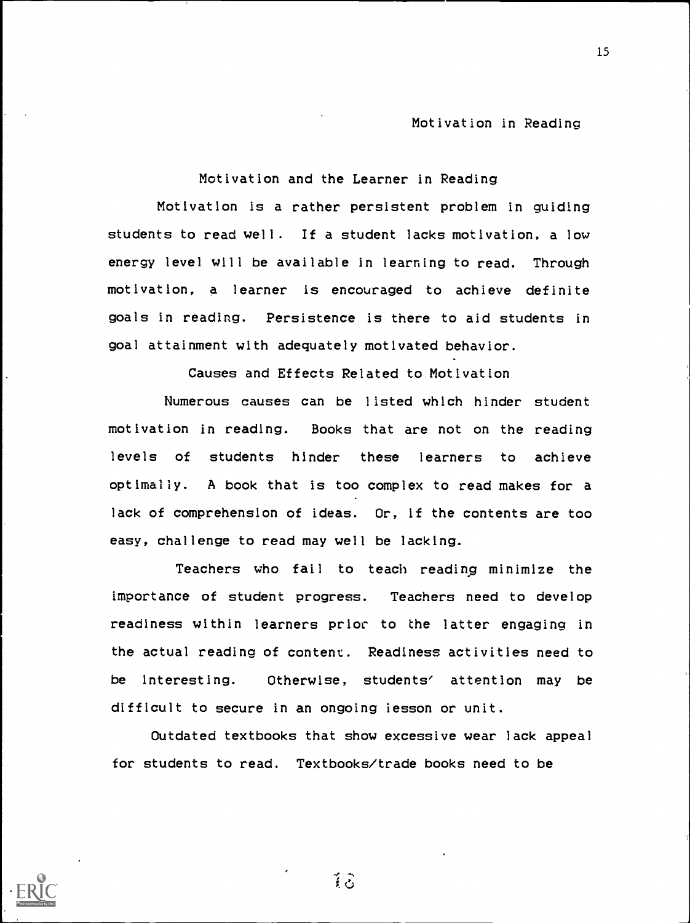Motivation and the Learner in Reading

Motivation is a rather persistent problem in guiding students to read well. If a student lacks motivation, a low energy level will be available in learning to read. Through motivation, a learner is encouraged to achieve definite goals in reading. Persistence is there to aid students in goal attainment with adequately motivated behavior.

Causes and Effects Related to Motivation

Numerous causes can be listed which hinder student motivation in reading. Books that are not on the reading levels of students hinder these learners to achieve optimally. A book that is too complex to read makes for a lack of comprehension of ideas. Or, if the contents are too easy, challenge to read may well be lacking.

Teachers who fail to teach reading minimize the importance of student progress. Teachers need to develop readiness within learners prior to the latter engaging in the actual reading of content. Readiness activities need to be interesting. Otherwise, students' attention may be difficult to secure in an ongoing iesson or unit.

Outdated textbooks that show excessive wear lack appeal for students to read. Textbooks/trade books need to be

 $1\hat{c}$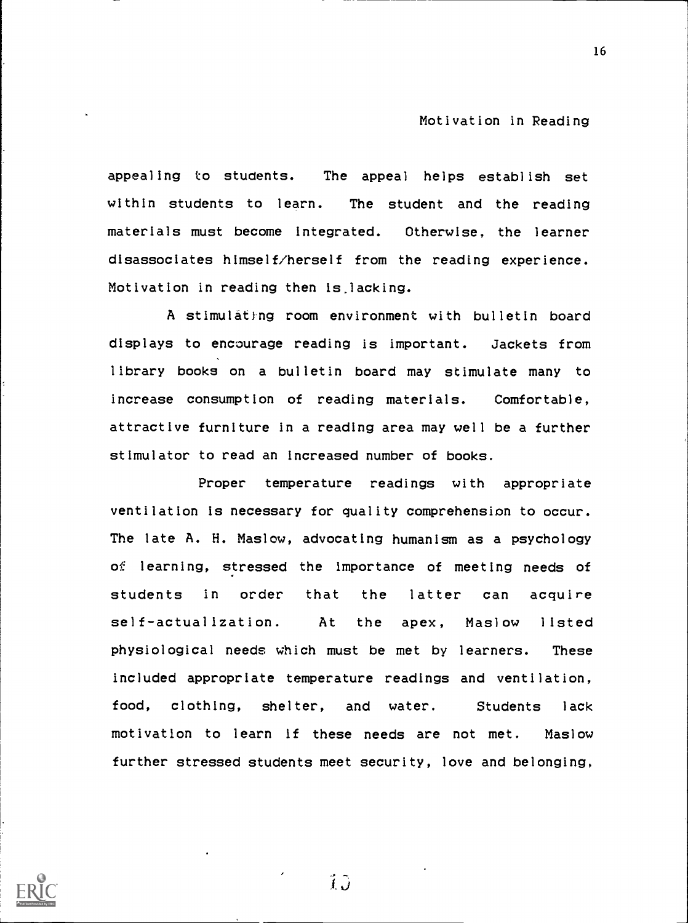appealing to students. The appeal helps establish set within students to learn. The student and the reading materials must become integrated. Otherwise, the learner disassociates himself/herself from the reading experience. Motivation in reading then is.lacking.

A stimulating room environment with bulletin board displays to encourage reading is important. Jackets from library books on a bulletin board may stimulate many to increase consumption of reading materials. Comfortable, attractive furniture in a reading area may well be a further stimulator to read an increased number of books.

Proper temperature readings with appropriate ventilation Is necessary for quality comprehension to occur. The late A. H. Maslow, advocating humanism as a psychology of learning, stressed the importance of meeting needs of students in order that the latter can acquire self-actualization. At the apex, Maslow listed physiological needs which must be met by learners. These included appropriate temperature readings and ventilation, food, clothing, shelter, and water. Students lack motivation to learn if these needs are not met. Maslow further stressed students meet security, love and belonging,



ÎĴ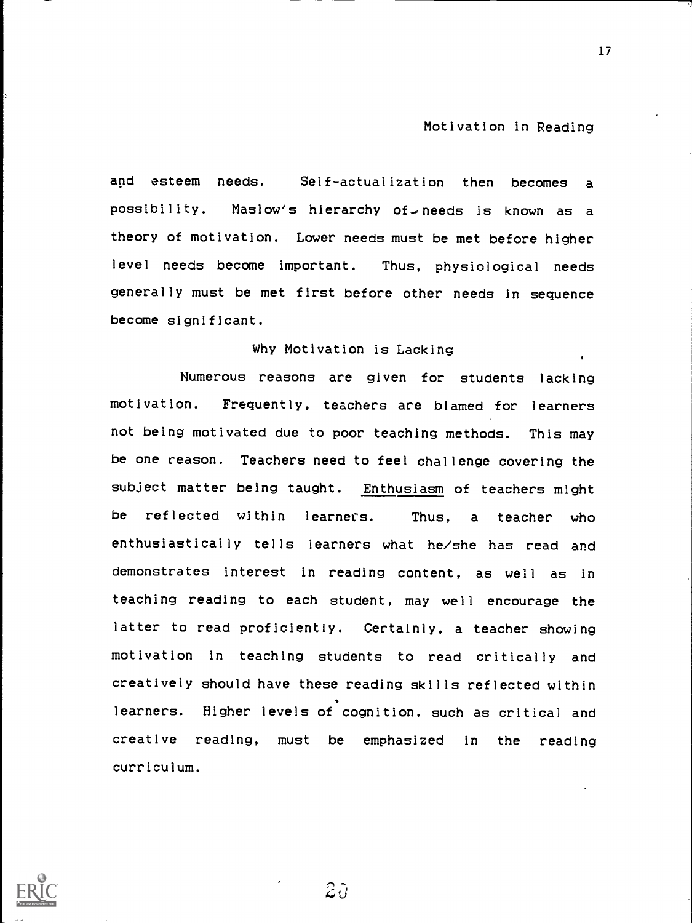and esteem needs. Self-actualization then becomes <sup>a</sup> possibility. Maslow's hierarchy of needs is known as a theory of motivation. Lower needs must be met before higher level needs become important. Thus, physiological needs generally must be met first before other needs in sequence become significant.

### Why Motivation is Lacking

Numerous reasons are given for students lacking motivation. Frequently, teachers are blamed for learners not being motivated due to poor teaching methods. This may be one reason. Teachers need to feel challenge covering the subject matter being taught. Enthusiasm of teachers might be reflected within learners. Thus, <sup>a</sup> teacher who enthusiastically tells learners what he/she has read and demonstrates interest in reading content, as well as in teaching reading to each student, may well encourage the latter to read proficiently. Certainly, a teacher showing motivation in teaching students to read critically and creatively should have these reading skills reflected within learners. Higher levels of cognition, such as critical and creative reading, must be emphasized in the reading curriculum.



 $\widehat{z} \widehat{v}$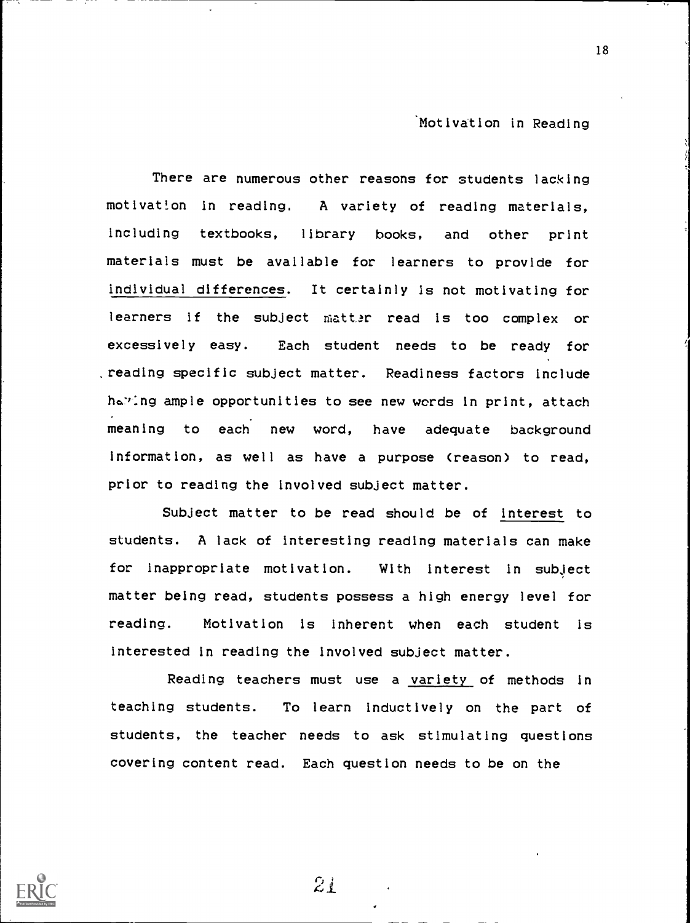18

There are numerous other reasons for students lacking motivation in reading. A variety of reading materials, including textbooks, library books, and other print materials must be available for learners to provide for individual differences. It certainly is not motivating for learners if the subject matter read is too complex or excessively easy. Each student needs to be ready for reading specific subject matter. Readiness factors include haring ample opportunities to see new words in print, attach meaning to each new word, have adequate background information, as well as have a purpose (reason) to read, prior to reading the involved subject matter.

Subject matter to be read should be of interest to students. A lack of interesting reading materials can make for inappropriate motivation. With interest in subject matter being read, students possess a high energy level for reading. Motivation is inherent when each student is interested in reading the involved subject matter.

Reading teachers must use a variety of methods in teaching students. To learn inductively on the part of students, the teacher needs to ask stimulating questions covering content read. Each question needs to be on the



 $2i$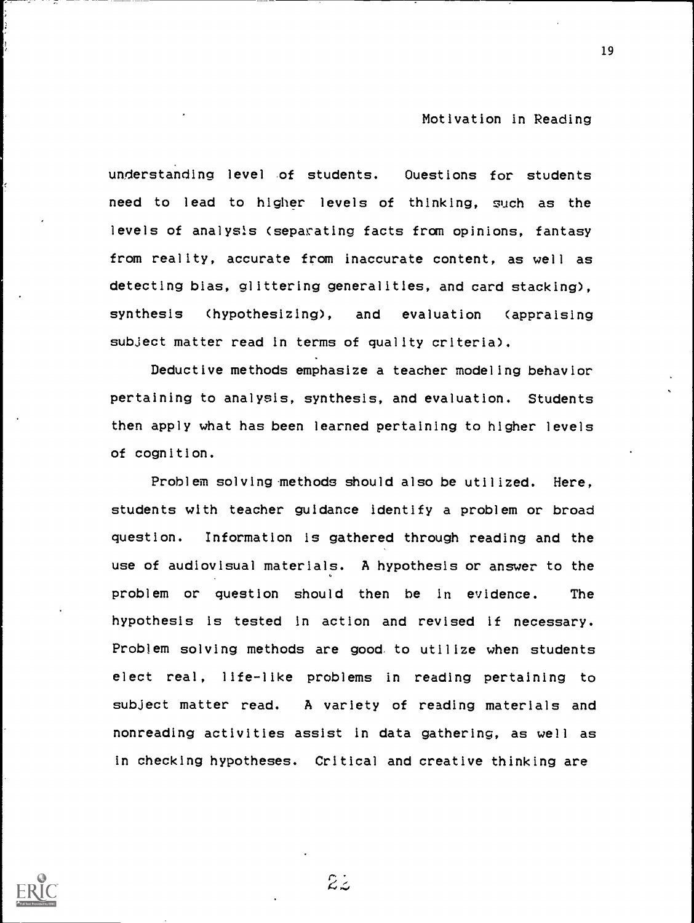understanding level of students. Questions for students need to lead to higher levels of thinking, such as the levels of analysis (separating facts from opinions, fantasy from reality, accurate from inaccurate content, as well as detecting bias, glittering generalities, and card stacking), synthesis (hypothesizing), and evaluation (appraising subject matter read in terms of quality criteria).

Deductive methods emphasize a teacher modeling behavior pertaining to analysis, synthesis, and evaluation. Students then apply what has been learned pertaining to higher levels of cognition.

Problem solving-methods should also be utilized. Here, students with teacher guidance identify a problem or broad question. Information is gathered through reading and the use of audiovisual materials. A hypothesis or answer to the problem or question should then be in evidence. The hypothesis is tested in action and revised if necessary. Problem solving methods are good to utilize when students elect real, life-like problems in reading pertaining to subject matter read. A variety of reading materials and nonreading activities assist in data gathering, as well as in checking hypotheses. Critical and creative thinking are



 $22$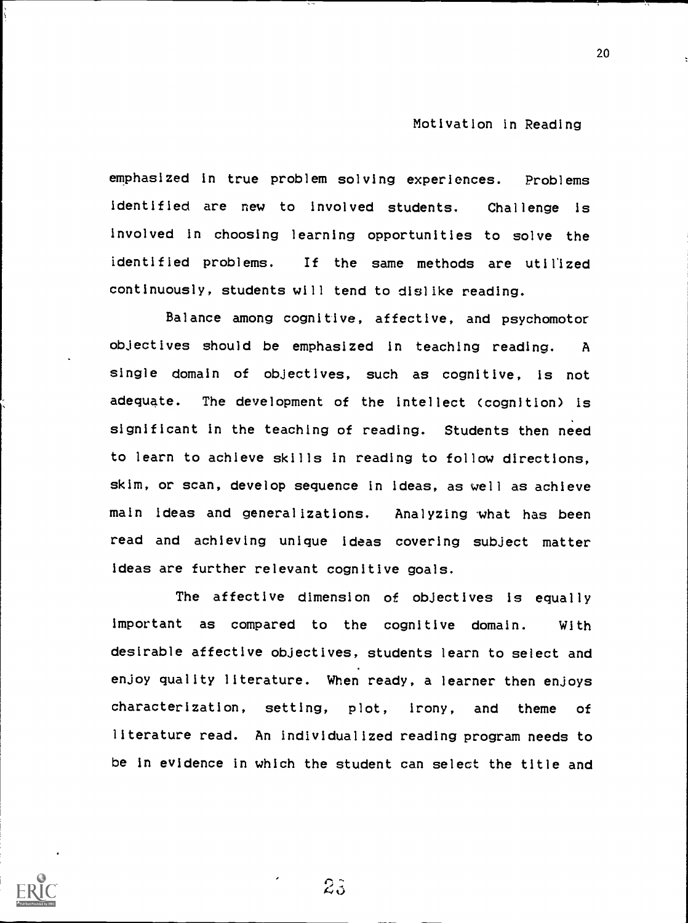emphasized in true problem solving experiences. Problems identified are new to involved students. Challenge is involved in choosing learning opportunities to solve the identified problems. If the same methods are utilized continuously, students will tend to dislike reading.

Balance among cognitive, affective, and psychomotor objectives should be emphasized in teaching reading. A single domain of objectives, such as cognitive, is not adequate. The development of the intellect (cognition) is significant in the teaching of reading. Students then need to learn to achieve skills in reading to follow directions, skim, or scan, develop sequence in ideas, as well as achieve main ideas and generalizations. Analyzing what has been read and achieving unique Ideas covering subject matter ideas are further relevant cognitive goals.

The affective dimension of objectives is equally important as compared to the cognitive domain. With desirable affective objectives, students learn to select and enjoy quality literature. When ready, a learner then enjoys characterization, setting, plot, Irony, and theme of literature read. An individualized reading program needs to be in evidence in which the student can select the title and

 $2\tilde{3}$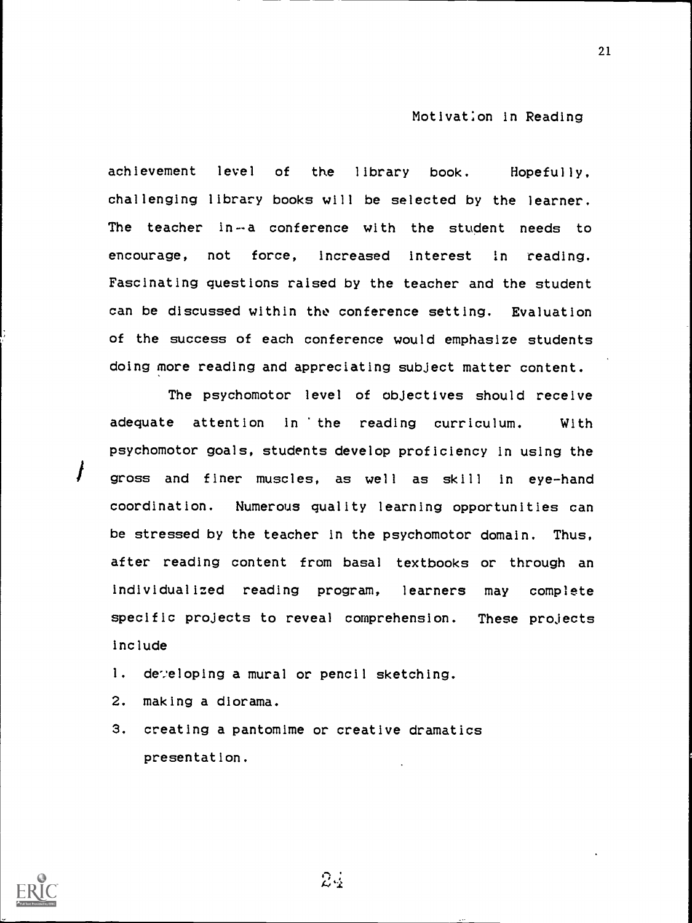achievement level of the library book. Hopefully, challenging library books will be selected by the learner. The teacher in--a conference with the student needs to encourage, not force, increased interest in reading. Fascinating questions raised by the teacher and the student can be discussed within the conference setting. Evaluation of the success of each conference would emphasize students doing more reading and appreciating subject matter content.

The psychomotor level of objectives should receive adequate attention in 'the reading curriculum. With psychomotor goals, students develop proficiency in using the gross and finer muscles, as well as skill in eye-hand coordination. Numerous quality learning opportunities can be stressed by the teacher in the psychomotor domain. Thus, after reading content from basal textbooks or through an individualized reading program, learners may complete specific projects to reveal comprehension. These projects include

- 1. developing a mural or pencil sketching.
- 2. making a diorama.
- 3. creating a pantomime or creative dramatics presentation.



 $24$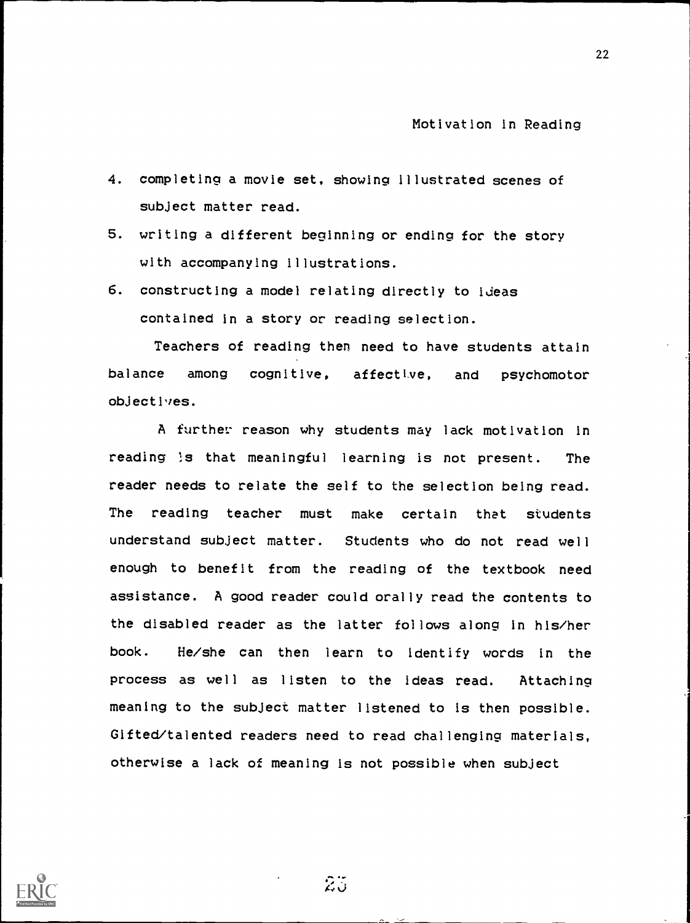- 4. completing a movie set, showing illustrated scenes of subject matter read.
- 5. writing a different beginning or ending for the story with accompanying illustrations.
- 6. constructing a model relating directly to ideas contained in a story or reading selection.

Teachers of reading then need to have students attain balance among cognitive, affective, and psychomotor objectives.

A further: reason why students may lack motivation in reading Is that meaningful learning is not present. The reader needs to relate the self to the selection being read. The reading teacher must make certain that students understand subject matter. Students who do not read well enough to benefit from the reading of the textbook need assistance. A good reader could orally read the contents to the disabled reader as the latter follows along in his/her book. He/she can then learn to identify words in the process as well as listen to the ideas read. Attaching meaning to the subject matter listened to is then possible. Gifted/talented readers need to read challenging materials, otherwise a lack of meaning is not possible when subject



 $25$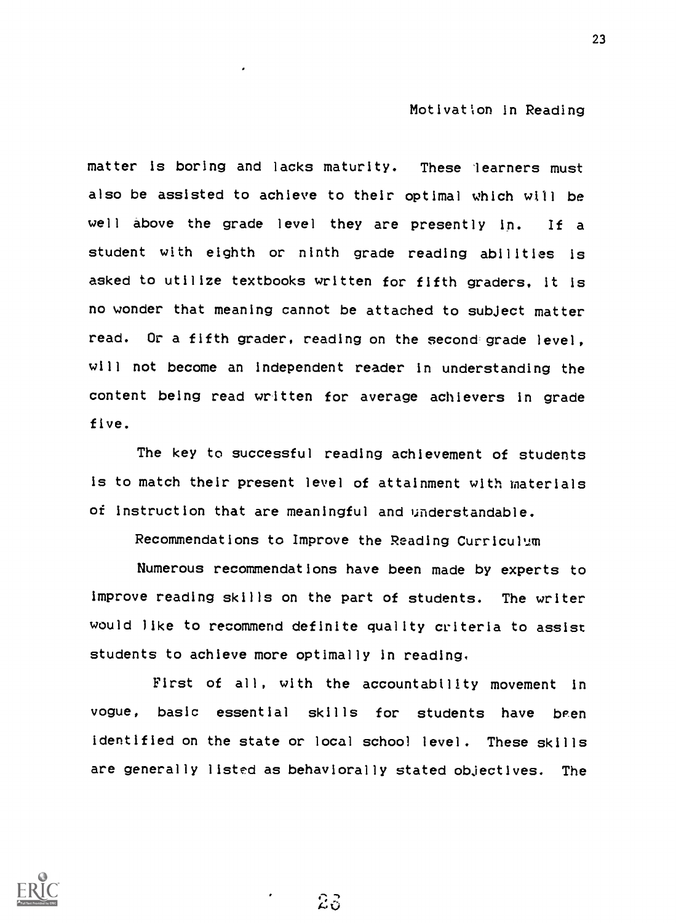matter is boring and lacks maturity. These learners must also be assisted to achieve to their optimal which will be well above the grade level they are presently in. If a student with eighth or ninth grade reading abilities is asked to utilize textbooks written for fifth graders, it is no wonder that meaning cannot be attached to subject matter read. Or a fifth grader, reading on the second grade level, will not become an independent reader in understanding the content being read written for average achievers in grade five.

The key to successful reading achievement of students is to match their present level of attainment with materials of instruction that are meaningful and understandable.

Recommendations to Improve the Reading Curriculum

Numerous recommendations have been made by experts to improve reading skills on the part of students. The writer would like to recommend definite quality criteria to assist students to achieve more optimally in reading,

First of all, with the accountability movement in vogue, basic essential skills for students have been identified on the state or local school level. These skills are generally listed as behaviorally stated objectives. The

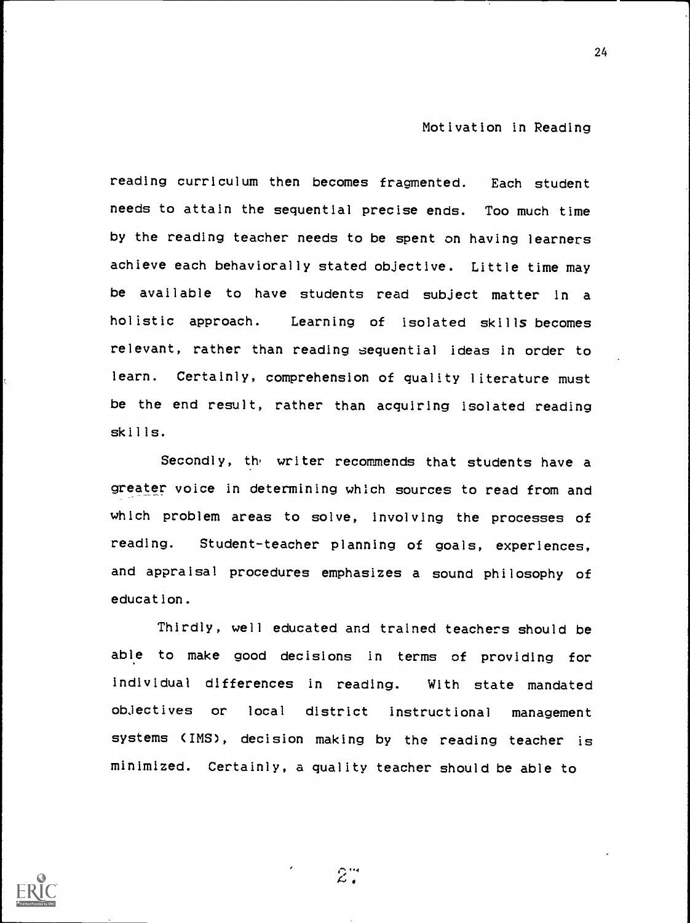24

reading curriculum then becomes fragmented. Each student needs to attain the sequential precise ends. Too much time by the reading teacher needs to be spent on having learners achieve each behaviorally stated objective. Little time may be available to have students read subject matter in a holistic approach. Learning of isolated skills becomes relevant, rather than reading sequential ideas in order to learn. Certainly, comprehension of quality literature must be the end result, rather than acquiring isolated reading skills.

Secondly, the writer recommends that students have a greater voice in determining which sources to read from and which problem areas to solve, involving the processes of reading. Student-teacher planning of goals, experiences, and appraisal procedures emphasizes a sound philosophy of education.

Thirdly, well educated and trained teachers should be able to make good decisions in terms of providing for individual differences in reading. With state mandated objectives or local district instructional management systems (IMS), decision making by the reading teacher is minimized. Certainly, a quality teacher should be able to



 $2^{\cdot\cdot}$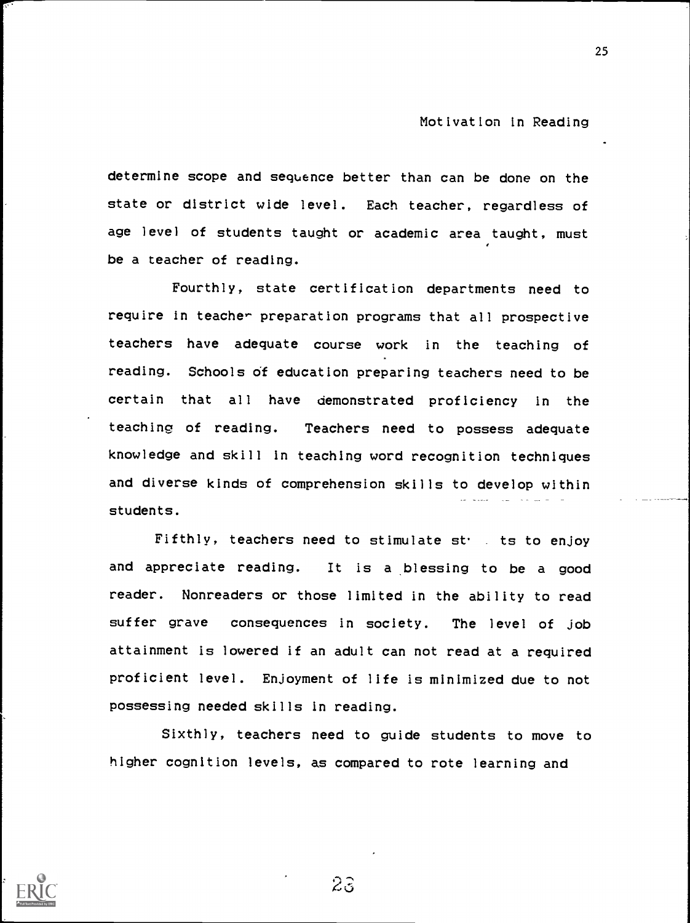determine scope and sequence better than can be done on the state or district wide level. Each teacher, regardless of age level of students taught or academic area taught, must be a teacher of reading.

Fourthly, state certification departments need to require in teacher preparation programs that all prospective teachers have adequate course work in the teaching of reading. Schools of education preparing teachers need to be certain that all have demonstrated proficiency in the teaching of reading. Teachers need to possess adequate knowledge and skill in teaching word recognition techniques and diverse kinds of comprehension skills to develop within students.

Fifthly, teachers need to stimulate st. is to enjoy and appreciate reading. It is a blessing to be a good reader. Nonreaders or those limited in the ability to read suffer grave consequences in society. The level of job attainment is lowered if an adult can not read at a required proficient level. Enjoyment of life is minimized due to not possessing needed skills in reading.

Sixthly, teachers need to guide students to move to higher cognition levels, as compared to rote learning and



 $23$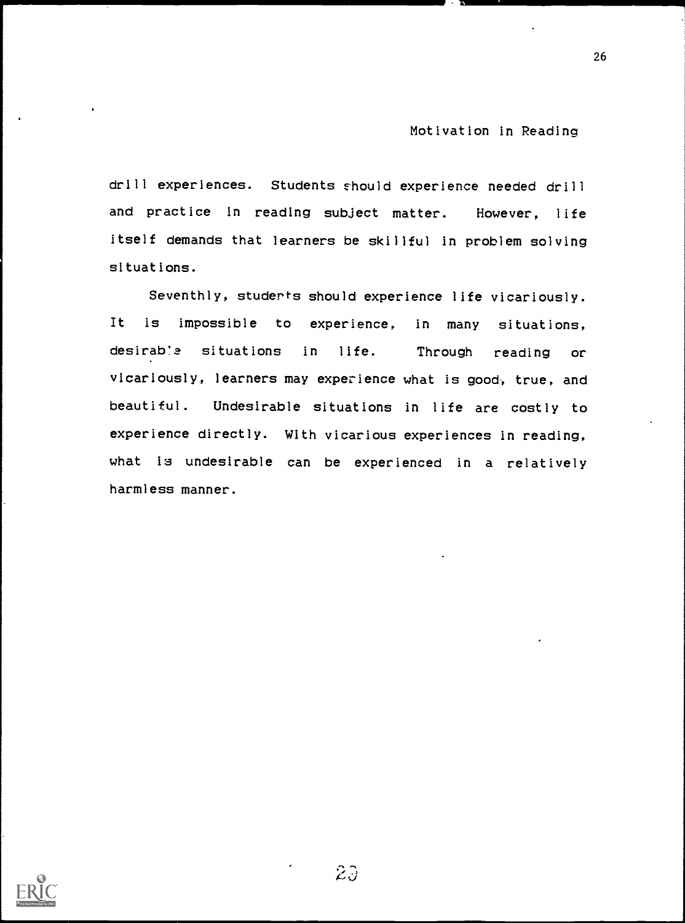26

drill experiences. Students should experience needed drill and practice In reading subject matter. However, life itself demands that learners be skillful in problem solving situations.

Seventhly, studerts should experience life vicariously. It is impossible to experience, in many situations, desirab'3 situations in life. Through reading or vicariously, learners may experience what is good, true, and beautiful. Undesirable situations in life are costly to experience directly. With vicarious experiences in reading, what is undesirable can be experienced in a relatively harmless manner.

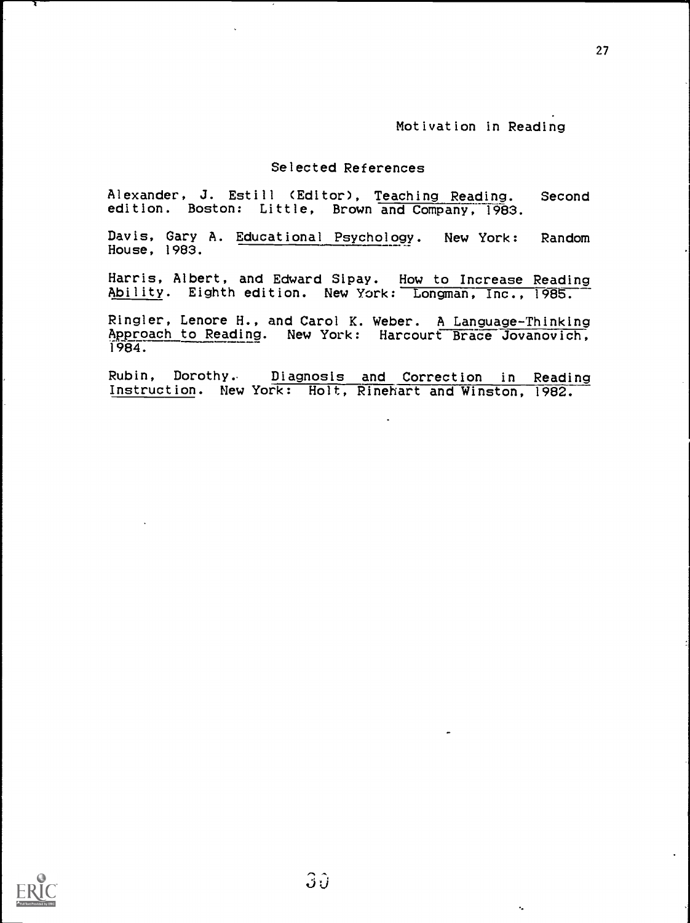k.

### Selected References

Alexander, J. Estill (Editor), Teaching Reading. Second edition. Boston: Little, Brown and Company, 1983.

Davis, Gary A. Educational Psychology. New York: Random House, 1983.

Harris, Albert, and Edward Sipay. How to Increase Reading Ability. Eighth edition. New York: Longman, Inc., 1985.

Ringler, Lenore H., and Carol K. Weber. A Language-Thinking Approach to Reading. New York: Harcourt Brace Jovanovich, 1984.

Rubin, Dorothy, Diagnosis and Correction in Reading Instruction. New York: Holt, Rinehart and Winston, 1982.



 $\sqrt{1-\frac{1}{2}}$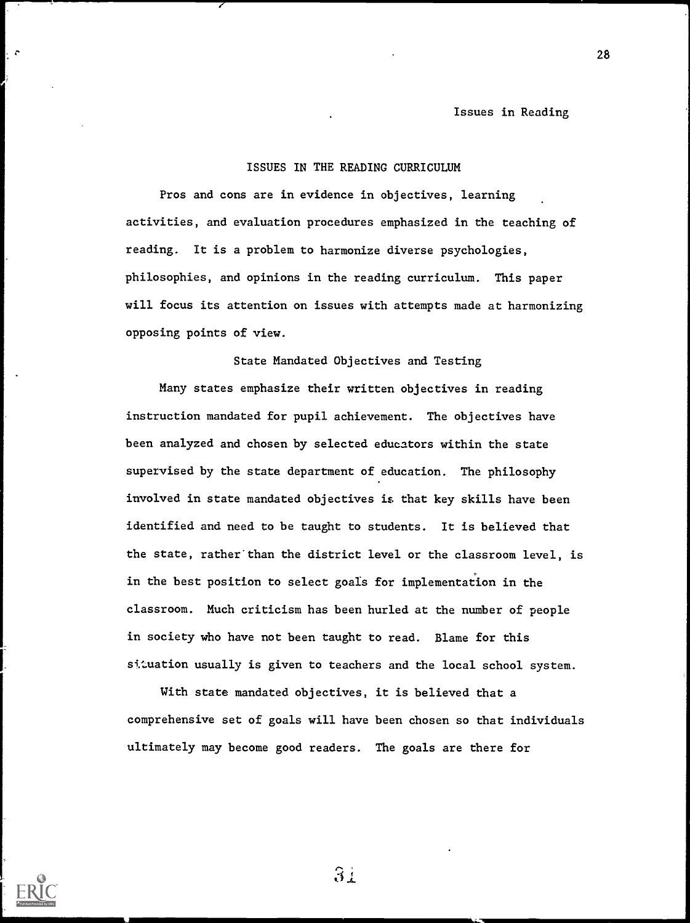### ISSUES IN THE READING CURRICULUM

Pros and cons are in evidence in objectives, learning activities, and evaluation procedures emphasized in the teaching of reading. It is a problem to harmonize diverse psychologies, philosophies, and opinions in the reading curriculum. This paper will focus its attention on issues with attempts made at harmonizing opposing points of view.

State Mandated Objectives and Testing

Many states emphasize their written objectives in reading instruction mandated for pupil achievement. The objectives have been analyzed and chosen by selected educators within the state supervised by the state department of education. The philosophy involved in state mandated objectives is that key skills have been identified and need to be taught to students. It is believed that the state, rather than the district level or the classroom level, is in the best position to select goals for implementation in the classroom. Much criticism has been hurled at the number of people in society who have not been taught to read. Blame for this situation usually is given to teachers and the local school system.

With state mandated objectives, it is believed that a comprehensive set of goals will have been chosen so that individuals ultimately may become good readers. The goals are there for

 $31$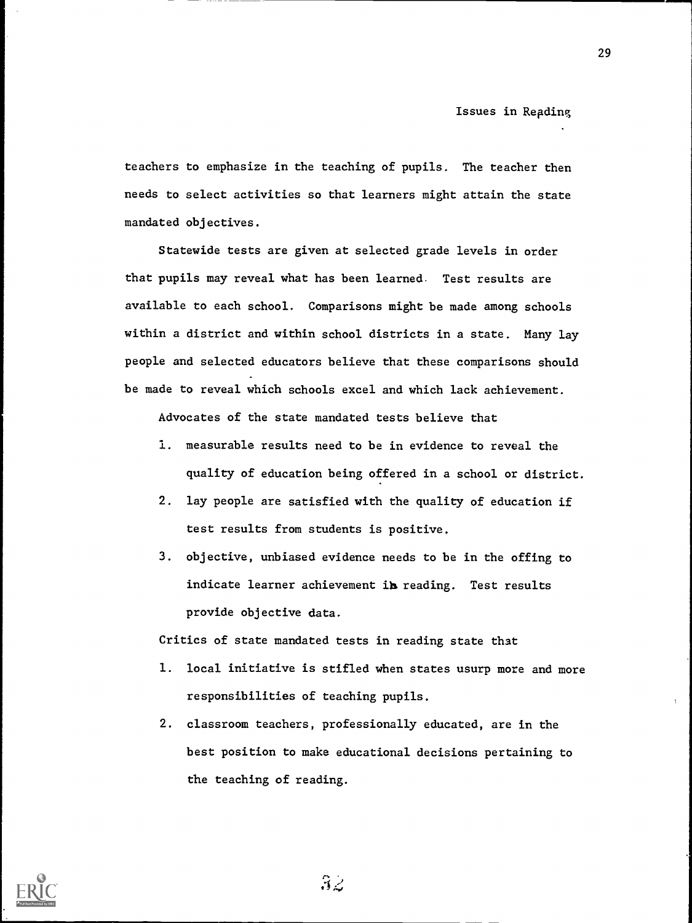teachers to emphasize in the teaching of pupils. The teacher then needs to select activities so that learners might attain the state mandated objectives.

Statewide tests are given at selected grade levels in order that pupils may reveal what has been learned. Test results are available to each school. Comparisons might be made among schools within a district and within school districts in a state. Many lay people and selected educators believe that these comparisons should be made to reveal which schools excel and which lack achievement.

Advocates of the state mandated tests believe that

- 1. measurable results need to be in evidence to reveal the quality of education being offered in a school or district.
- 2. lay people are satisfied with the quality of education if test results from students is positive.
- 3. objective, unbiased evidence needs to be in the offing to indicate learner achievement in reading. Test results provide objective data.

Critics of state mandated tests in reading state that

- 1. local initiative is stifled when states usurp more and more responsibilities of teaching pupils.
- 2. classroom teachers, professionally educated, are in the best position to make educational decisions pertaining to the teaching of reading.



 $3z$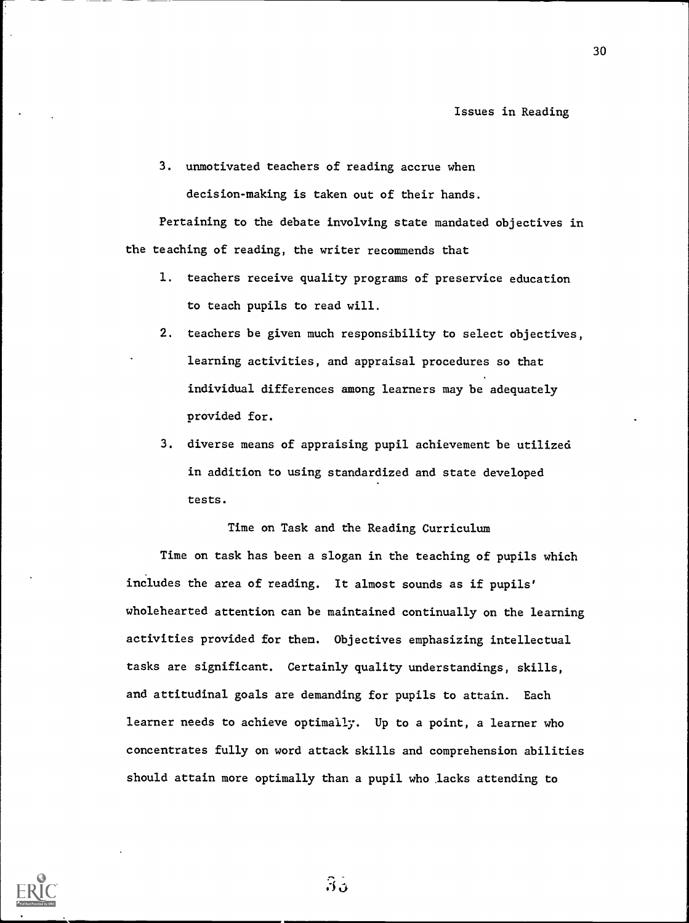3. unmotivated teachers of reading accrue when decision-making is taken out of their hands.

Pertaining to the debate involving state mandated objectives in the teaching of reading, the writer recommends that

- 1. teachers receive quality programs of preservice education to teach pupils to read will.
- 2. teachers be given much responsibility to select objectives, learning activities, and appraisal procedures so that individual differences among learners may be adequately provided for.
- 3. diverse means of appraising pupil achievement be utilized in addition to using standardized and state developed tests.

Time on Task and the Reading Curriculum

Time on task has been a slogan in the teaching of pupils which includes the area of reading. It almost sounds as if pupils' wholehearted attention can be maintained continually on the learning activities provided for them. Objectives emphasizing intellectual tasks are significant. Certainly quality understandings, skills, and attitudinal goals are demanding for pupils to attain. Each learner needs to achieve optimally. Up to a point, a learner who concentrates fully on word attack skills and comprehension abilities should attain more optimally than a pupil who ,lacks attending to



 $3<sub>0</sub>$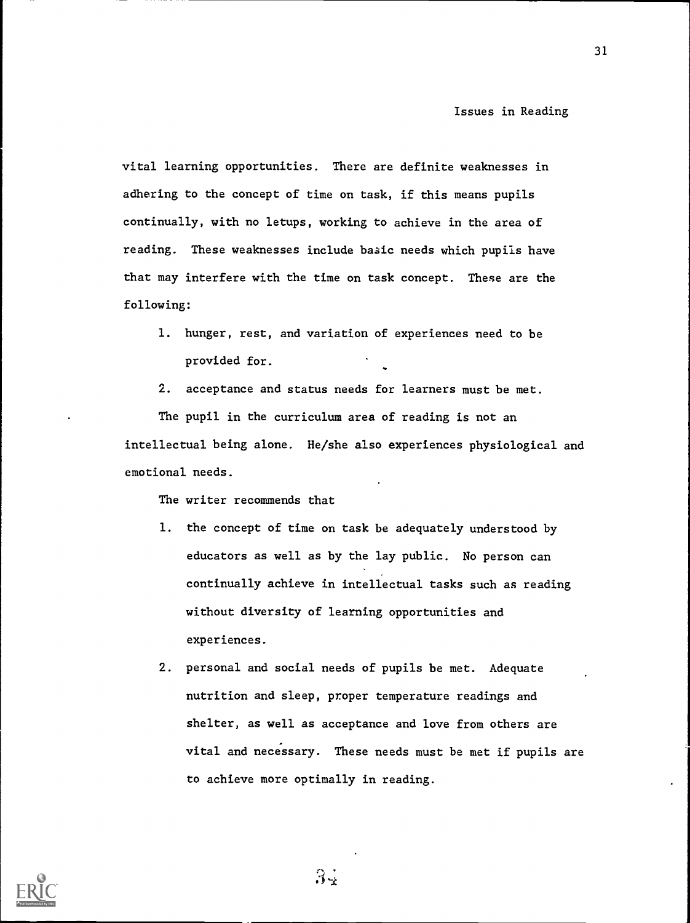vital learning opportunities. There are definite weaknesses in adhering to the concept of time on task, if this means pupils continually, with no letups, working to achieve in the area of reading. These weaknesses include baaic needs which pupils have that may interfere with the time on task concept. These are the following:

- 1. hunger, rest, and variation of experiences need to be provided for.
- 2. acceptance and status needs for learners must be met.

The pupil in the curriculum area of reading is not an intellectual being alone. He/she also experiences physiological and emotional needs.

The writer recommends that

- 1. the concept of time on task be adequately understood by educators as well as by the lay public. No person can continually achieve in intellectual tasks such as reading without diversity of learning opportunities and experiences.
- 2. personal and social needs of pupils be met. Adequate nutrition and sleep, proper temperature readings and shelter, as well as acceptance and love from others are vital and necessary. These needs must be met if pupils are to achieve more optimally in reading.



 $3\frac{1}{2}$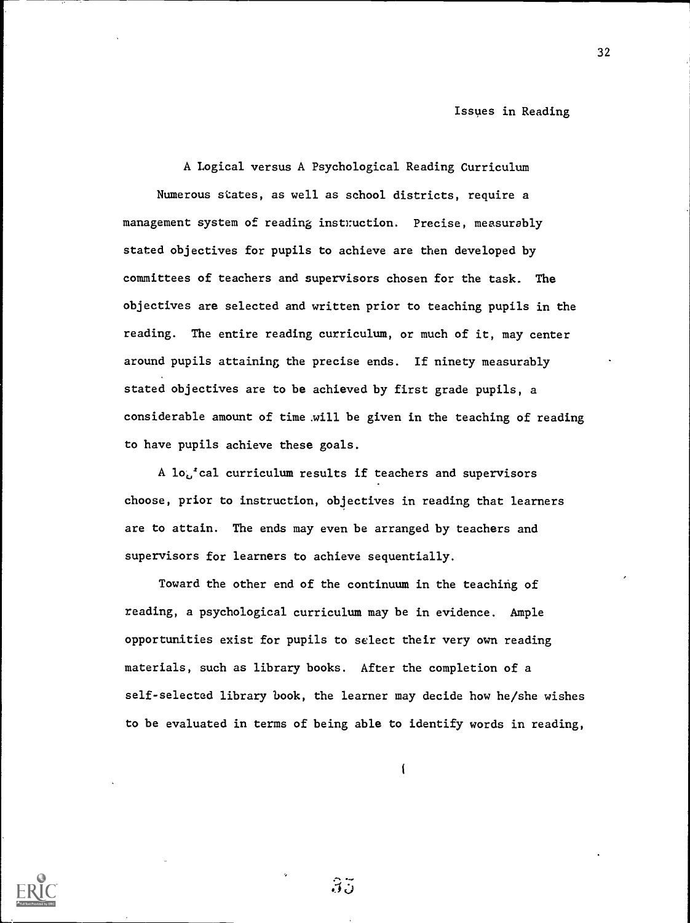A Logical versus A Psychological Reading Curriculum Numerous states, as well as school districts, require a management system of reading instruction. Precise, measurably stated objectives for pupils to achieve are then developed by committees of teachers and supervisors chosen for the task. The objectives are selected and written prior to teaching pupils in the reading. The entire reading curriculum, or much of it, may center around pupils attaining the precise ends. If ninety measurably stated objectives are to be achieved by first grade pupils, a considerable amount of time .will be given in the teaching of reading to have pupils achieve these goals.

A  $lo^t_{\omega}$  cal curriculum results if teachers and supervisors choose, prior to instruction, objectives in reading that learners are to attain. The ends may even be arranged by teachers and supervisors for learners to achieve sequentially.

Toward the other end of the continuum in the teaching of reading, a psychological curriculum may be in evidence. Ample opportunities exist for pupils to select their very own reading materials, such as library books. After the completion of a self-selected library book, the learner may decide how he/she wishes to be evaluated in terms of being able to identify words in reading,

 $\overline{1}$ 



 $35$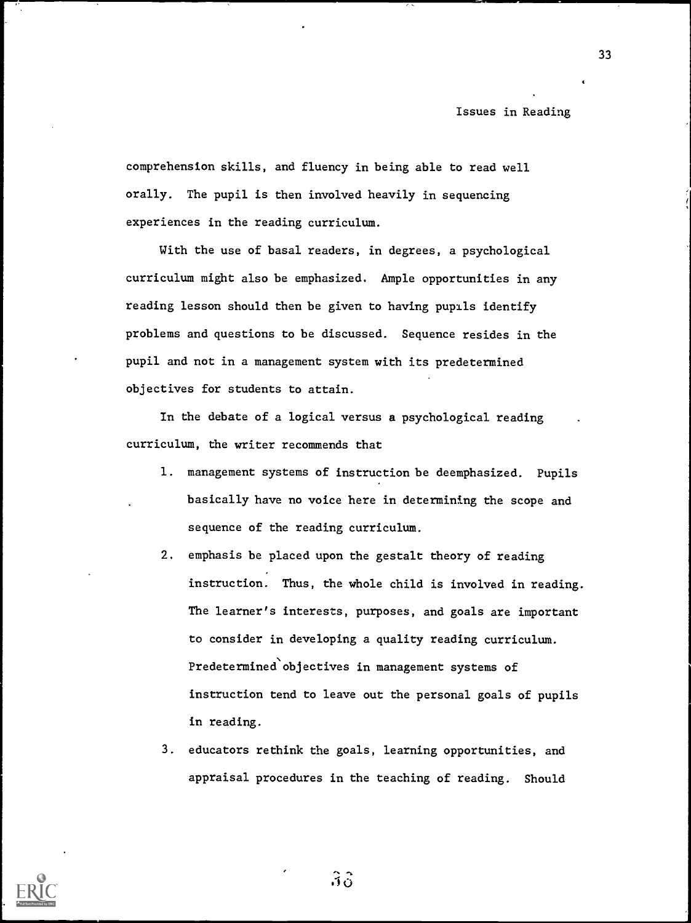comprehension skills, and fluency in being able to read well orally. The pupil is then involved heavily in sequencing experiences in the reading curriculum.

With the use of basal readers, in degrees, a psychological curriculum might also be emphasized. Ample opportunities in any reading lesson should then be given to having pupils identify problems and questions to be discussed. Sequence resides in the pupil and not in a management system with its predetermined objectives for students to attain.

In the debate of a logical versus a psychological reading curriculum, the writer recommends that

- 1. management systems of instruction be deemphasized. Pupils basically have no voice here in determining the scope and sequence of the reading curriculum.
- 2. emphasis be placed upon the gestalt theory of reading instruction. Thus, the whole child is involved in reading. The learner's interests, purposes, and goals are important to consider in developing a quality reading curriculum. Predetermined objectives in management systems of instruction tend to leave out the personal goals of pupils in reading.
- 3. educators rethink the goals, learning opportunities, and appraisal procedures in the teaching of reading. Should



 $\mathfrak{Z} \mathfrak{S}$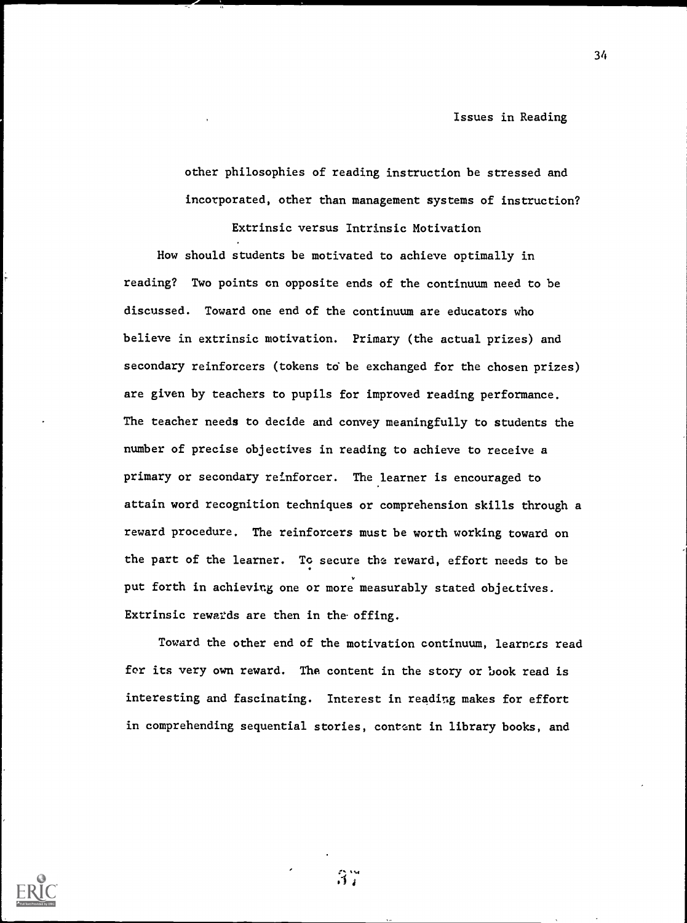other philosophies of reading instruction be stressed and incorporated, other than management systems of instruction?

Extrinsic versus Intrinsic Motivation

How should students be motivated to achieve optimally in reading? Two points on opposite ends of the continuum need to be discussed. Toward one end of the continuum are educators who believe in extrinsic motivation. Primary (the actual prizes) and secondary reinforcers (tokens to be exchanged for the chosen prizes) are given by teachers to pupils for improved reading performance. The teacher needs to decide and convey meaningfully to students the number of precise objectives in reading to achieve to receive a primary or secondary reinforcer. The learner is encouraged to attain word recognition techniques or comprehension skills through a reward procedure. The reinforcers must be worth working toward on the part of the learner. To secure the reward, effort needs to be put forth in achieving one or more measurably stated objectives. Extrinsic rewards are then in the offing.

Toward the other end of the motivation continuum, learncrs read for its very own reward. The content in the story or book read is interesting and fascinating. Interest in reading makes for effort in comprehending sequential stories, content in library books, and



 $3.7$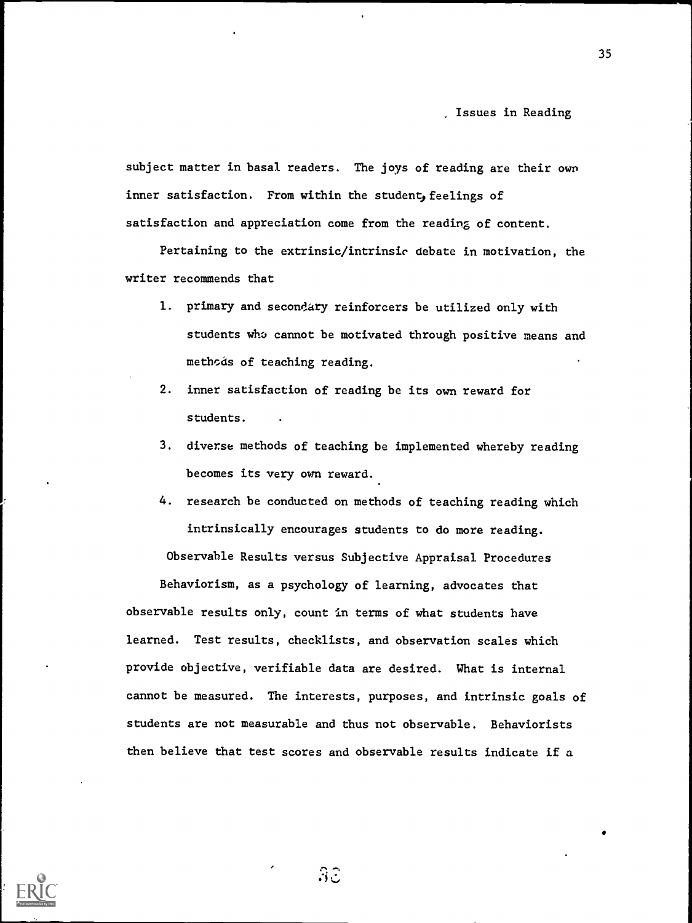subject matter in basal readers. The joys of reading are their own inner satisfaction. From within the student, feelings of satisfaction and appreciation come from the reading of content.

Pertaining to the extrinsic/intrinsic debate in motivation, the writer recommends that

- 1. primary and secondary reinforcers be utilized only with students who cannot be motivated through positive means and methods of teaching reading.
- 2. inner satisfaction of reading be its own reward for students.
- 3. diverse methods of teaching be implemented whereby reading becomes its very own reward.
- 4. research be conducted on methods of teaching reading which intrinsically encourages students to do more reading.

Observable Results versus Subjective Appraisal Procedures

Behaviorism, as a psychology of learning, advocates that observable results only, count in terms of what students have learned. Test results, checklists, and observation scales which provide objective, verifiable data are desired. What is internal cannot be measured. The interests, purposes, and intrinsic goals of students are not measurable and thus not observable. Behaviorists then believe that test scores and observable results indicate if a



 $\mathfrak{Z} \mathfrak{S}$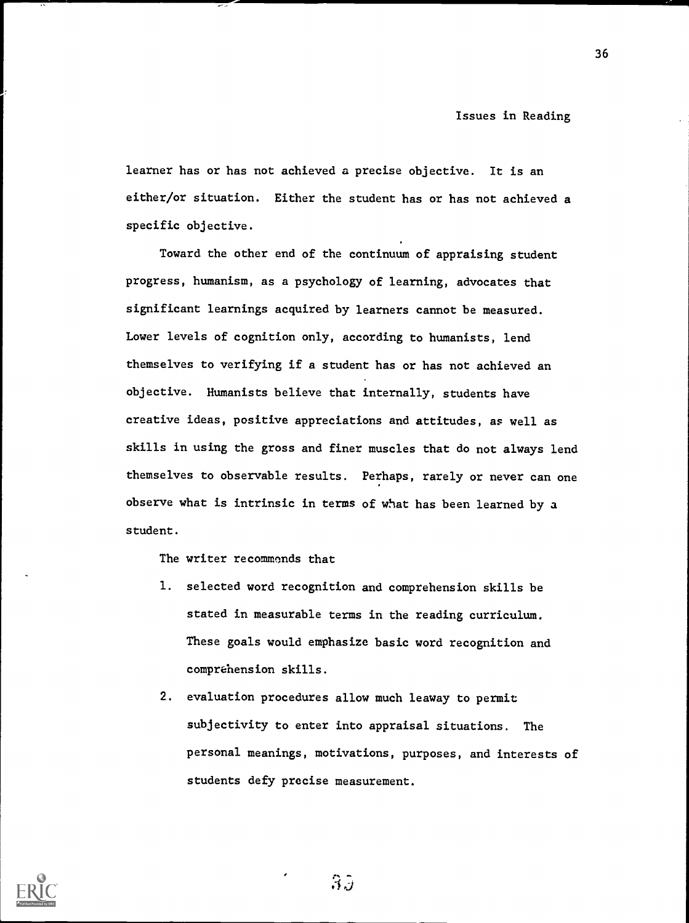learner has or has not achieved a precise objective. It is an either/or situation. Either the student has or has not achieved a specific objective.

Toward the other end of the continuum of appraising student progress, humanism, as a psychology of learning, advocates that significant learnings acquired by learners cannot be measured. Lower levels of cognition only, according to humanists, lend themselves to verifying if a student has or has not achieved an objective. Humanists believe that internally, students have creative ideas, positive appreciations and attitudes, as well as skills in using the gross and finer muscles that do not always lend themselves to observable results. Perhaps, rarely or never can one observe what is intrinsic in terms of what has been learned by a student.

The writer recommonds that

- 1. selected word recognition and comprehension skills be stated in measurable terms in the reading curriculum. These goals would emphasize basic word recognition and comprehension skills.
- 2. evaluation procedures allow much leaway to permit subjectivity to enter into appraisal situations. The personal meanings, motivations, purposes, and interests of students defy precise measurement.



 $3\beta$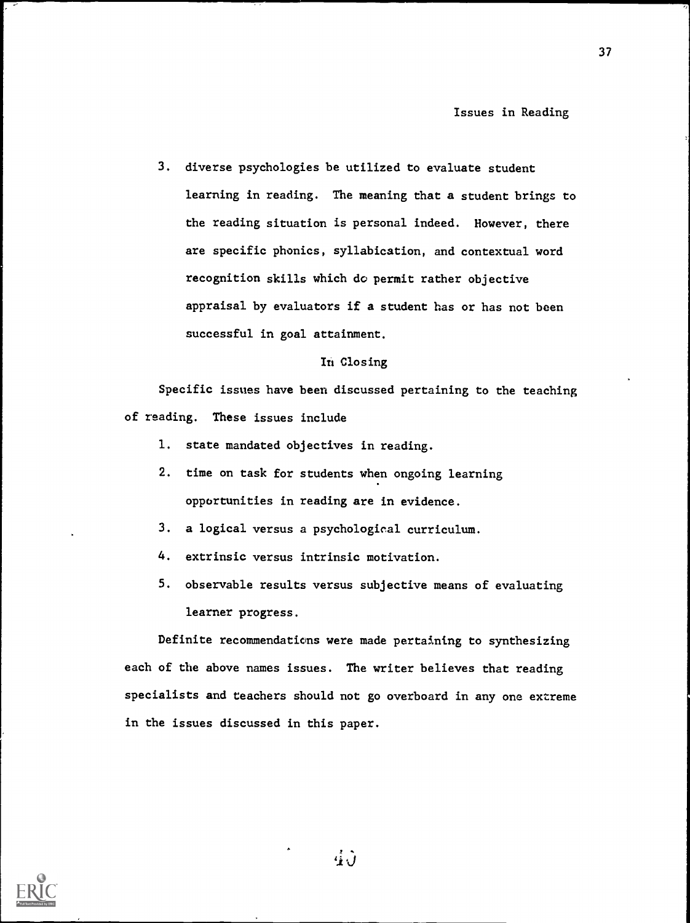3. diverse psychologies be utilized to evaluate student learning in reading. The meaning that a student brings to the reading situation is personal indeed. However, there are specific phonics, syllabication, and contextual word recognition skills which do permit rather objective appraisal by evaluators if a student has or has not been successful in goal attainment.

### In Closing

Specific issues have been discussed pertaining to the teaching of reading. These issues include

- 1. state mandated objectives in reading.
- 2. time on task for students when ongoing learning opportunities in reading are in evidence.
- 3. a logical versus a psychological curriculum.
- 4. extrinsic versus intrinsic motivation.
- 5. observable results versus subjective means of evaluating learner progress.

Definite recommendations were made pertaining to synthesizing each of the above names issues. The writer believes that reading specialists and teachers should not go overboard in any one extreme in the issues discussed in this paper.



 $\vec{u}$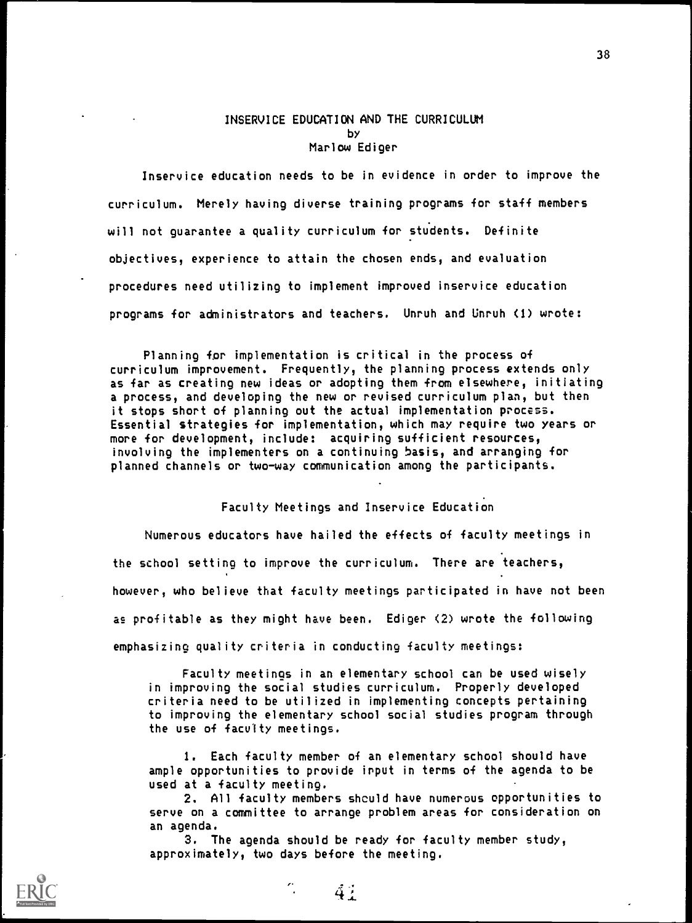### INSERVICE EDUCATION AND THE CURRICULUM by Marlow Ediger

Inservice education needs to be in evidence in order to improve the curriculum. Merely having diverse training programs for staff members will not guarantee a quality curriculum for students. Definite objectives, experience to attain the chosen ends, and evaluation procedures need utilizing to implement improved inservice education programs for administrators and teachers. Unruh and Unruh (I) wrote:

Planning for implementation is critical in the process of curriculum improvement. Frequently, the planning process extends only as far as creating new ideas or adopting them from elsewhere, initiating a process, and developing the new or revised curriculum plan, but then it stops short of planning out the actual implementation pnocess. Essential strategies for implementation, which may require two years or more for development, include: acquiring sufficient resources, involving the implementers on a continuing basis, and arranging for planned channels or two-way communication among the participants.

#### Faculty Meetings and Inservice Education

Numerous educators have hailed the effects of faculty meetings in the school setting to improve the curriculum. There are teachers, however, who believe that faculty meetings participated in have not been as profitable as they might have been. Ediger (2) wrote the following emphasizing quality criteria in conducting faculty meetings:

Faculty meetings in an elementary school can be used wisely in improving the social studies curriculum. Properly developed criteria need to be utilized in implementing concepts pertaining to improving the elementary school social studies program through the use of faculty meetings.

I. Each faculty member of an elementary school should have ample opportunities to provide input in terms of the agenda to be used at a faculty meeting.

2. All faculty members shculd have numerous opportunities to serve on a committee to arrange problem areas for consideration on an agenda.

3. The agenda should be ready for faculty member study, approximately, two days before the meeting.



38

 $4.1$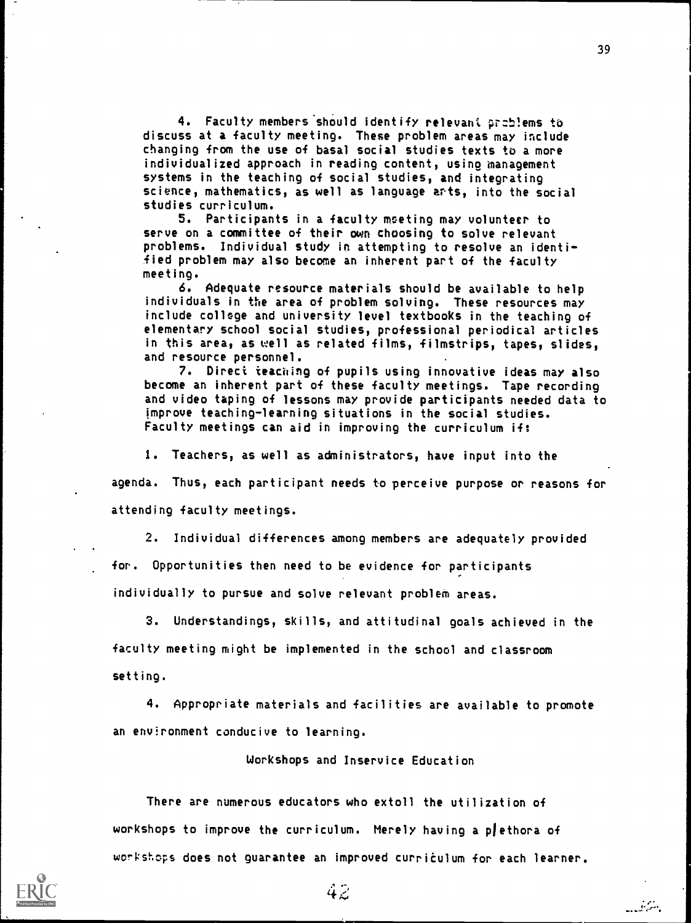4. Faculty members should identify relevant preblems to discuss at a faculty meeting. These problem areas may include changing from the use of basal social studies texts to a more individualized approach in reading content, using management systems in the teaching of social studies, and integrating science, mathematics, as well as language arts, into the social studies curriculum.

5. Participants in a faculty meeting may volunteer to serve on a committee of their own choosing to solve relevant problems. Individual study in attempting to resolve an identified problem may also become an inherent part of the faculty meeting.

6. Adequate resource materials should be available to help individuals in the area of problem solving. These resources may include college and university level textbooks in the teaching of elementary school social studies, professional periodical articles in this area, as well as related films, filmstrips, tapes, slides, and resource personnel.

7. Direct teaching of pupils using innovative ideas may also become an inherent part of these faculty meetings. Tape recording and video taping of lessons may provide participants needed data to improve teaching-learning situations in the social studies. Faculty meetings can aid in improving the curriculum if:

I. Teachers, as well as administrators, have input into the

agenda. Thus, each participant needs to perceive purpose or reasons for attending faculty meetings.

2. Individual differences among members are adequately provided for. Opportunities then need to be evidence for participants individually to pursue and solve relevant problem areas.

3. Understandings, skills, and attitudinal goals achieved in the faculty meeting might be implemented in the school and classroom setting.

4. Appropriate materials and facilities are available to promote an environment conducive to learning.

Workshops and Inservice Education

There are numerous educators who extoll the utilization of workshops to improve the curriculum. Merely having a plethora of workshops does not guarantee an improved curriculum for each learner.

يستنشط



 $4\tilde{z}$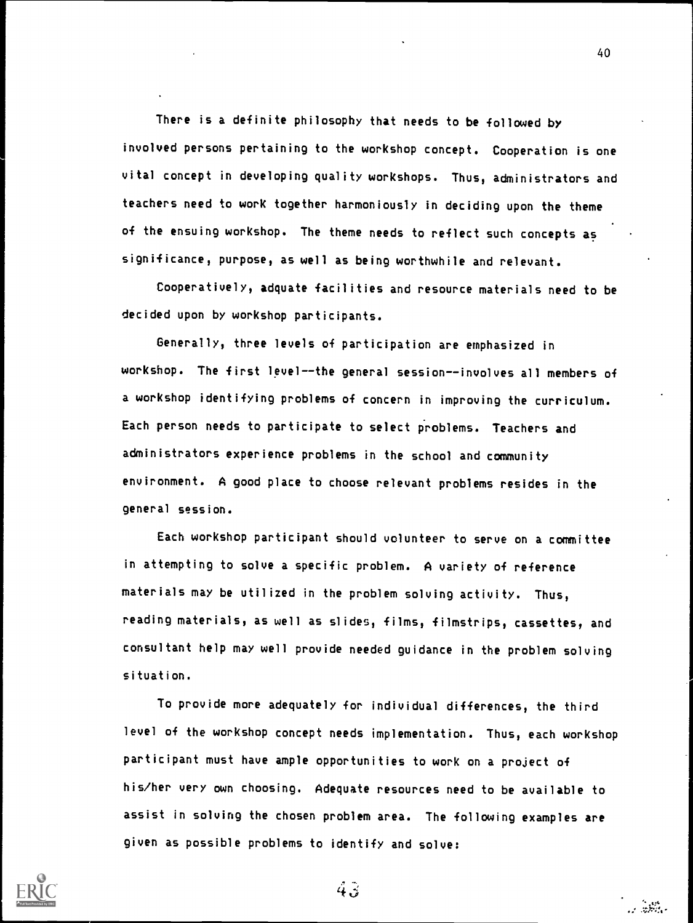There is a definite philosophy that needs to be followed by involved persons pertaining to the workshop concept. Cooperation is one vital concept in developing quality workshops. Thus, administrators and teachers need to work together harmoniously in deciding upon the theme of the ensuing workshop. The theme needs to reflect such concepts as significance, purpose, as well as being worthwhile and relevant.

Cooperatively, adquate facilities and resource materials need to be decided upon by workshop participants.

Generally, three levels of participation are emphasized in workshop. The first level--the general session--involves all members of a workshop identifying problems of concern in improving the curriculum. Each person needs to participate to select problems. Teachers and administrators experience problems in the school and community environment. A good place to choose relevant problems resides in the general session.

Each workshop participant should volunteer to serve on a committee in attempting to solve a specific problem. A variety of reference materials may be utilized in the problem solving activity. Thus, reading materials, as well as slides, films, filmstrips, cassettes, and consultant help may well provide needed guidance in the problem solving situation.

To provide more adequately for individual differences, the third level of the workshop concept needs implementation. Thus, each workshop participant must have ample opportunities to work on a project of his/her very own choosing. Adequate resources need to be available to assist in solving the chosen problem area. The following examples are given as possible problems to identify and solve:



ر ويون<br>د ويون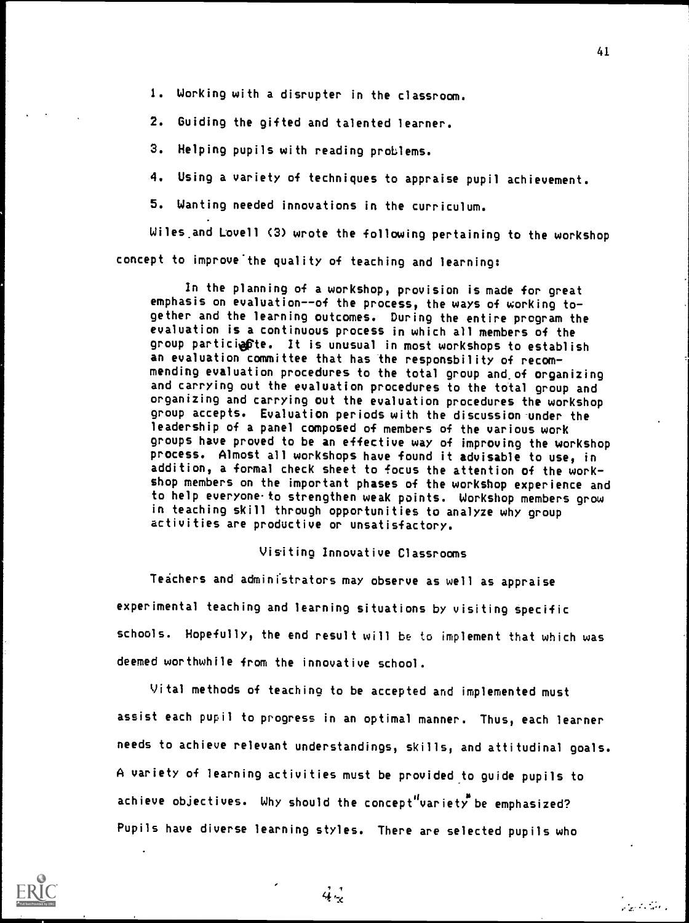1. Working with a disrupter in the classroom.

2. Guiding the gifted and talented learner.

3. Helping pupils with reading problems.

4. Using a variety of techniques to appraise pupil achievement.

5. Wanting needed innovations in the curriculum.

Wiles.and Lovell (3) wrote the following pertaining to the workshop concept to improve the quality of teaching and learning:

In the planning of a workshop, provision is made for great emphasis on evaluation--of the process, the ways of working together and the learning outcomes. During the entire program the evaluation is a continuous process in which all members of the group particiente. It is unusual in most workshops to establish an evaluation committee that has the responsbility of recommending evaluation procedures to the total group and,of organizing and carrying out the evaluation procedures to the total group and organizing and carrying out the evaluation procedures the workshop group accepts. Evaluation periods with the discussion under the leadership of a panel composed of members of the various work groups have proved to be an effective way of improving the workshop process. Almost all workshops have found it advisable to use, in addition, a formal check sheet to focus the attention of the workshop members on the important phases of the workshop experience and to help everyone to strengthen weak points. Workshop members grow in teaching skill through opportunities to analyze why group activities are productive or unsatisfactory.

# Visiting Innovative Classrooms

Teachers and administrators may observe as well as appraise experimental teaching and learning situations by visiting specific schools. Hopefully, the end result will be to implement that which was deemed worthwhile from the innovative school.

Vital methods of teaching to be accepted and implemented must assist each pupil to progress in an optimal manner. Thus, each learner needs to achieve relevant understandings, skills, and attitudinal goals. A variety of learning activities must be provided to guide pupils to achieve objectives. Why should the concept variety be emphasized? Pupils have diverse learning styles. There are selected pupils who

 $4\frac{1}{2}$ 



41

والمقتربة وممارك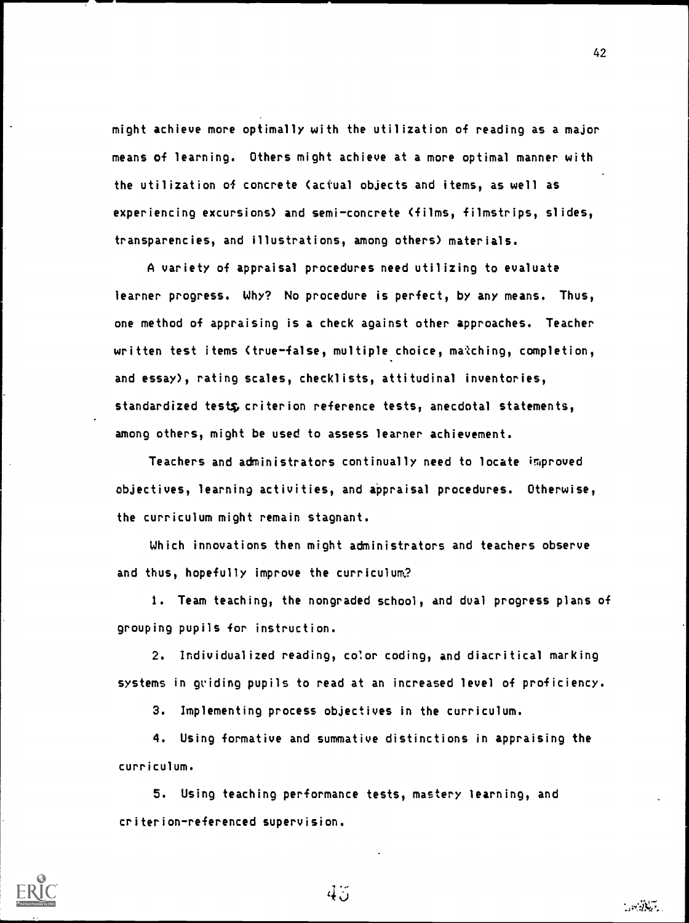might achieve more optimally with the utilization of reading as a major means of learning. Others might achieve at a more optimal manner with the utilization of concrete (actual objects and items, as well as experiencing excursions) and semi-concrete (films, filmstrips, slides, transparencies, and illustrations, among others) materials.

A variety of appraisal procedures need utilizing to evaluate learner progress. Why? No procedure is perfect, by any means. Thus, one method of appraising is a check against other approaches. Teacher written test items (true-false, multiple choice, matching, completion, and essay), rating scales, checklists, attitudinal inventories, standardized testg, criterion reference tests, anecdotal statements, among others, might be used to assess learner achievement.

Teachers and administrators continually need to locate improved objectives, learning activities, and appraisal procedures. Otherwise, the curriculum might remain stagnant.

Which innovations then might administrators and teachers observe and thus, hopefully improve the curriculum?

1. Team teaching, the nongraded school, and dual progress plans of grouping pupils for instruction.

2. Individualized reading, color coding, and diacritical marking systems in guiding pupils to read at an increased level of proficiency.

3. Implementing process objectives in the curriculum.

4. Using formative and summative distinctions in appraising the curriculum.

5. Using teaching performance tests, mastery learning, and criterion-referenced supervision.



 $4.5^{\circ}$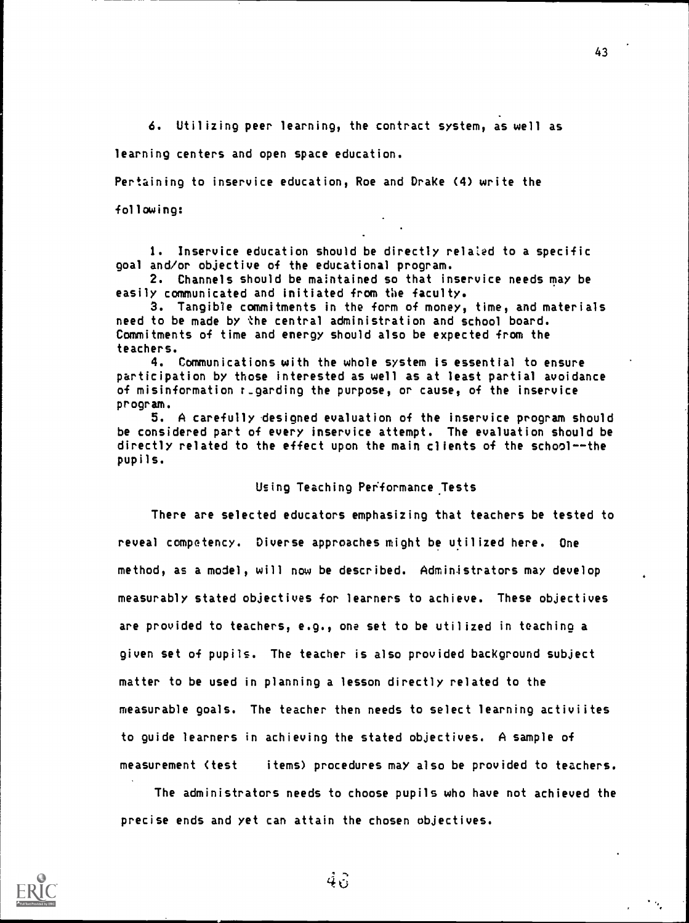6. Utilizing peer learning, the contract system, as well as

learning centers and open space education.

Pertaining to inservice education, Roe and Drake (4) write the

following:

1. Inservice education should be directly related to a specific goal and/or objective of the educational program.

2. Channels should be maintained so that inservice needs may be easily communicated and initiated from the faculty.

3. Tangible commitments in the form of money, time, and materials need to be made by the central administration and school board. Commitments of time and energy should also be expected from the teachers.

4. Communications with the whole system is essential to ensure participation by those interested as well as at least partial avoidance of misinformation r\_garding the purpose, or cause, of the inservice program.

5. A carefully designed evaluation of the inservice program should be considered part of every inservice attempt. The evaluation should be directly related to the effect upon the main clients of the school--the pupils.

#### Using Teaching Performance. Tests

There are selected educators emphasizing that teachers be tested to reveal competency. Diverse approaches might be utilized here. One method, as a model, will now be described. Administrators may develop measurably stated objectives for learners to achieve. These objectives are provided to teachers, e.g., one set to be utilized in teaching a given set of pupils. The teacher is also provided background subject matter to be used in planning a lesson directly related to the measurable goals. The teacher then needs to select learning activiites to guide learners in achieving the stated objectives. A sample of measurement (test items) procedures may also be provided to teachers.

The administrators needs to choose pupils who have not achieved the precise ends and yet can attain the chosen objectives.



 $4\hat{6}$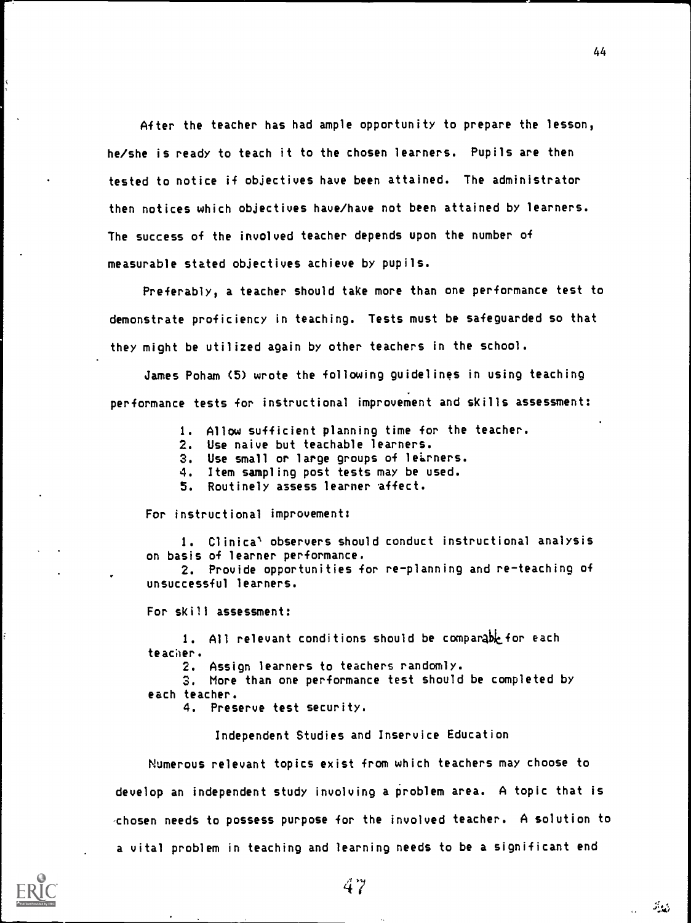After the teacher has had ample opportunity to prepare the lesson, he/she is ready to teach it to the chosen learners. Pupils are then tested to notice if objectives have been attained. The administrator then notices which objectives have/have not been attained by learners. The success of the involved teacher depends upon the number of measurable stated objectives achieve by pupils.

Preferably, a teacher should take more than one performance test to demonstrate proficiency in teaching. Tests must be safeguarded so that they might be utilized again by other teachers in the school.

James Poham (5) wrote the following guidelines in using teaching performance tests for instructional improvement and skills assessment:

- 1. Allow sufficient planning time for the teacher.
- 2. Use naive but teachable learners.
- 3. Use small or large groups of learners.
- 4. Item sampling post tests may be used.
- 5. Routinely assess learner affect.

For instructional improvement:

1. Clinica' observers should conduct instructional analysis on basis of learner performance.

2. Provide opportunities for replanning and reteaching of unsuccessful learners.

For skill assessment:

1. All relevant conditions should be comparable for each teacher.

2. Assign learners to teachers randomly.

3. More than one performance test should be completed by each teacher.

4. Preserve test security.

Independent Studies and Inservice Education

Numerous relevant topics exist from which teachers may choose to develop an independent study involving a problem area. A topic that is -chosen needs to possess purpose for the involved teacher. A solution to a vital problem in teaching and learning needs to be a significant end



فعايته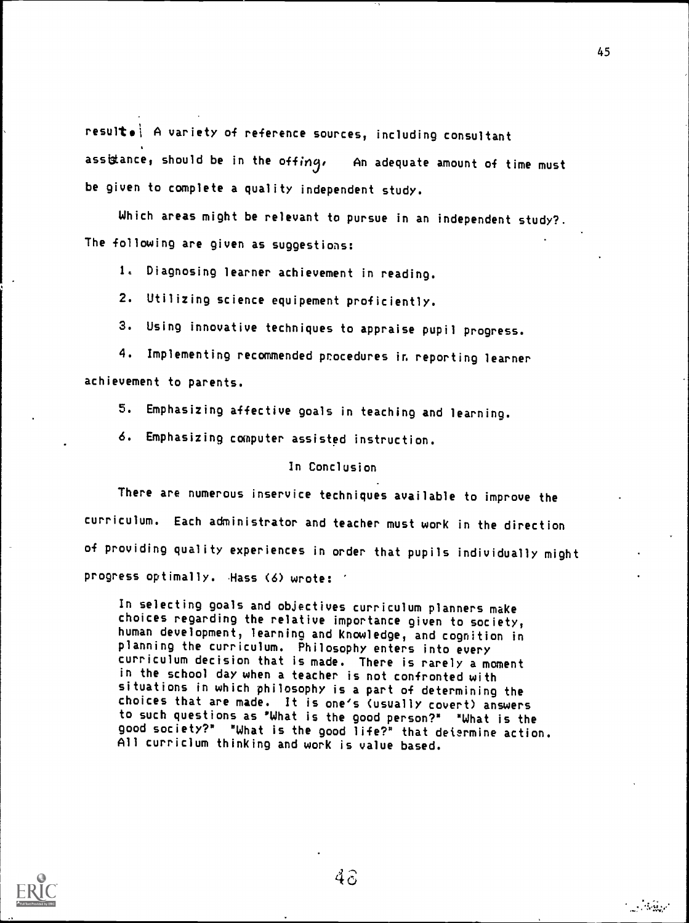result. A variety of reference sources, including consultant assistance, should be in the offing, An adequate amount of time must be given to complete a quality independent study.

Which areas might be relevant to pursue in an independent study?. The following are given as suggestions:

1. Diagnosing learner achievement in reading.

- 2. Utilizing science equipement proficiently.
- 3. Using innovative techniques to appraise pupil progress.

4. Implementing recommended procedures in reporting learner achievement to parents.

5. Emphasizing affective goals in teaching and learning.

6. Emphasizing computer assisted instruction.

### In Conclusion

There are numerous inservice techniques available to improve the curriculum. Each administrator and teacher must work in the direction of providing quality experiences in order that pupils individually might progress optimally. Hass (6) wrote:

In selecting goals and objectives curriculum planners make choices regarding the relative importance given to society, human development, learning and knowledge, and cognition in planning the curriculum. Philosophy enters into every curriculum decision that is made. There is rarely a moment in the school day when a teacher is not confronted with situations in which philosophy is a part of determining the to such questions as "What is the good person?" "What is the good society?" "What is the good life?" that determine action. All curriclum thinking and work is value based.



 $4\hat{c}$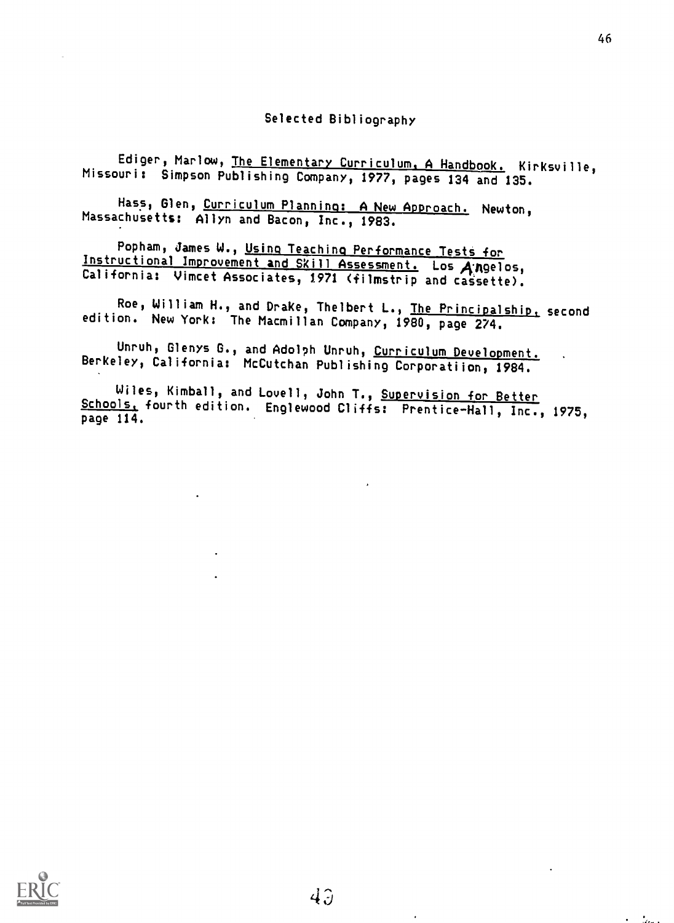46

Żл.

Ediger, Marlow, The Elementary Curriculum. A Handbook. Kirksville, Missouri: Simpson Publishing Company, 1977, pages 134 and 135.

Hass, Glen, Curriculum Planning: A New Approach. Newton, Massachusetts: Allyn and Bacon, Inc., 1983.

Popham, James W., Using Teaching Performance Tests for Instructional Improvement and Skill Assessment. Los Angelos, California: Vimcet Associates, 1971 (filmstrip and cassette).

Roe, William H., and Drake, Thelbert L., The Principalship, second edition. New York: The Macmillan Company, 1980, page 274.

Unruh, Glenys G., and Adolph Unruh, Curriculum Development. Berkeley, California: McCutchan Publishing Corporatiion, 1984.

Wiles, Kimball, and Lovell, John T., Supervision for Better Schools, fourth edition. Englewood Cliffs: Prentice-Hall, Inc., 1975, page 114.

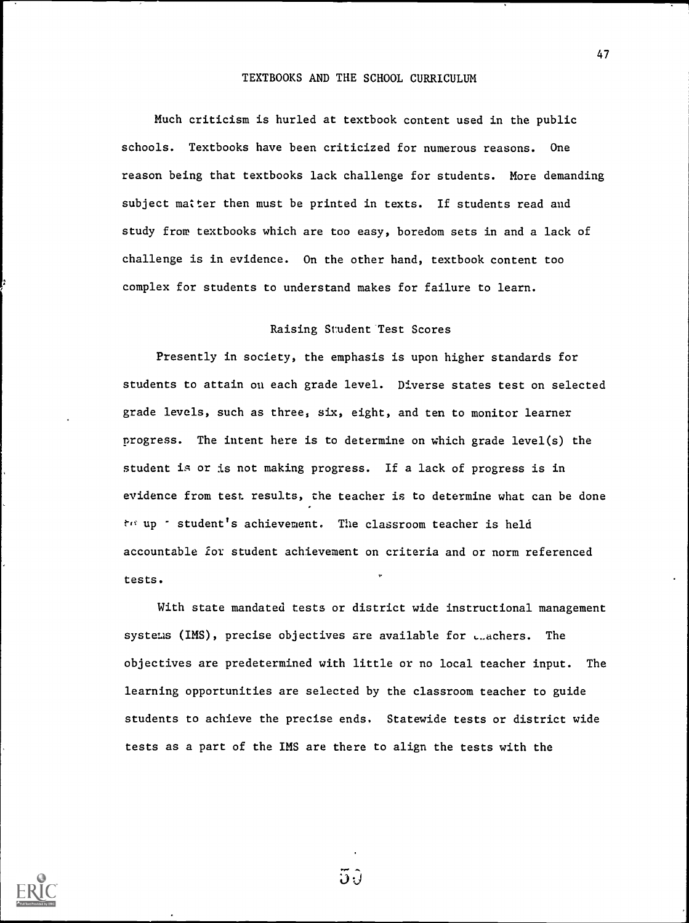### TEXTBOOKS AND THE SCHOOL CURRICULUM

Much criticism is hurled at textbook content used in the public schools. Textbooks have been criticized for numerous reasons. One reason being that textbooks lack challenge for students. More demanding subject matter then must be printed in texts. If students read and study from textbooks which are too easy, boredom sets in and a lack of challenge is in evidence. On the other hand, textbook content too complex for students to understand makes for failure to learn.

### Raising Student Test Scores

Presently in society, the emphasis is upon higher standards for students to attain on each grade level. Diverse states test on selected grade levels, such as three, six, eight, and ten to monitor learner progress. The intent here is to determine on which grade level(s) the student is or is not making progress. If a lack of progress is in evidence from test results, the teacher is to determine what can be done  $t<sup>0</sup>$  up  $\tau$  student's achievement. The classroom teacher is held accountable for student achievement on criteria and or norm referenced tests.

With state mandated tests or district wide instructional management systems (IMS), precise objectives are available for ...achers. The objectives are predetermined with little or no local teacher input. The learning opportunities are selected by the classroom teacher to guide students to achieve the precise ends. Statewide tests or district wide tests as a part of the IMS are there to align the tests with the



 $5\hat{y}$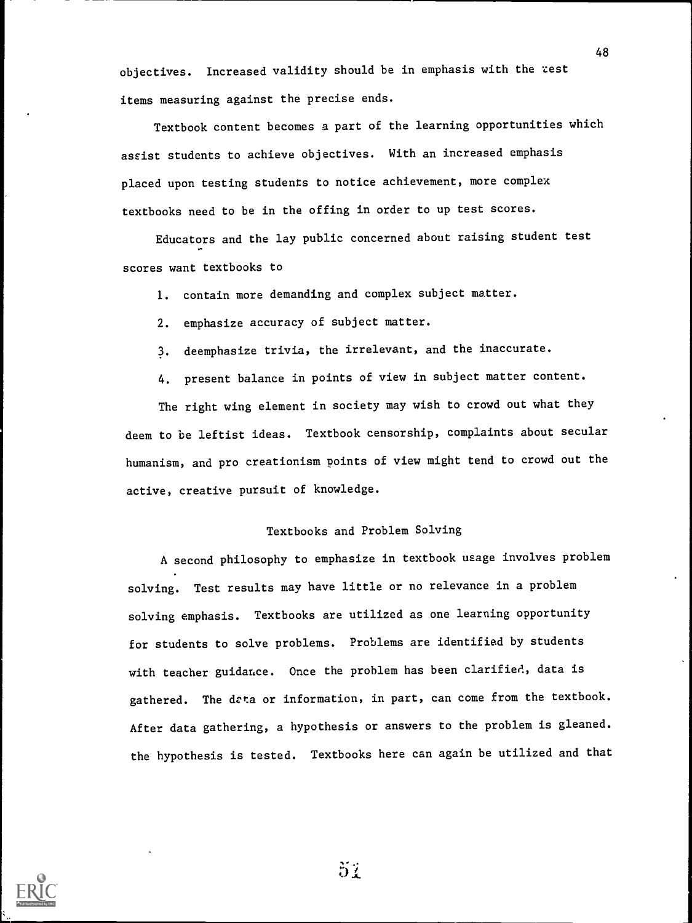objectives. Increased validity should be in emphasis with the zest items measuring against the precise ends.

Textbook content becomes a part of the learning opportunities which assist students to achieve objectives. With an increased emphasis placed upon testing students to notice achievement, more complex textbooks need to be in the offing in order to up test scores.

Educators and the lay public concerned about raising student test scores want textbooks to

I. contain more demanding and complex subject matter.

2. emphasize accuracy of subject matter.

3. deemphasize trivia, the irrelevant, and the inaccurate.

4. present balance in points of view in subject matter content.

The right wing element in society may wish to crowd out what they deem to be leftist ideas. Textbook censorship, complaints about secular humanism, and pro creationism points of view might tend to crowd out the active, creative pursuit of knowledge.

## Textbooks and Problem Solving

A second philosophy to emphasize in textbook usage involves problem solving. Test results may have little or no relevance in a problem solving emphasis. Textbooks are utilized as one learning opportunity for students to solve problems. Problems are identified by students with teacher guidance. Once the problem has been clarified, data is gathered. The drta or information, in part, can come from the textbook. After data gathering, a hypothesis or answers to the problem is gleaned. the hypothesis is tested. Textbooks here can again be utilized and that



 $5/$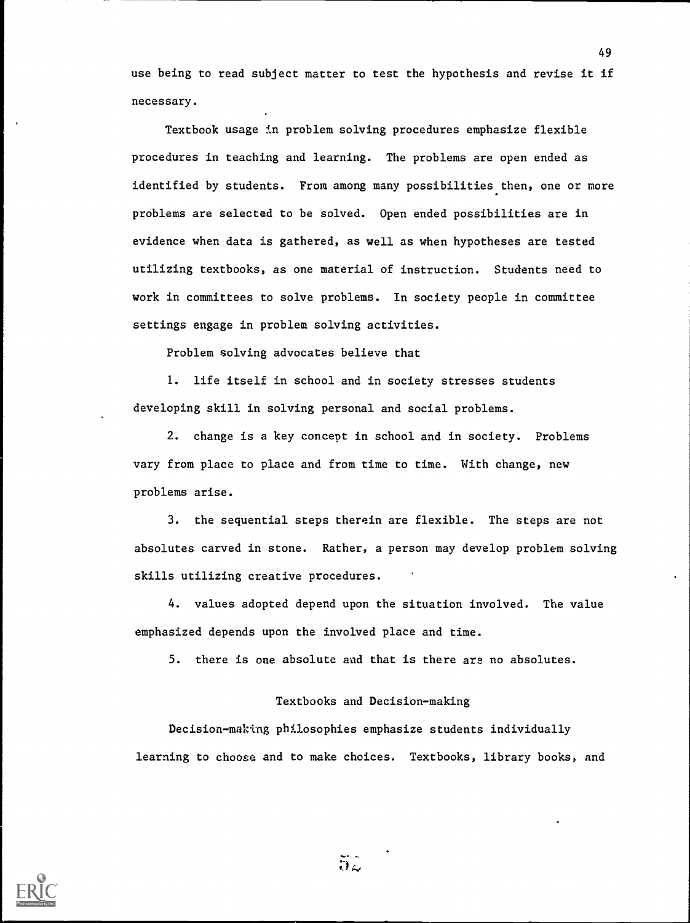use being to read subject matter to test the hypothesis and revise it if necessary.

Textbook usage in problem solving procedures emphasize flexible procedures in teaching and learning. The problems are open ended as identified by students. From among many possibilities then, one or more problems are selected to be solved. Open ended possibilities are in evidence when data is gathered, as well as when hypotheses are tested utilizing textbooks, as one material of instruction. Students need to work in committees to solve problems. In society people in committee settings engage in problem solving activities.

Problem solving advocates believe that

1. life itself in school and in society stresses students developing skill in solving personal and social problems.

2. change is a key concept in school and in society. Problems vary from place to place and from time to time. With change, new problems arise.

3. the sequential steps therein are flexible. The steps are not absolutes carved in stone. Rather, a person may develop problem solving skills utilizing creative procedures.

4. values adopted depend upon the situation involved. The value emphasized depends upon the involved place and time.

5. there is one absolute and that is there are no absolutes.

#### Textbooks and Decision-making

Decision-making philosophies emphasize students individually learning to choose and to make choices. Textbooks, library books, and



 $52$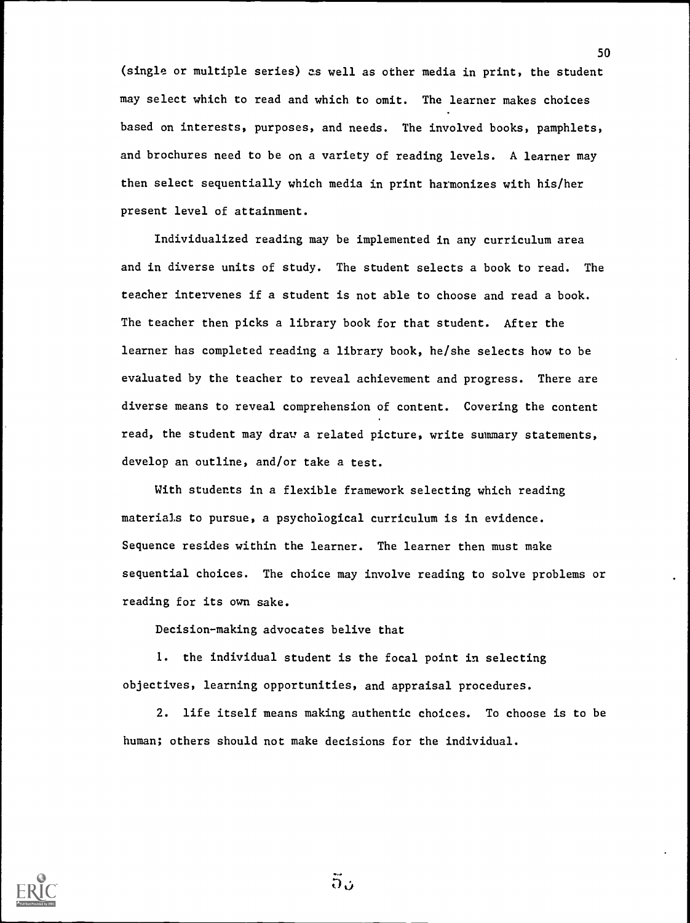(single or multiple series) as well as other media in print, the student may select which to read and which to omit. The learner makes choices based on interests, purposes, and needs. The involved books, pamphlets, and brochures need to be on a variety of reading levels. A learner may then select sequentially which media in print harmonizes with his/her present level of attainment.

Individualized reading may be implemented in any curriculum area and in diverse units of study. The student selects a book to read. The teacher intervenes if a student is not able to choose and read a book. The teacher then picks a library book for that student. After the learner has completed reading a library book, he/she selects how to be evaluated by the teacher to reveal achievement and progress. There are diverse means to reveal comprehension of content. Covering the content read, the student may draw a related picture, write summary statements, develop an outline, and/or take a test.

With students in a flexible framework selecting which reading materials to pursue, a psychological curriculum is in evidence. Sequence resides within the learner. The learner then must make sequential choices. The choice may involve reading to solve problems or reading for its own sake.

Decision-making advocates belive that

1. the individual student is the focal point in selecting objectives, learning opportunities, and appraisal procedures.

2. life itself means making authentic choices. To choose is to be human; others should not make decisions for the individual.



 $5.5$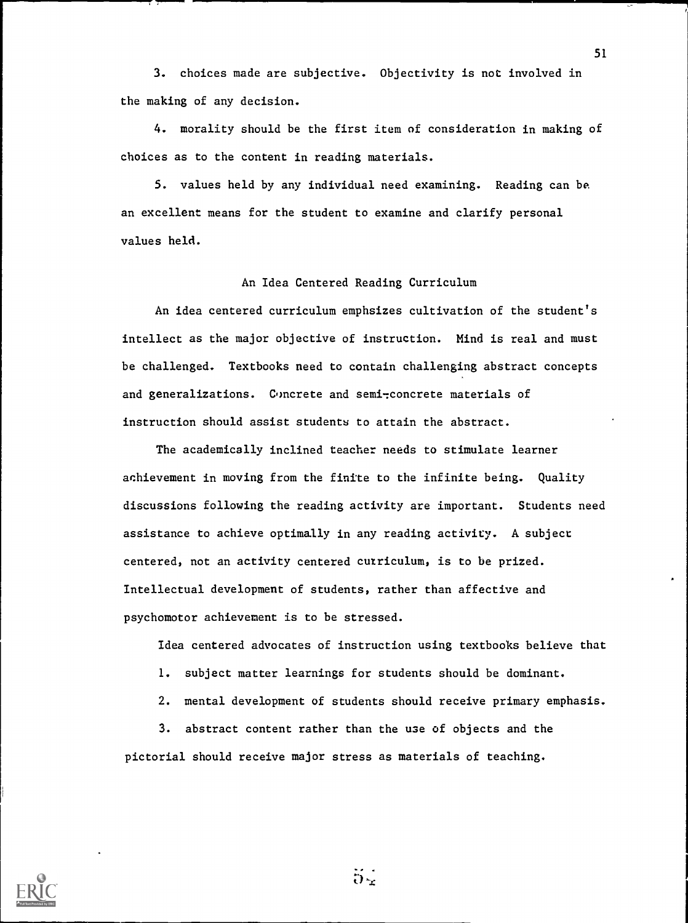3. choices made are subjective. Objectivity is not involved in the making of any decision.

4. morality should be the first item of consideration in making of choices as to the content in reading materials.

5. values held by any individual need examining. Reading can be an excellent means for the student to examine and clarify personal values held.

#### An Idea Centered Reading Curriculum

An idea centered curriculum emphsizes cultivation of the student's intellect as the major objective of instruction. Mind is real and must be challenged. Textbooks need to contain challenging abstract concepts and generalizations. Concrete and semi-concrete materials of instruction should assist students to attain the abstract.

The academically inclined teacher needs to stimulate learner achievement in moving from the finite to the infinite being. Quality discussions following the reading activity are important. Students need assistance to achieve optimally in any reading activity. A subject centered, not an activity centered curriculum, is to be prized. Intellectual development of students, rather than affective and psychomotor achievement is to be stressed.

Idea centered advocates of instruction using textbooks believe that

- 1. subject matter learnings for students should be dominant.
- 2. mental development of students should receive primary emphasis.

3. abstract content rather than the use of objects and the pictorial should receive major stress as materials of teaching.



 $5\frac{1}{2}$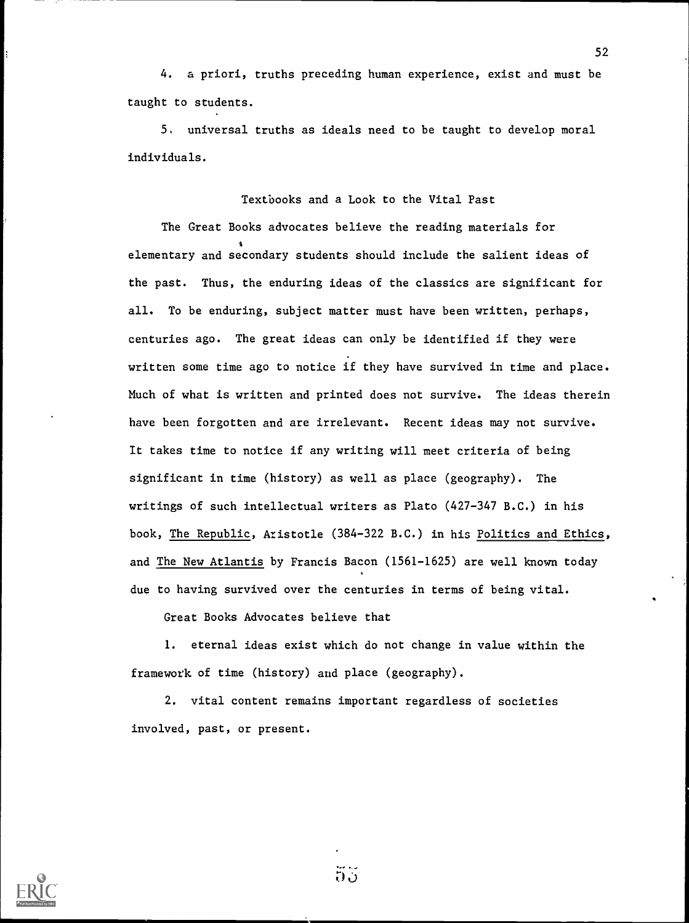4. a priori, truths preceding human experience, exist and must be taught to students.

5. universal truths as ideals need to be taught to develop moral individuals.

Textbooks and a Look to the Vital Past

The Great Books advocates believe the reading materials for 4 elementary and secondary students should include the salient ideas of the past. Thus, the enduring ideas of the classics are significant for all. To be enduring, subject matter must have been written, perhaps, centuries ago. The great ideas can only be identified if they were written some time ago to notice if they have survived in time and place. Much of what is written and printed does not survive. The ideas therein have been forgotten and are irrelevant. Recent ideas may not survive. It takes time to notice if any writing will meet criteria of being significant in time (history) as well as place (geography). The writings of such intellectual writers as Plato (427-347 B.C.) in his book, The Republic, Aristotle (384-322 B.C.) in his Politics and Ethics, and The New Atlantis by Francis Bacon (1561-1625) are well known today due to having survived over the centuries in terms of being vital.

Great Books Advocates believe that

1. eternal ideas exist which do not change in value within the framework of time (history) and place (geography).

2. vital content remains important regardless of societies involved, past, or present.



ភីភី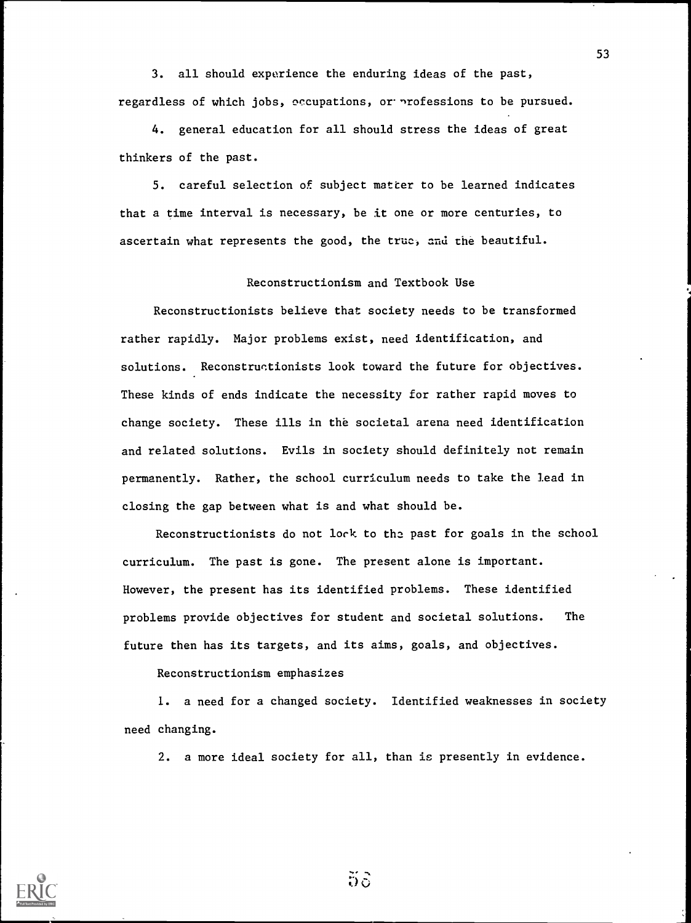3. all should experience the enduring ideas of the past, regardless of which jobs, occupations, or nrofessions to be pursued.

4. general education for all should stress the ideas of great thinkers of the past.

5. careful selection of subject matter to be learned indicates that a time interval is necessary, be it one or more centuries, to ascertain what represents the good, the true, and the beautiful.

### Reconstructionism and Textbook Use

Reconstructionists believe that society needs to be transformed rather rapidly. Major problems exist, need identification, and solutions. Reconstructionists look toward the future for objectives. These kinds of ends indicate the necessity for rather rapid moves to change society. These ills in the societal arena need identification and related solutions. Evils in society should definitely not remain permanently. Rather, the school curriculum needs to take the lead in closing the gap between what is and what should be.

Reconstructionists do not lock to the past for goals in the school curriculum. The past is gone. The present alone is important. However, the present has its identified problems. These identified problems provide objectives for student and societal solutions. The future then has its targets, and its aims, goals, and objectives.

Reconstructionism emphasizes

1. a need for a changed society. Identified weaknesses in society need changing.

2. a more ideal society for all, than is presently in evidence.



 $5\delta$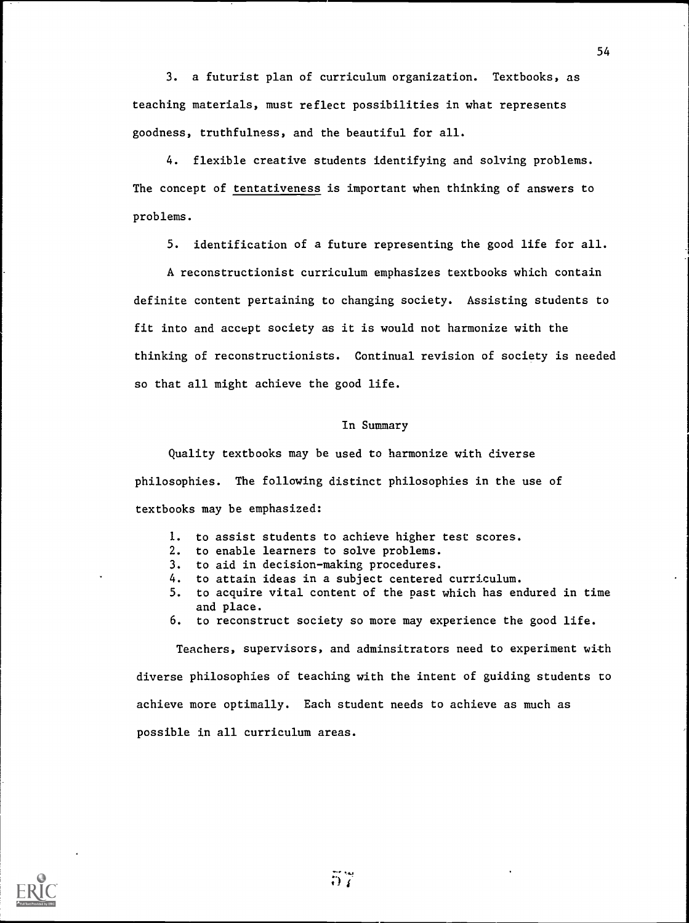3. a futurist plan of curriculum organization. Textbooks, as teaching materials, must reflect possibilities in what represents goodness, truthfulness, and the beautiful for all.

4. flexible creative students identifying and solving problems. The concept of tentativeness is important when thinking of answers to problems.

5. identification of a future representing the good life for all.

A reconstructionist curriculum emphasizes textbooks which contain definite content pertaining to changing society. Assisting students to fit into and accept society as it is would not harmonize with the thinking of reconstructionists. Continual revision of society is needed so that all might achieve the good life.

### In Summary

Quality textbooks may be used to harmonize with diverse philosophies. The following distinct philosophies in the use of textbooks may be emphasized:

- 1. to assist students to achieve higher test scores.
- 2. to enable learners to solve problems.
- 3. to aid in decision-making procedures.
- 4. to attain ideas in a subject centered curriculum.
- 5. to acquire vital content of the past which has endured in time and place.
- 6. to reconstruct society so more may experience the good life.

Teachers, supervisors, and adminsitrators need to experiment with diverse philosophies of teaching with the intent of guiding students to achieve more optimally. Each student needs to achieve as much as possible in all curriculum areas.

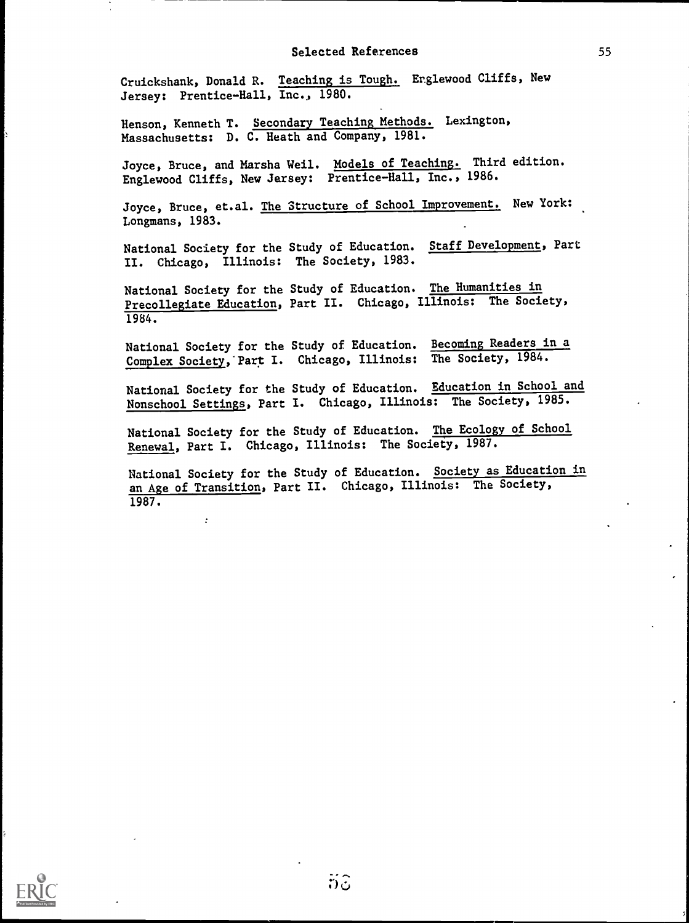Cruickshank, Donald R. Teaching is Tough. Englewood Cliffs, New Jersey: Prentice-Hall, Inc., 1980.

Henson, Kenneth T. Secondary Teaching Methods. Lexington, Massachusetts: D. C. Heath and Company, 1981.

Joyce, Bruce, and Marsha Weil. Models of Teaching. Third edition. Englewood Cliffs, New Jersey: Prentice-Hall, Inc., 1986.

Joyce, Bruce, et.al. The Structure of School Improvement. New York: Longmans, 1983.

National Society for the Study of Education. Staff Development, Part II. Chicago, Illinois: The Society, 1983.

National Society for the Study of Education. The Humanities in Precollegiate Education, Part II. Chicago, Illinois: The Society, 1984.

National Society for the Study of Education. Becoming Readers in a Complex Society, Part I. Chicago, Illinois: The Society, 1984.

National Society for the Study of Education. Education in School and Nonschool Settings, Part I. Chicago, Illinois: The Society, 1985.

National Society for the Study of Education. The Ecology of School Renewal, Part I. Chicago, Illinois: The Society, 1987.

National Society for the Study of Education. Society as Education in an Age of Transition, Part II. Chicago, Illinois: The Society, 1987.

÷

 $5\hat{c}$ 

55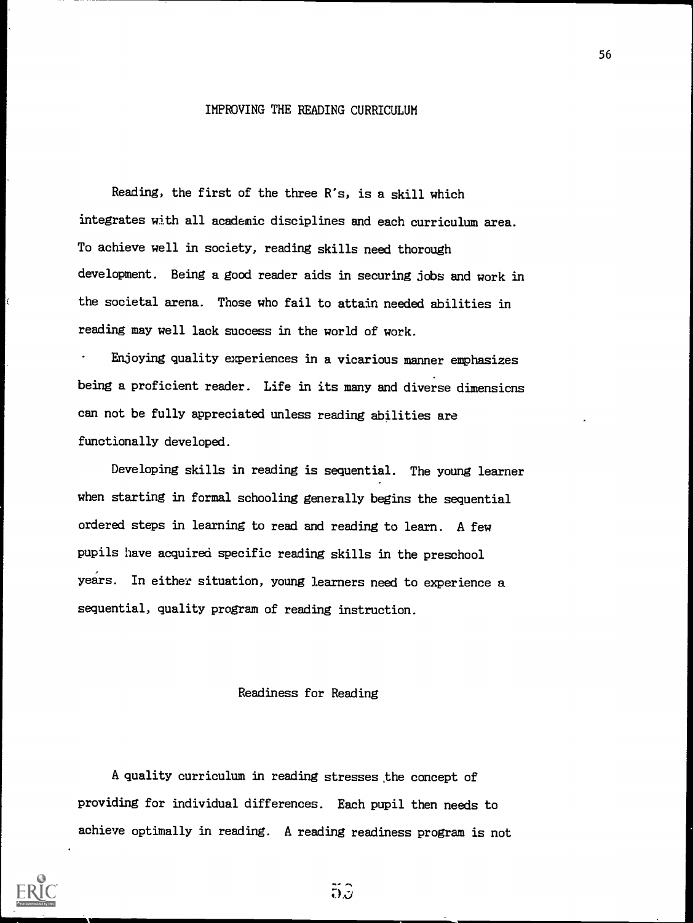### IMPROVING THE READING CURRICULUM

Reading, the first of the three R's, is a skill which integrates with all academic disciplines and each curriculum area. To achieve well in society, reading skills need thorough development. Being a good reader aids in securing jobs and work in the societal arena. Those who fail to attain needed abilities in reading may well lack success in the world of work.

Enjoying quality experiences in a vicarious manner emphasizes being a proficient reader. Life in its many and diverse dimensions can not be fully appreciated unless reading abilities are functionally developed.

Developing skills in reading is sequential. The young learner when starting in formal schooling generally begins the sequential ordered steps in learning to read and reading to learn. A few pupils have acquired specific reading skills in the preschool years. In either situation, young learners need to experience a sequential, quality program of reading instruction.

### Readiness for Reading

A quality curriculum in reading stresses the concept of providing for individual differences. Each pupil then needs to achieve optimally in reading. A reading readiness program is not

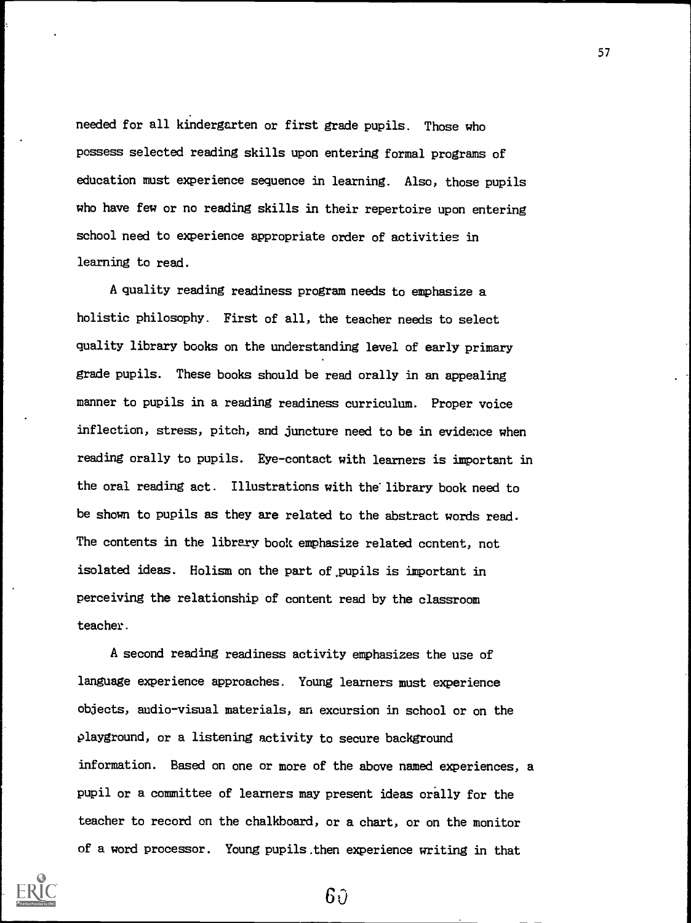needed for all kindergarten or first grade pupils. Those who possess selected reading skills upon entering formal programs of education must experience sequence in learning. Also, those pupils who have few or no reading skills in their repertoire upon entering school need to experience appropriate order of activities in learning to read.

A quality reading readiness program needs to emphasize a holistic philosophy. First of all, the teacher needs to select quality library books on the understanding level of early primary grade pupils. These books should be read orally in an appealing manner to pupils in a reading readiness curriculum. Proper voice inflection, stress, pitch, and juncture need to be in evidence when reading orally to pupils. Eye-contact with learners is important in the oral reading act. Illustrations with the'library book need to be shown to pupils as they are related to the abstract words read. The contents in the library book emphasize related content, not isolated ideas. Holism on the part of.pupils is important in perceiving the relationship of content read by the classroom teacher.

A second reading readiness activity emphasizes the use of language experience approaches. Young learners must experience objects, audio-visual materials, an excursion in school or on the playground, or a listening activity to secure background information. Based on one or more of the above named experiences, a pupil or a committee of learners may present ideas orally for the teacher to record on the chalkboard, or a chart, or on the monitor of a word processor. Young pupils.then experience writing in that



 $6\vartheta$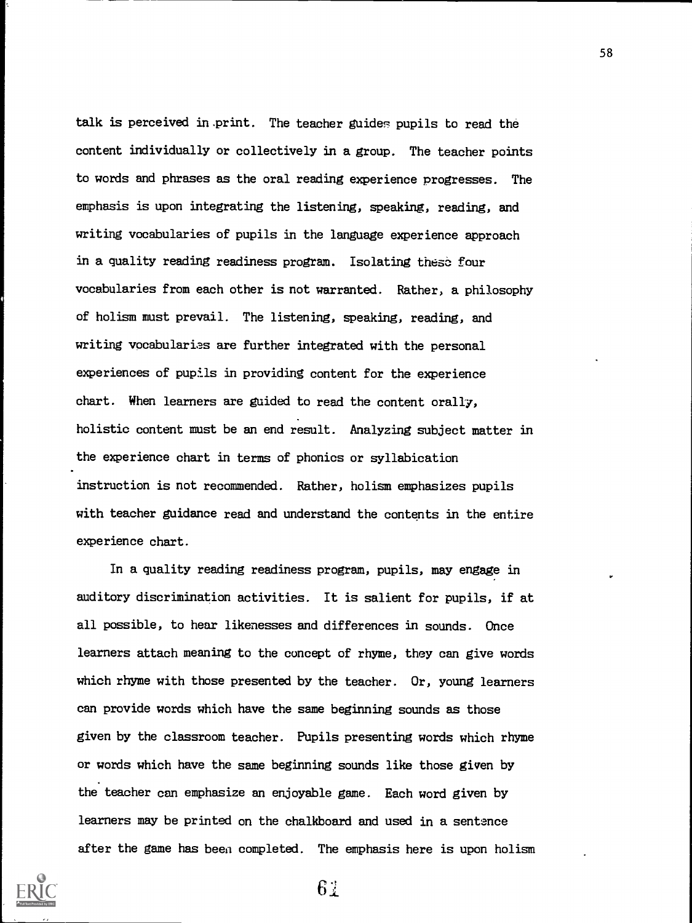talk is perceived in.print. The teacher guides pupils to read the content individually or collectively in a group. The teacher points to words and phrases as the oral reading experience progresses. The emphasis is upon integrating the listening, speaking, reading, and writing vocabularies of pupils in the language experience approach in a quality reading readiness program. Isolating these four vocabularies from each other is not warranted. Rather, a philosophy of holism must prevail. The listening, speaking, reading, and writing vocabularies are further integrated with the personal experiences of pupils in providing content for the experience chart. When learners are guided to read the content orally, holistic content must be an end result. Analyzing subject matter in the experience chart in terms of phonics or syllabication instruction is not recommended. Rather, holism emphasizes pupils with teacher guidance read and understand the contents in the entire experience chart.

In a quality reading readiness program, pupils, may engage in auditory discrimination activities. It is salient for pupils, if at all possible, to hear likenesses and differences in sounds. Once learners attach meaning to the concept of rhyme, they can give words which rhyme with those presented by the teacher. Or, young learners can provide words which have the same beginning sounds as those given by the classroom teacher. Pupils presenting words which rhyme or words which have the same beginning sounds like those given by the teacher can emphasize an enjoyable game. Each word given by learners may be printed on the chalkboard and used in a sentence after the game has been completed. The emphasis here is upon holism

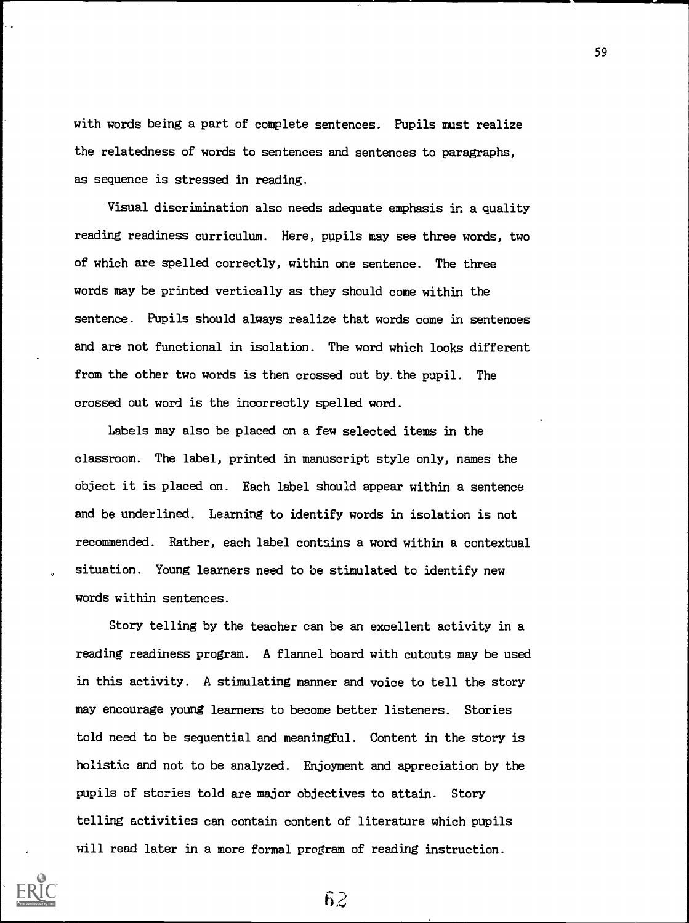with words being a part of complete sentences. Pupils must realize the relatedness of words to sentences and sentences to paragraphs, as sequence is stressed in reading.

Visual discrimination also needs adequate emphasis in a quality reading readiness curriculum. Here, pupils may see three words, two of which are spelled correctly, within one sentence. The three words may be printed vertically as they should come within the sentence. Pupils should always realize that words come in sentences and are not functional in isolation. The word which looks different from the other two words is then crossed out by. the pupil. The crossed out word is the incorrectly spelled word.

Labels may also be placed on a few selected items in the classroom. The label, printed in manuscript style only, names the object it is placed on. Each label should appear within a sentence and be underlined. Learning to identify words in isolation is not recommended. Rather, each label contains a word within a contextual situation. Young learners need to be stimulated to identify new words within sentences.

Story telling by the teacher can be an excellent activity in a reading readiness program. A flannel board with cutouts may be used in this activity. A stimulating manner and voice to tell the story may encourage young learners to become better listeners. Stories told need to be sequential and meaningful. Content in the story is holistic and not to be analyzed. Enjoyment and appreciation by the pupils of stories told are major objectives to attain. Story telling activities can contain content of literature which pupils will read later in a more formal program of reading instruction.

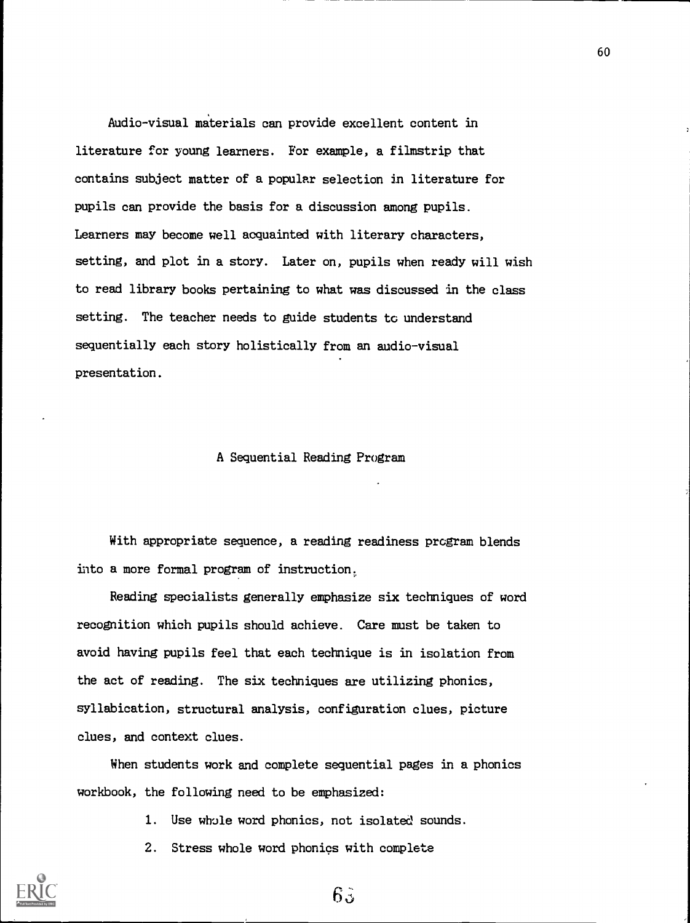Audio-visual materials can provide excellent content in literature for young learners. For example, a filmstrip that contains subject matter of a popular selection in literature for pupils can provide the basis for a discussion among pupils. Learners may become well acquainted with literary characters, setting, and plot in a story. Later on, pupils when ready will wish to read library books pertaining to what was discussed in the class setting. The teacher needs to guide students to understand sequentially each story holistically from an audio-visual presentation.

### A Sequential Reading Program

With appropriate sequence, a reading readiness program blends into a more formal program of instruction.

Reading specialists generally emphasize six techniques of word recognition which pupils should achieve. Care must be taken to avoid having pupils feel that each technique is in isolation from the act of reading. The six techniques are utilizing phonics, syllabication, structural analysis, configuration clues, picture clues, and context clues.

When students work and complete sequential pages in a phonics workbook, the following need to be emphasized:

- 1. Use whole word phonics, not isolated sounds.
- 2. Stress whole word phonics with complete

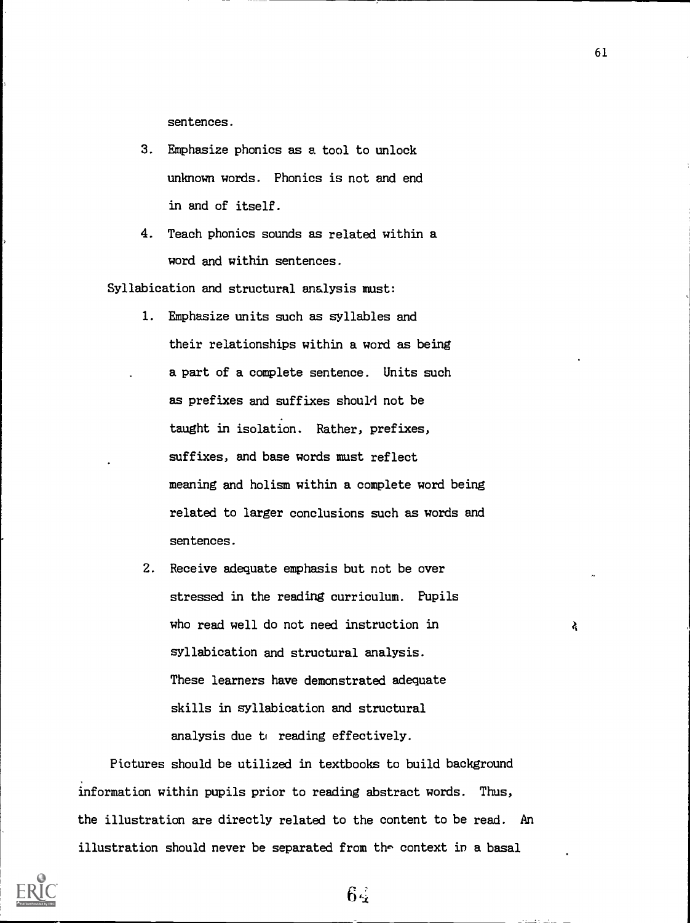sentences.

- 3. Emphasize phonics as a tool to unlock unknown words. Phonics is not and end in and of itself.
- 4. Teach phonics sounds as related within a word and within sentences.

Syllabication and structural analysis must:

- 1. Emphasize units such as syllables and their relationships within a word as being a part of a complete sentence. Units such as prefixes and suffixes should not be taught in isolation. Rather, prefixes, suffixes, and base words must reflect meaning and holism within a complete word being related to larger conclusions such as words and sentences.
- 2. Receive adequate emphasis but not be over stressed in the reading curriculum. Pupils who read well do not need instruction in syllabication and structural analysis. These learners have demonstrated adequate skills in syllabication and structural analysis due to reading effectively.

6

Pictures should be utilized in textbooks to build background information within pupils prior to reading abstract words. Thus, the illustration are directly related to the content to be read. An illustration should never be separated from the context in a basal



61

दे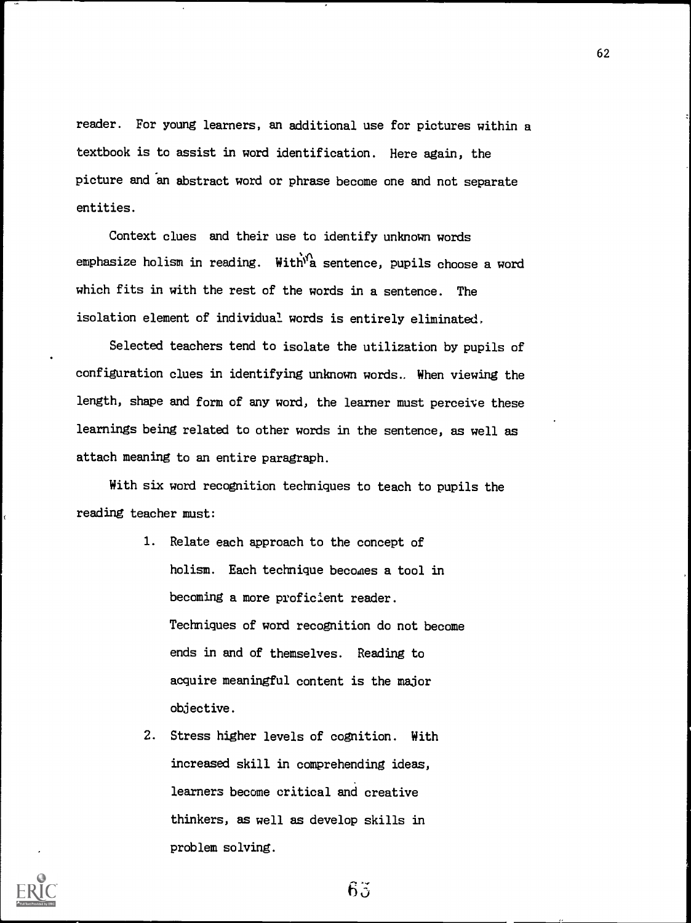reader. For young learners, an additional use for pictures within a textbook is to assist in word identification. Here again, the picture and an abstract word or phrase become one and not separate entities.

Context clues and their use to identify unknown words emphasize holism in reading. With  $\hat{M}$  sentence, pupils choose a word which fits in with the rest of the words in a sentence. The isolation element of individual words is entirely eliminated,

Selected teachers tend to isolate the utilization by pupils of configuration clues in identifying unknown words.. When viewing the length, shape and form of any word, the learner must perceive these learnings being related to other words in the sentence, as well as attach meaning to an entire paragraph.

With six word recognition techniques to teach to pupils the reading teacher must:

- 1. Relate each approach to the concept of holism. Each technique becomes a tool in becoming a more proficient reader. Techniques of word recognition do not become ends in and of themselves. Reading to acquire meaningful content is the major objective.
- 2. Stress higher levels of cognition. With increased skill in comprehending ideas, learners become critical and creative thinkers, as well as develop skills in problem solving.

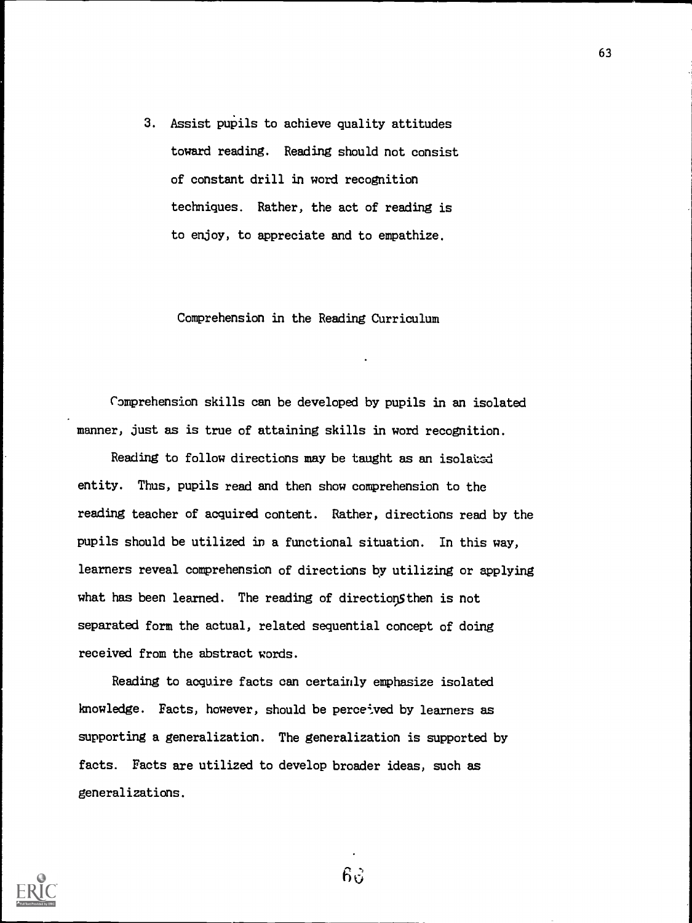3. Assist pupils to achieve quality attitudes toward reading. Reading should not consist of constant drill in word recognition techniques. Rather, the act of reading is to enjoy, to appreciate and to empathize.

Comprehension in the Reading Curriculum

Comprehension skills can be developed by pupils in an isolated manner, just as is true of attaining skills in word recognition.

Reading to follow directions may be taught as an isolated entity. Thus, pupils read and then show comprehension to the reading teacher of acquired content. Rather, directions read by the pupils should be utilized in a functional situation. In this way, learners reveal comprehension of directions by utilizing or applying what has been learned. The reading of directions then is not separated form the actual, related sequential concept of doing received from the abstract words.

Reading to acquire facts can certainly emphasize isolated knowledge. Facts, however, should be perceived by learners as supporting a generalization. The generalization is supported by facts. Facts are utilized to develop broader ideas, such as generalizations.



 $63$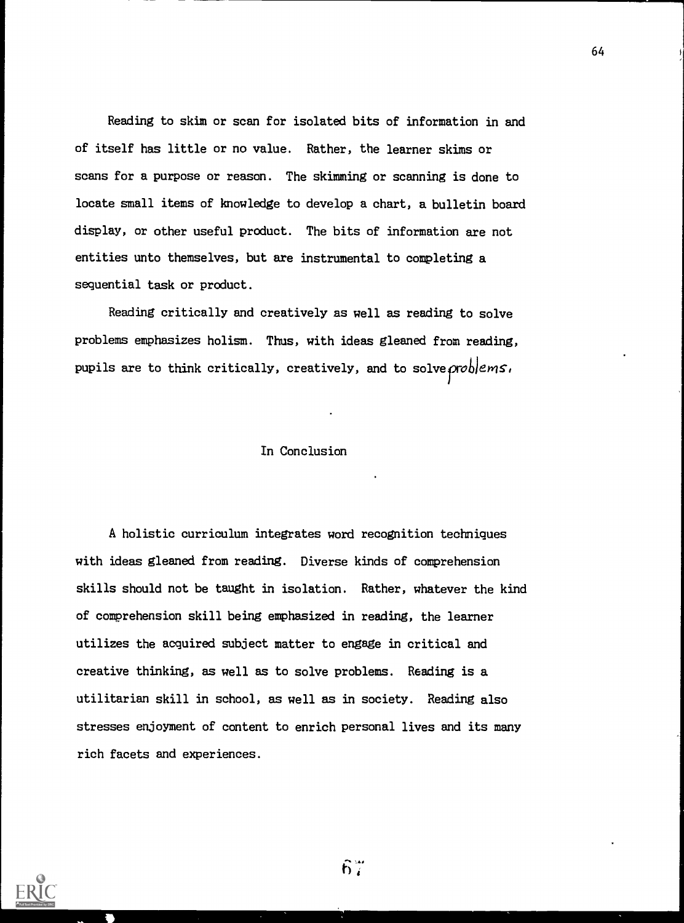Reading to skim or scan for isolated bits of information in and of itself has little or no value. Rather, the learner skims or scans for a purpose or reason. The skimming or scanning is done to locate small items of knowledge to develop a chart, a bulletin board display, or other useful product. The bits of information are not entities unto themselves, but are instrumental to completing a sequential task or product.

Reading critically and creatively as well as reading to solve problems emphasizes holism. Thus, with ideas gleaned from reading, pupils are to think critically, creatively, and to solve  $\alpha$  oblems,

### In Conclusion

A holistic curriculum integrates word recognition techniques with ideas gleaned from reading. Diverse kinds of comprehension skills should not be taught in isolation. Rather, whatever the kind of comprehension skill being emphasized in reading, the learner utilizes the acquired subject matter to engage in critical and creative thinking, as well as to solve problems. Reading is a utilitarian skill in school, as well as in society. Reading also stresses enjoyment of content to enrich personal lives and its many rich facets and experiences.



 $6\%$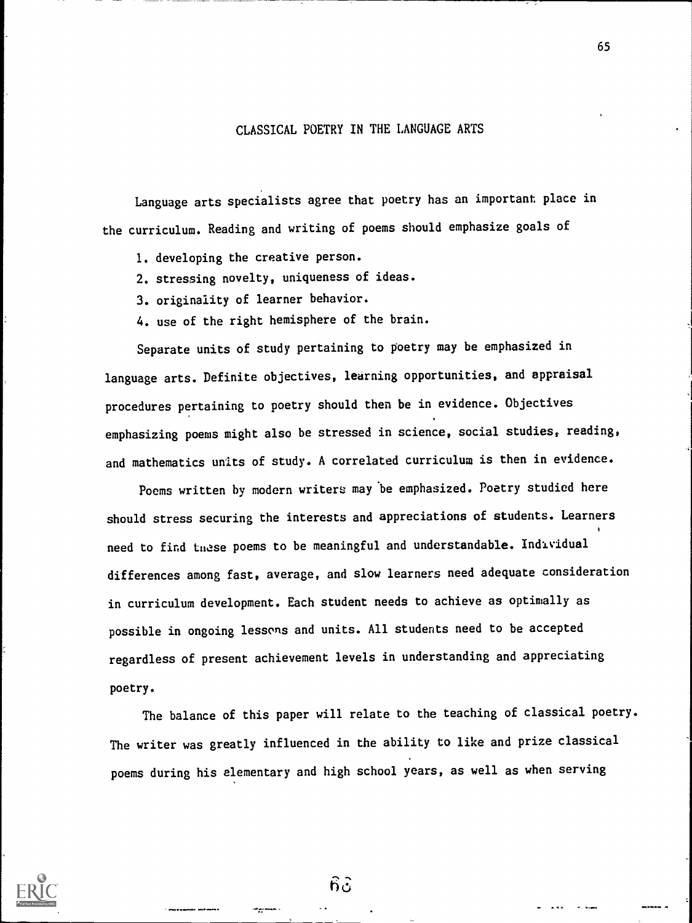### CLASSICAL POETRY IN THE LANGUAGE ARTS

65

Language arts specialists agree that poetry has an important place in the curriculum. Reading and writing of poems should emphasize goals of

- 1. developing the creative person.
- 2. stressing novelty, uniqueness of ideas.
- 3. originality of learner behavior.
- 4. use of the right hemisphere of the brain.

Separate units of study pertaining to poetry may be emphasized in language arts. Definite objectives, learning opportunities, and appraisal procedures pertaining to poetry should then be in evidence. Objectives emphasizing poems might also be stressed in science, social studies, reading, and mathematics units of study. A correlated curriculum is then in evidence.

Poems written by modern writers may be emphasized. Poetry studied here should stress securing the interests and appreciations of students. Learners need to find these poems to be meaningful and understandable. Individual differences among fast, average, and slow learners need adequate consideration in curriculum development. Each student needs to achieve as optimally as possible in ongoing lessons and units. All students need to be accepted regardless of present achievement levels in understanding and appreciating poetry.

The balance of this paper will relate to the teaching of classical poetry. The writer was greatly influenced in the ability to like and prize classical poems during his elementary and high school years, as well as when serving



 $6\tilde{c}$ 

.17 "'"'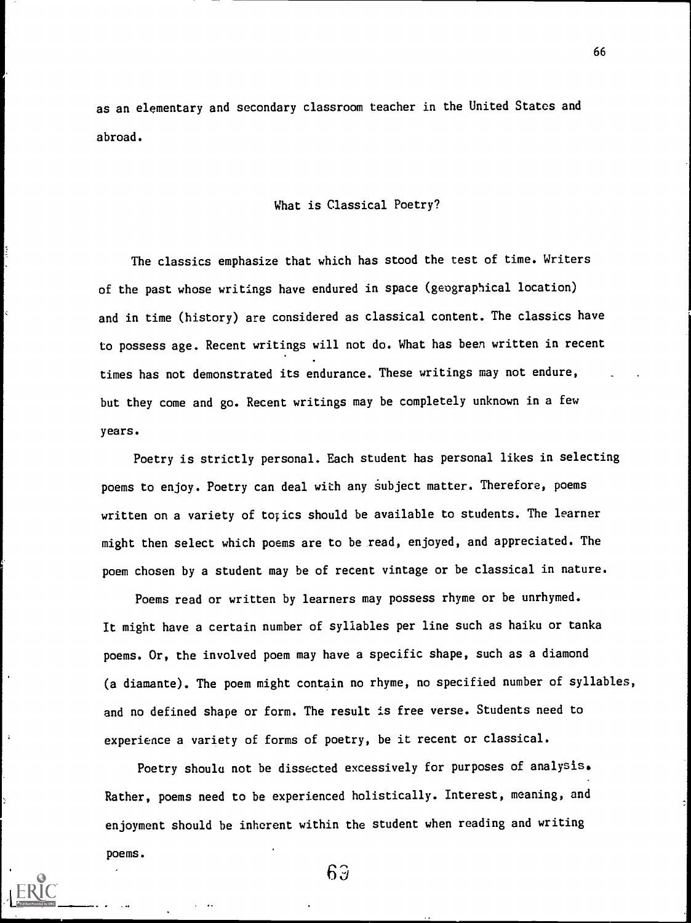as an elementary and secondary classroom teacher in the United States and abroad.

#### What is Classical Poetry?

The classics emphasize that which has stood the test of time. Writers of the past whose writings have endured in space (geographical location) and in time (history) are considered as classical content. The classics have to possess age. Recent writings will not do. What has been written in recent times has not demonstrated its endurance. These writings may not endure, but they come and go. Recent writings may be completely unknown in a few years.

Poetry is strictly personal. Each student has personal likes in selecting poems to enjoy. Poetry can deal with any subject matter. Therefore, poems written on a variety of topics should be available to students. The learner might then select which poems are to be read, enjoyed, and appreciated. The poem chosen by a student may be of recent vintage or be classical in nature.

Poems read or written by learners may possess rhyme or be unrhymed. It might have a certain number of syllables per line such as haiku or tanka poems. Or, the involved poem may have a specific shape, such as a diamond (a diamante). The poem might contain no rhyme, no specified number of syllables, and no defined shape or form. The result is free verse. Students need to experience a variety of forms of poetry, be it recent or classical.

Poetry shoulu not be dissected excessively for purposes of analysis. Rather, poems need to be experienced holistically. Interest, meaning, and enjoyment should be inherent within the student when reading and writing poems.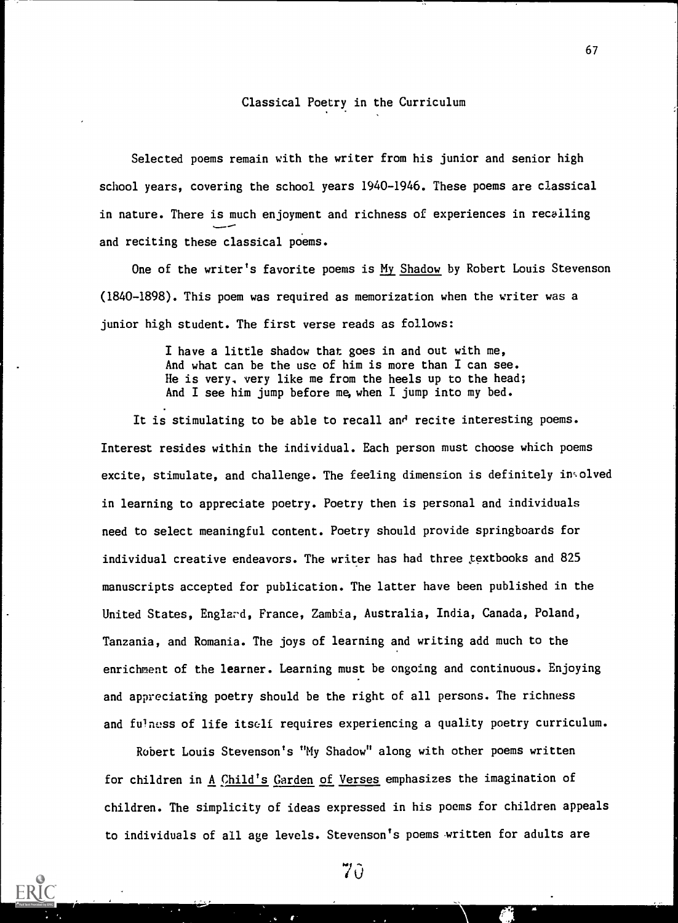### Classical Poetry in the Curriculum

Selected poems remain with the writer from his junior and senior high school years, covering the school years 1940-1946. These poems are classical in nature. There is much enjoyment and richness of experiences in recalling and reciting these classical poems.

One of the writer's favorite poems is My Shadow by Robert Louis Stevenson (1840-1898). This poem was required as memorization when the writer was a junior high student. The first verse reads as follows:

> I have a little shadow that goes in and out with me, And what can be the use of him is more than I can see. He is very. very like me from the heels up to the head; And I see him jump before me, when I jump into my bed.

It is stimulating to be able to recall and recite interesting poems. Interest resides within the individual. Each person must choose which poems excite, stimulate, and challenge. The feeling dimension is definitely insolved in learning to appreciate poetry. Poetry then is personal and individuals need to select meaningful content. Poetry should provide springboards for individual creative endeavors. The writer has had three textbooks and 825 manuscripts accepted for publication. The latter have been published in the United States, Englard, France, Zambia, Australia, India, Canada, Poland, Tanzania, and Romania. The joys of learning and writing add much to the enrichment of the learner. Learning must be ongoing and continuous. Enjoying and appreciating poetry should be the right of all persons. The richness and fulness of life itself requires experiencing a quality poetry curriculum.

Robert Louis Stevenson's "My Shadow" along with other poems written for children in A Child's Garden of Verses emphasizes the imagination of children. The simplicity of ideas expressed in his poems for children appeals to individuals of all age levels. Stevenson's poems written for adults are

70

 $\mathbf{r}$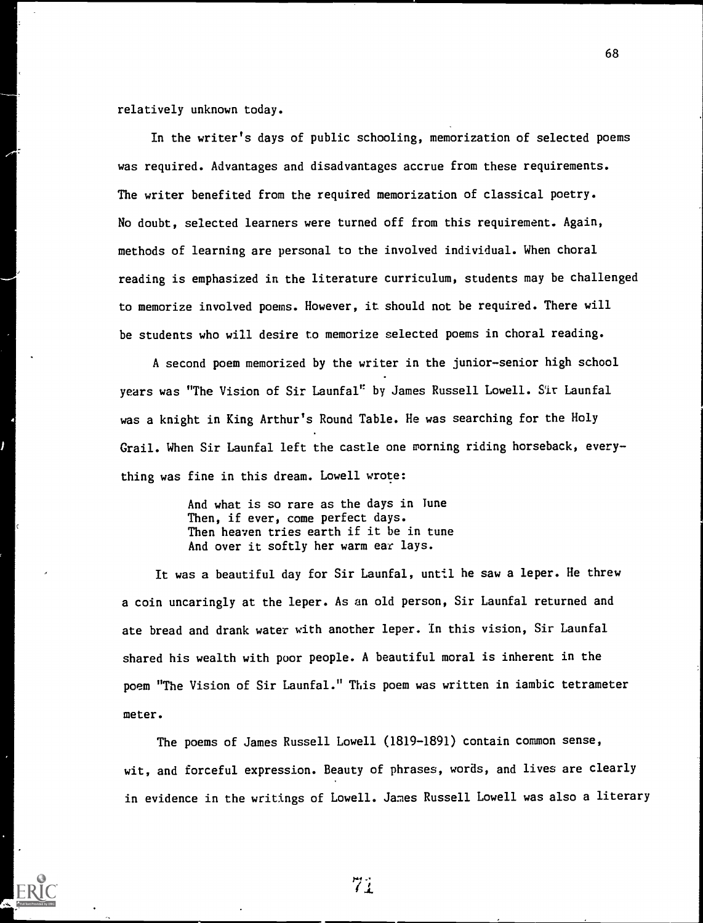relatively unknown today.

In the writer's days of public schooling, memorization of selected poems was required. Advantages and disadvantages accrue from these requirements. The writer benefited from the required memorization of classical poetry. No doubt, selected learners were turned off from this requirement. Again, methods of learning are personal to the involved individual. When choral reading is emphasized in the literature curriculum, students may be challenged to memorize involved poems. However, it should not be required. There will be students who will desire to memorize selected poems in choral reading.

A second poem memorized by the writer in the junior-senior high school years was "The Vision of Sir Launfal" by James Russell Lowell. Sir Launfal was a knight in King Arthur's Round Table. He was searching for the Holy Grail. When Sir Launfal left the castle one morning riding horseback, every thing was fine in this dream. Lowell wrote:

> And what is so rare as the days in Tune Then, if ever, come perfect days. Then heaven tries earth if it be in tune And over it softly her warm ear lays.

It was a beautiful day for Sir Launfal, until he saw a leper. He threw a coin uncaringly at the leper. As an old person, Sir Launfal returned and ate bread and drank water with another leper. In this vision, Sir Launfal shared his wealth with poor people. A beautiful moral is inherent in the poem "The Vision of Sir Launfal." This poem was written in iambic tetrameter meter.

The poems of James Russell Lowell (1819-1891) contain common sense, wit, and forceful expression. Beauty of phrases, words, and lives are clearly in evidence in the writings of Lowell. James Russell Lowell was also a literary



71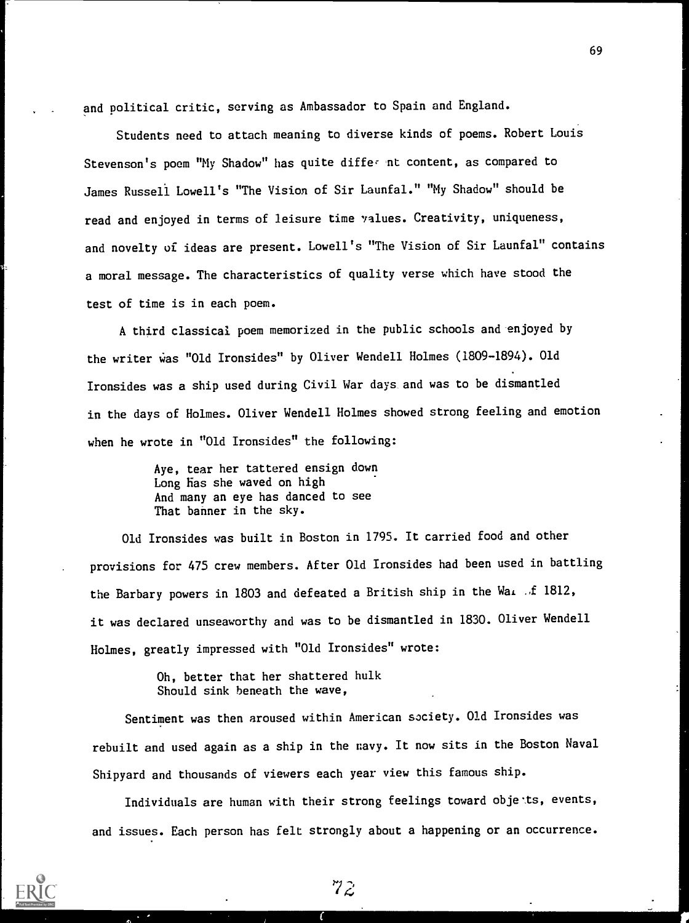and political critic, serving as Ambassador to Spain and England.

Students need to attach meaning to diverse kinds of poems. Robert Louis Stevenson's poem "My Shadow" has quite differ mt content, as compared to James Russell Lowell's "The Vision of Sir Launfal." "My Shadow" should be read and enjoyed in terms of leisure time values. Creativity, uniqueness, and novelty of ideas are present. Lowell's "The Vision of Sir Launfal" contains a moral message. The characteristics of quality verse which have stood the test of time is in each poem.

A third classical poem memorized in the public schools and-enjoyed by the writer was "Old Ironsides" by Oliver Wendell Holmes (1809-1894). Old Ironsides was a ship used during Civil War days. and was to be dismantled in the days of Holmes. Oliver Wendell Holmes showed strong feeling and emotion when he wrote in "Old Ironsides" the following:

> Aye, tear her tattered ensign down Long Has she waved on high And many an eye has danced to see That banner in the sky.

Old Ironsides was built in Boston in 1795. It carried food and other provisions for 475 crew members. After Old Ironsides had been used in battling the Barbary powers in 1803 and defeated a British ship in the Way of 1812, it was declared unseaworthy and was to be dismantled in 1830. Oliver Wendell Holmes, greatly impressed with "Old Ironsides" wrote:

> Oh, better that her shattered hulk Should sink beneath the wave,

Sentiment was then aroused within American society. Old Ironsides was rebuilt and used again as a ship in the navy. It now sits in the Boston Naval Shipyard and thousands of viewers each year view this famous ship.

Individuals are human with their strong feelings toward objets, events, and issues. Each person has felt strongly about a happening or an occurrence.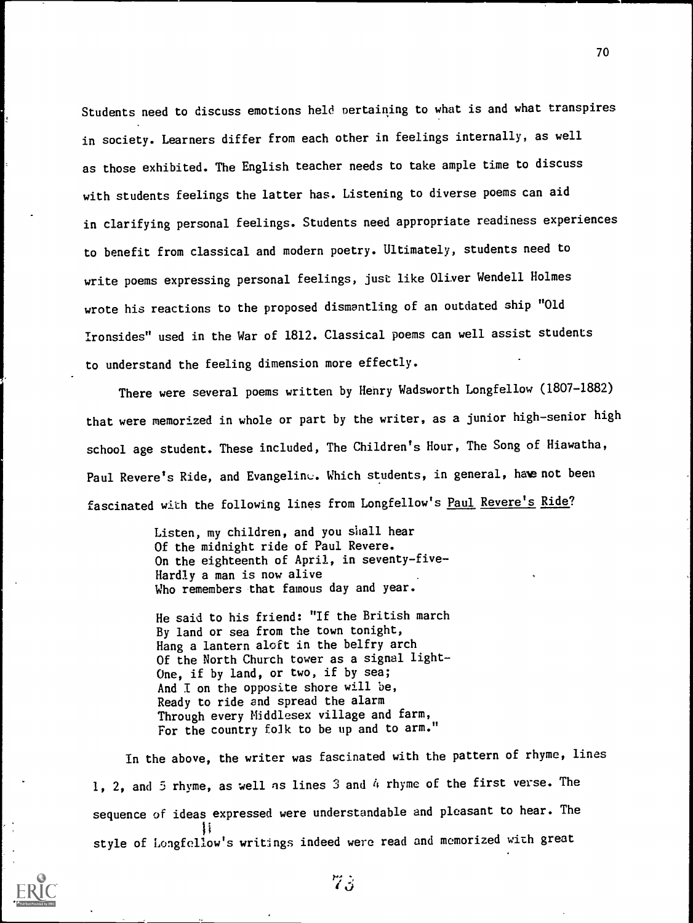Students need to discuss emotions held pertaining to what is and what transpires in society. Learners differ from each other in feelings internally, as well as those exhibited. The English teacher needs to take ample time to discuss with students feelings the latter has. Listening to diverse poems can aid in clarifying personal feelings. Students need appropriate readiness experiences to benefit from classical and modern poetry. Ultimately, students need to write poems expressing personal feelings, just like Oliver Wendell Holmes wrote his reactions to the proposed dismantling of an outdated ship "Old Ironsides" used in the War of 1812. Classical poems can well assist students to understand the feeling dimension more effectly.

There were several poems written by Henry Wadsworth Longfellow (1807-1882) that were memorized in whole or part by the writer, as a junior high-senior high school age student. These included, The Children's Hour, The Song of Hiawatha, Paul Revere's Ride, and Evangeline. Which students, in general, haw not been fascinated with the following lines from Longfellow's Paul Revere's Ride?

> Listen, my children, and you shall hear Of the midnight ride of Paul Revere. On the eighteenth of April, in seventy-five-Hardly a man is now alive Who remembers that famous day and year.

> He said to his friend: "If the British march By land or sea from the town tonight, Hang a lantern aloft in the belfry arch Of the North Church tower as a signal light-One, if by land, or two, if by sea; And I on the opposite shore will be, Ready to ride and spread the alarm Through every Middlesex village and farm, For the country folk to be up and to arm."

In the above, the writer was fascinated with the pattern of rhyme, lines 1, 2, and 5 rhyme, as well as lines 3 and 4 rhyme of the first verse. The sequence of ideas expressed were understandable and pleasant to hear. The style of Longfellow's writings indeed were read and memorized with great



 $73$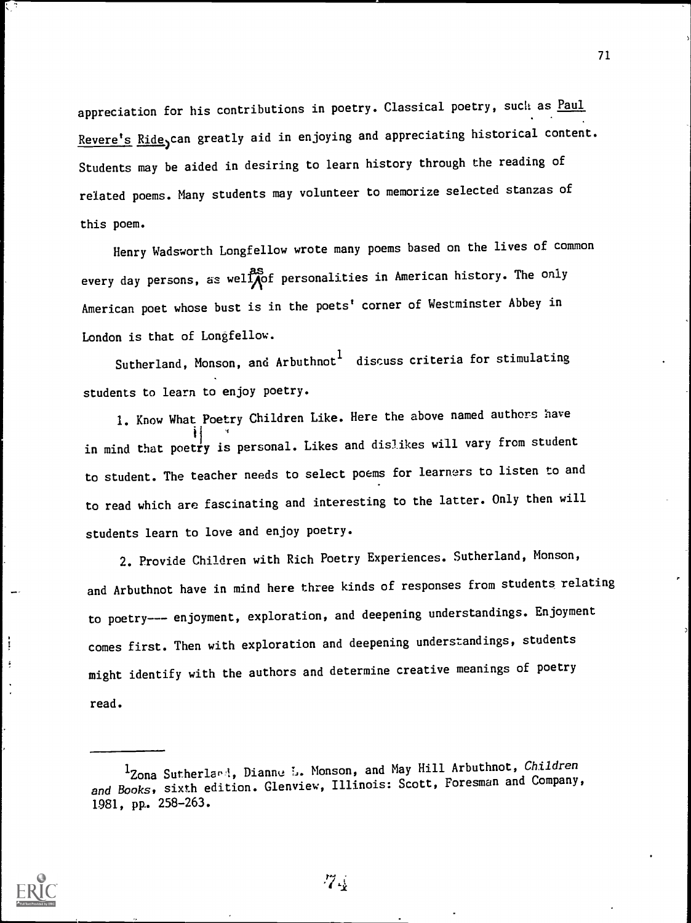appreciation for his contributions in poetry. Classical poetry, such as Paul Revere's Ride, can greatly aid in enjoying and appreciating historical content. Students may be aided in desiring to learn history through the reading of related poems. Many students may volunteer to memorize selected stanzas of this poem.

Henry Wadsworth Longfellow wrote many poems based on the lives of common every day persons, as well pof personalities in American history. The only American poet whose bust is in the poets' corner of Westminster Abbey in London is that of Longfellow.

Sutherland, Monson, and Arbuthnot <sup>1</sup> discuss criteria for stimulating students to learn to enjoy poetry.

1. Know What Poetry Children Like. Here the above named authors have in mind that poetry is personal. Likes and dislikes will vary from student to student. The teacher needs to select poems for learners to listen to and to read which are fascinating and interesting to the latter. Only then will students learn to love and enjoy poetry.

2. Provide Children with Rich Poetry Experiences. Sutherland, Monson, and Arbuthnot have in mind here three kinds of responses from students relating to poetry --- enjoyment, exploration, and deepening understandings. Enjoyment comes first. Then with exploration and deepening understandings, students might identify with the authors and determine creative meanings of poetry read.



ļ

 $7\frac{1}{4}$ 

<sup>&</sup>lt;sup>1</sup>Zona Sutherlavi, Dianne L. Monson, and May Hill Arbuthnot, Children and Books, sixth edition. Glenview, Illinois: Scott, Foresman and Company, 1981, pp.. 258-263.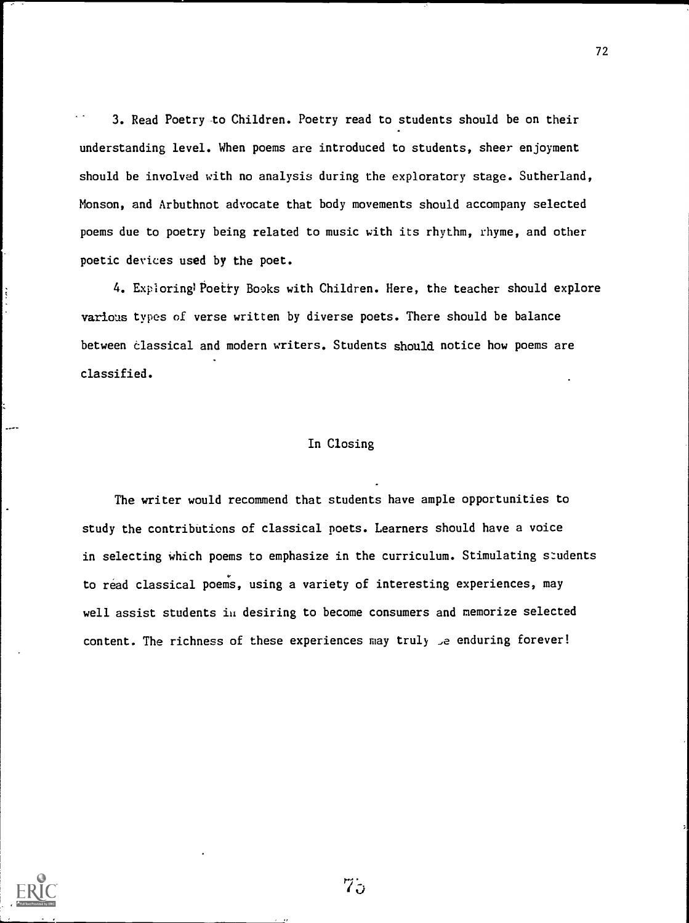3. Read Poetry to Children. Poetry read to students should be on their understanding level. When poems are introduced to students, sheer enjoyment should be involved with no analysis during the exploratory stage. Sutherland, Monson, and Arbuthnot advocate that body movements should accompany selected poems due to poetry being related to music with its rhythm, rhyme, and other poetic devices used by the poet.

4. Exploring Poetry Books with Children. Here, the teacher should explore various types of verse written by diverse poets. There should be balance between classical and modern writers. Students should notice how poems are classified.

#### In Closing

The writer would recommend that students have ample opportunities to study the contributions of classical poets. Learners should have a voice in selecting which poems to emphasize in the curriculum. Stimulating students to read classical poems, using a variety of interesting experiences, may well assist students in desiring to become consumers and memorize selected content. The richness of these experiences may truly .e enduring forever!



 $75$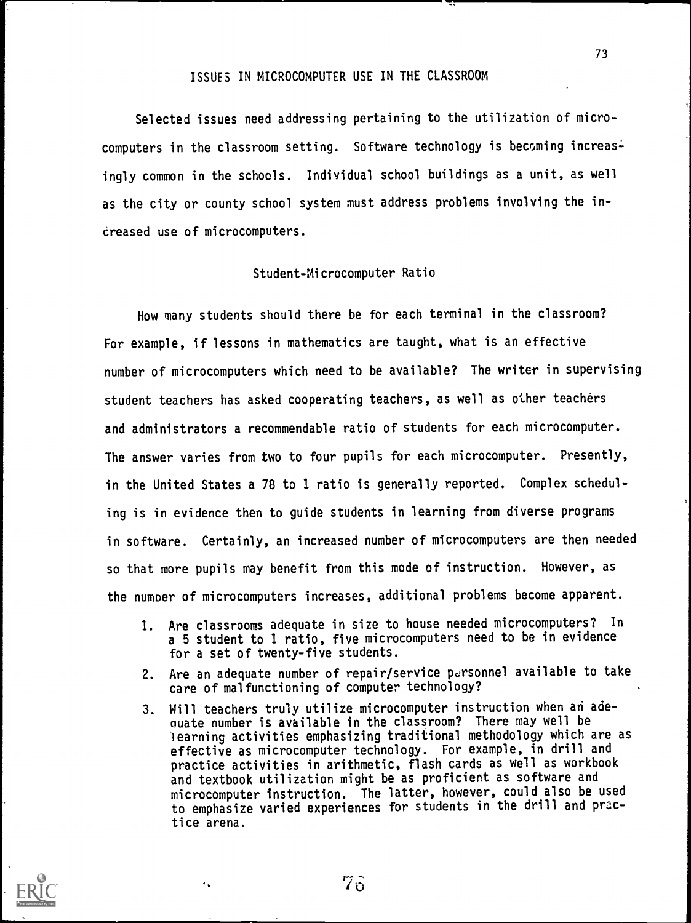## ISSUES IN MICROCOMPUTER USE IN THE CLASSROOM

Selected issues need addressing pertaining to the utilization of microcomputers in the classroom setting. Software technology is becoming increasingly common in the schools. Individual school buildings as a unit, as well as the city or county school system must address problems involving the increased use of microcomputers.

### Student-Microcomputer Ratio

How many students should there be for each terminal in the classroom? For example, if lessons in mathematics are taught, what is an effective number of microcomputers which need to be available? The writer in supervising student teachers has asked cooperating teachers, as well as other teachers and administrators a recommendable ratio of students for each microcomputer. The answer varies from two to four pupils for each microcomputer. Presently, in the United States a 78 to 1 ratio is generally reported. Complex scheduling is in evidence then to guide students in learning from diverse programs in software. Certainly, an increased number of microcomputers are then needed so that more pupils may benefit from this mode of instruction. However, as the number of microcomputers increases, additional problems become apparent.

- 1. Are classrooms adequate in size to house needed microcomputers? In a 5 student to 1 ratio, five microcomputers need to be in evidence for a set of twenty-five students.
- 2. Are an adequate number of repair/service personnel available to take care of malfunctioning of computer technology?
- 3. Will teachers truly utilize microcomputer instruction when an adenate number is available in the classroom? There may well be learning activities emphasizing traditional methodology which are as effective as microcomputer technology. For example, in drill and practice activities in arithmetic, flash cards as well as workbook and textbook utilization might be as proficient as software and microcomputer instruction. The latter, however, could also be used to emphasize varied experiences for students in the drill and practice arena.



٠,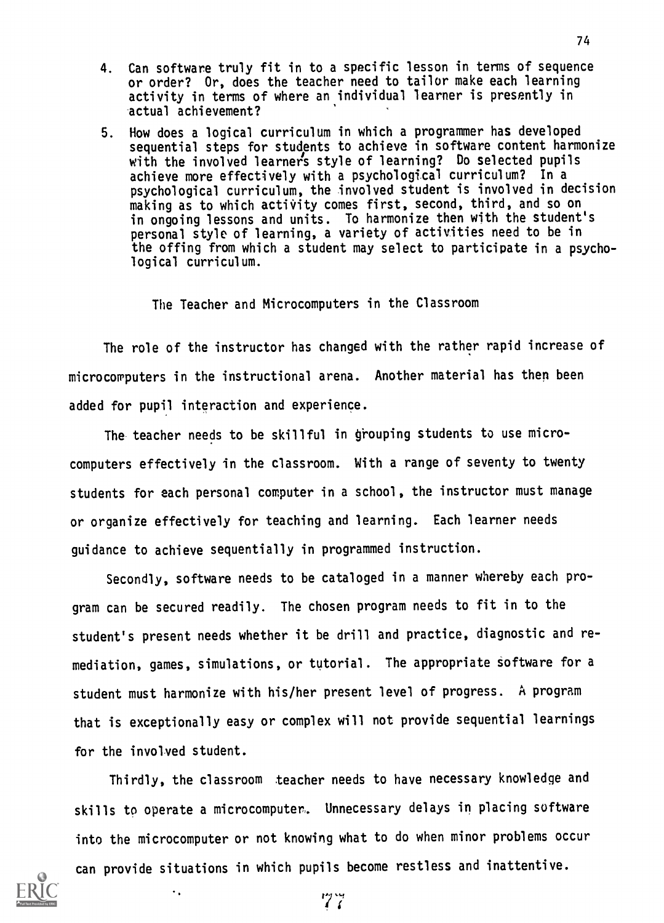- 4. Can software truly fit in to a specific lesson in terms of sequence or order? Or, does the teacher need to tailor make each learning activity in terms of where an individual learner is presently in actual achievement?
- 5. Now does a logical curriculum in which a programmer has developed sequential steps for students to achieve in software content harmonize with the involved learners style of learning? Do selected pupils achieve more effectively with a psychological curriculum? In a psychological curriculum, the involved student is involved in decision making as to which activity comes first, second, third, and so on in ongoing lessons and units. To harmonize then with the student's personal style of learning, a variety of activities need to be in the offing from which a student may select to participate in a psychological curriculum.

The Teacher and Microcomputers in the Classroom

The role of the instructor has changed with the rather rapid increase of microcomputers in the instructional arena. Another material has then been added for pupil interaction and experience.

The teacher needs to be skillful in grouping students to use microcomputers effectively in the classroom. With a range of seventy to twenty students for each personal computer in a school, the instructor must manage or organize effectively for teaching and learning. Each learner needs guidance to achieve sequentially in programmed instruction.

Secondly, software needs to be cataloged in a manner whereby each program can be secured readily. The chosen program needs to fit in to the student's present needs whether it be drill and practice, diagnostic and remediation, games, simulations, or tutorial. The appropriate software for a student must harmonize with his/her present level of progress. A program that is exceptionally easy or complex will not provide sequential learnings for the involved student.

Thirdly, the classroom teacher needs to have necessary knowledge and skills to operate a microcomputer. Unnecessary delays in placing software into the microcomputer or not knowing what to do when minor problems occur can provide situations in which pupils become restless and inattentive.

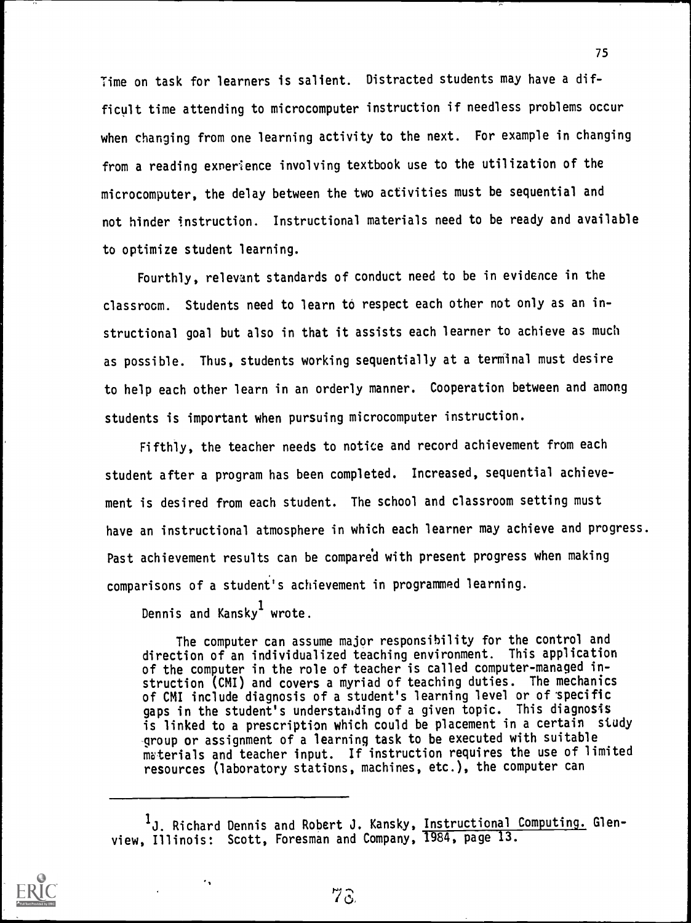Time on task for learners is salient. Distracted students may have a difficult time attending to microcomputer instruction if needless problems occur when changing from one learning activity to the next. For example in changing from a reading exnerience involving textbook use to the utilization of the microcomputer, the delay between the two activities must be sequential and not hinder instruction. Instructional materials need to be ready and available to optimize student learning.

Fourthly, relevant standards of conduct need to be in evidence in the classroom. Students need to learn to respect each other not only as an instructional goal but also in that it assists each learner to achieve as much as possible. Thus, students working sequentially at a terminal must desire to help each other learn in an orderly manner. Cooperation between and among students is important when pursuing microcomputer instruction.

Fifthly, the teacher needs to notice and record achievement from each student after a program has been completed. Increased, sequential achievement is desired from each student. The school and classroom setting must have an instructional atmosphere in which each learner may achieve and progress. Past achievement results can be compared with present progress when making comparisons of a student's achievement in programmed learning.

Dennis and Kansky<sup>1</sup> wrote.

 $\ddot{\phantom{a}}$ 

The computer can assume major responsibility for the control and direction of an individualized teaching environment. This application of the computer in the role of teacher is called computer-managed instruction (CMI) and covers a myriad of teaching duties. The mechanics of CMI include diagnosis of a student's learning level or of specific gaps in the student's understanding of a given topic. This diagnosis is linked to a prescription which could be placement in a certain study group or assignment of a learning task to be executed with suitable materials and teacher input. If instruction requires the use of limited resources (laboratory stations, machines, etc.), the computer can



<sup>&</sup>lt;sup>1</sup>J. Richard Dennis and Robert J. Kansky, Instructional Computing. Glenview, Illinois: Scott, Foresman and Company, 1984, page 13.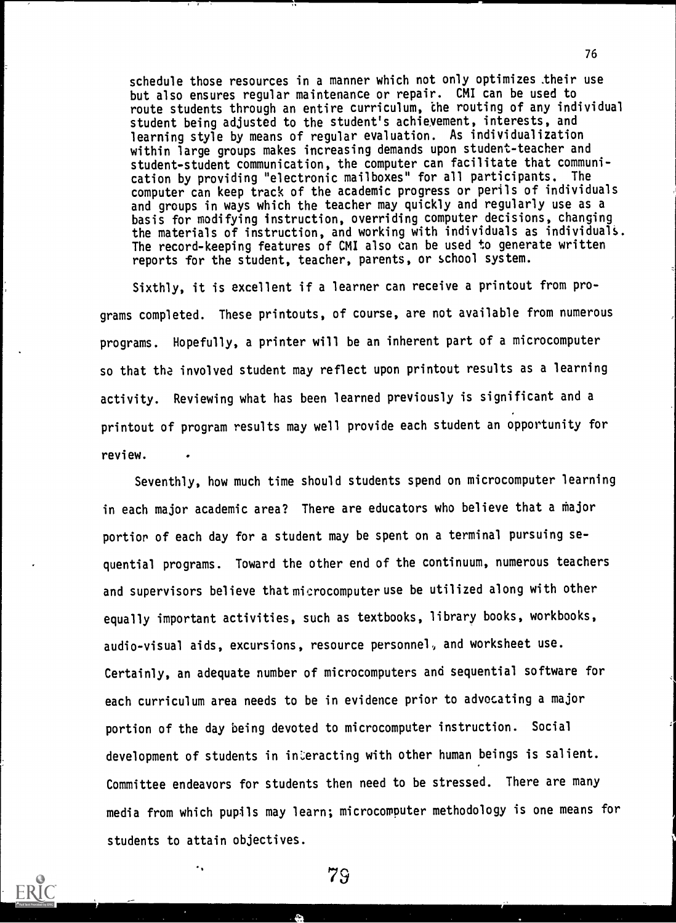schedule those resources in a manner which not only optimizes .their use but also ensures regular maintenance or repair. CMI can be used to route students through an entire curriculum, the routing of any individual student being adjusted to the student's achievement, interests, and learning style by means of regular evaluation. As individualization within large groups makes increasing demands upon student-teacher and student-student communication, the computer can facilitate that communication by providing "electronic mailboxes" for all participants. The computer can keep track of the academic progress or perils of individuals and groups in ways which the teacher may quickly and regularly use as a basis for modifying instruction, overriding computer decisions, changing the materials of instruction, and working with individuals as individuals. The record-keeping features of CMI also can be used to generate written reports for the student, teacher, parents, or school system.

76

1

Sixthly, it is excellent if a learner can receive a printout from programs completed. These printouts, of course, are not available from numerous programs. Hopefully, a printer will be an inherent part of a microcomputer so that tha involved student may reflect upon printout results as a learning activity. Reviewing what has been learned previously is significant and a printout of program results may well provide each student an opportunity for review.

Seventhly, how much time should students spend on microcomputer learning in each major academic area? There are educators who believe that a major portion of each day for a student may be spent on a terminal pursuing sequential programs. Toward the other end of the continuum, numerous teachers and supervisors believe that microcomputer use be utilized along with other equally important activities, such as textbooks, library books, workbooks, audio-visual aids, excursions, resource personnel, and worksheet use. Certainly, an adequate number of microcomputers and sequential software for each curriculum area needs to be in evidence prior to advocating a major portion of the day being devoted to microcomputer instruction. Social development of students in interacting with other human beings is salient. Committee endeavors for students then need to be stressed. There are many media from which pupils may learn; microcomputer methodology is one means for students to attain objectives.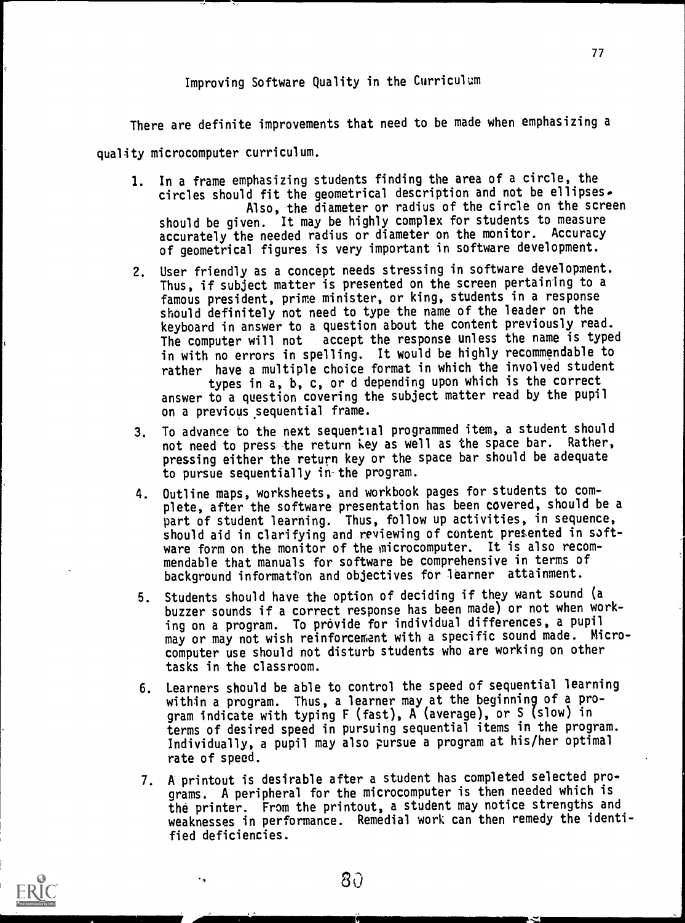# Improving Software Quality in the Curriculum

There are definite improvements that need to be made when emphasizing a

quality microcomputer curriculum.

- 1. In a frame emphasizing students finding the area of a circle, the circles should fit the geometrical description and not be ellipses. Also, the diameter or radius of the circle on the screen should be given. It may be highly complex for students to measure accurately the needed radius or diameter on the monitor. Accuracy of geometrical figures is very important in software development.
- 2. User friendly as a concept needs stressing in software development. Thus, if subject matter is presented on the screen pertaining to a famous president, prime minister, or king, students in a response should definitely not need to type the name of the leader on the keyboard in answer to a question about the content previously read.<br>The computer will not accept the response unless the name is type accept the response unless the name is typed in with no errors in spelling. It would be highly recommendable to rather have a multiple choice format in which the involved student types in a, b, c, or d depending upon which is the correct answer to a question covering the subject matter read by the pupil on a previous sequential frame.
- 3. To advance to the next sequential programmed item, a student should not need to press the return iey as well as the space bar. Rather, pressing either the return key or the space bar should be adequate to pursue sequentially in-the program.
- 4. Outline maps, worksheets, and workbook pages for students to complete, after the software presentation has been covered, should be a part of student learning. Thus, follow up activities, in sequence, should aid in clarifying and reviewing of content presented in software form on the monitor of the microcomputer. It is also recommendable that manuals for software be comprehensive in terms of background information and objectives for learner attainment.
- 5. Students should have the option of deciding if they want sound (a buzzer sounds if a correct response has been made) or not when working on a program. To provide for individual differences, a pupil may or may not wish reinforcement with a specific sound made. Microcomputer use should not disturb students who are working on other tasks in the classroom.
- 6. Learners should be able to control the speed of sequential learning within a program. Thus, a learner may at the beginning of a program indicate with typing F (fast), A (average), or S (slow) in terms of desired speed in pursuing sequential items in the program. Individually, a pupil may also pursue a program at his/her optimal rate of speed.
- 7. A printout is desirable after a student has completed selected programs. A peripheral for the microcomputer is then needed which is the printer. From the printout, a student may notice strengths and weaknesses in performance. Remedial work can then remedy the identified deficiencies.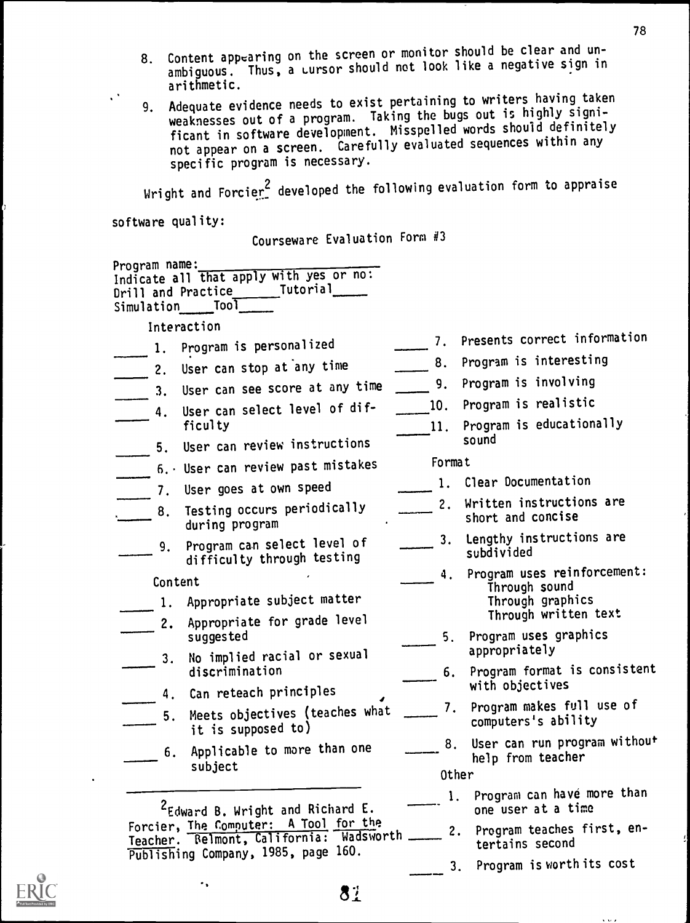- 8. Content appearing on the screen or monitor should be clear and unambiguous. Thus, a cursor should not look like a negative sign in . arithmetic.
- 9. Adequate evidence needs to exist pertaining to writers having taken<br>Taking the bugg out is highly signiweaknesses out of a program. Taking the bugs out is highly significant in software development. Misspelled words should definitely not appear on a screen. Carefully evaluated sequences within any specific program is necessary.

Wright and Forcier  $2$  developed the following evaluation form to appraise

software quality:

٠,

 $\epsilon^2$ 

Courseware Evaluation Form #3

| Program name:<br>Indicate all that apply with yes or no:<br>Drill and Practice Tutorial<br>Simulation Tool                                                              |        |                                                     |  |
|-------------------------------------------------------------------------------------------------------------------------------------------------------------------------|--------|-----------------------------------------------------|--|
| Interaction                                                                                                                                                             |        |                                                     |  |
| 1. Program is personalized                                                                                                                                              |        | 7. Presents correct information                     |  |
| 2. User can stop at any time                                                                                                                                            | 8.     | Program is interesting                              |  |
| 3. User can see score at any time                                                                                                                                       | 9.     | Program is involving                                |  |
| User can select level of dif-<br>4.                                                                                                                                     | 10.    | Program is realistic                                |  |
| ficulty                                                                                                                                                                 | 11.    | Program is educationally                            |  |
| User can review instructions<br>5.                                                                                                                                      |        | sound                                               |  |
| 6. User can review past mistakes                                                                                                                                        | Format |                                                     |  |
| 7. User goes at own speed                                                                                                                                               |        | 1. Clear Documentation                              |  |
| Testing occurs periodically<br>8.<br>during program                                                                                                                     |        | 2. Written instructions are<br>short and concise    |  |
| Program can select level of<br>9.<br>difficulty through testing                                                                                                         |        | 3. Lengthy instructions are<br>subdivided           |  |
| Content                                                                                                                                                                 | 4.     | Program uses reinforcement:                         |  |
| 1. Appropriate subject matter                                                                                                                                           |        | Through sound<br>Through graphics                   |  |
| 2. Appropriate for grade level                                                                                                                                          |        | Through written text                                |  |
| suggested                                                                                                                                                               | 5.     | Program uses graphics                               |  |
| No implied racial or sexual<br>3.                                                                                                                                       |        | appropriately                                       |  |
| discrimination                                                                                                                                                          | 6.     | Program format is consistent<br>with objectives     |  |
| 4. Can reteach principles                                                                                                                                               |        | Program makes full use of                           |  |
| Meets objectives (teaches what<br>5.<br>it is supposed to)                                                                                                              |        | computers's ability                                 |  |
| Applicable to more than one<br>6.<br>subject                                                                                                                            | 8.     | User can run program without<br>help from teacher   |  |
|                                                                                                                                                                         | Other  |                                                     |  |
| <sup>2</sup> Edward B. Wright and Richard E.<br>Forcier, The Computer: A Tool for the<br>Teacher. Relmont, California: Wadsworth<br>Publishing Company, 1985, page 160. | 1.     | Program can have more than<br>one user at a time    |  |
|                                                                                                                                                                         |        | Program teaches first, en-<br>2.<br>tertains second |  |
|                                                                                                                                                                         |        | Program is worth its cost<br>3.                     |  |
|                                                                                                                                                                         |        |                                                     |  |

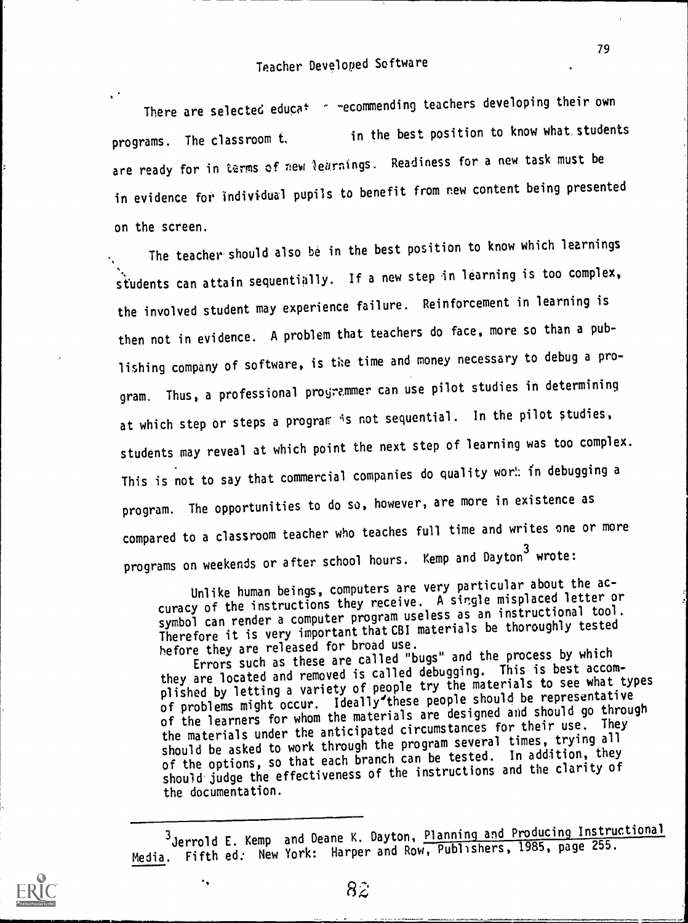$\ddot{\phantom{1}}$ There are selected educat  $\sim$  "ecommending teachers developing their own programs. The classroom t, in the best position to know what students are ready for in terms of new learnings. Readiness for a new task must be in evidence for individual pupils to benefit from new content being presented on the screen.

The teacher should also be in the best position to know which learnings students can attain sequentially. If a new step in learning is too complex, the involved student may experience failure. Reinforcement in learning is then not in evidence. A problem that teachers do face, more so than a publishing company of software, is the time and money necessary to debug a program. Thus, a professional programmer can use pilot studies in determining at which step or steps a program is not sequential. In the pilot studies, students may reveal at which point the next step of learning was too complex. This is not to say that commercial companies do quality wor!: in debugging a program. The opportunities to do so, however, are more in existence as compared to a classroom teacher who teaches full time and writes one or more programs on weekends or after school hours. Kemp and Dayton<sup>3</sup> wrote:

Unlike human beings, computers are very particular about the accuracy of the instructions they receive. A single misplaced letter or symbol can render a computer program useless as an instructional tool. Therefore it is very important that CBI materials be thoroughly tested<br>hefore they are released for broad use.

hefore they are released for broad use. Errors such as these are called "bugs" and the process by which they are located and removed is called debugging. This is best accomplished by letting a variety of people try the materials to see what types of problems might occur. Ideally'these people should be representative of the learners for whom the materials are designed and should go through the materials under the anticipated circumstances for their use. They should be asked to work through the program several times, trying all of the options, so that each branch can be tested. In addition, they should judge the effectiveness of the instructions and the clarity of the documentation.



۰,

<sup>3</sup>Jerrold E. Kemp and Deane K. Dayton, Planning and Producing Instructional Media. Fifth ed: New York: Harper and Row, Publishers, 1985, page 255.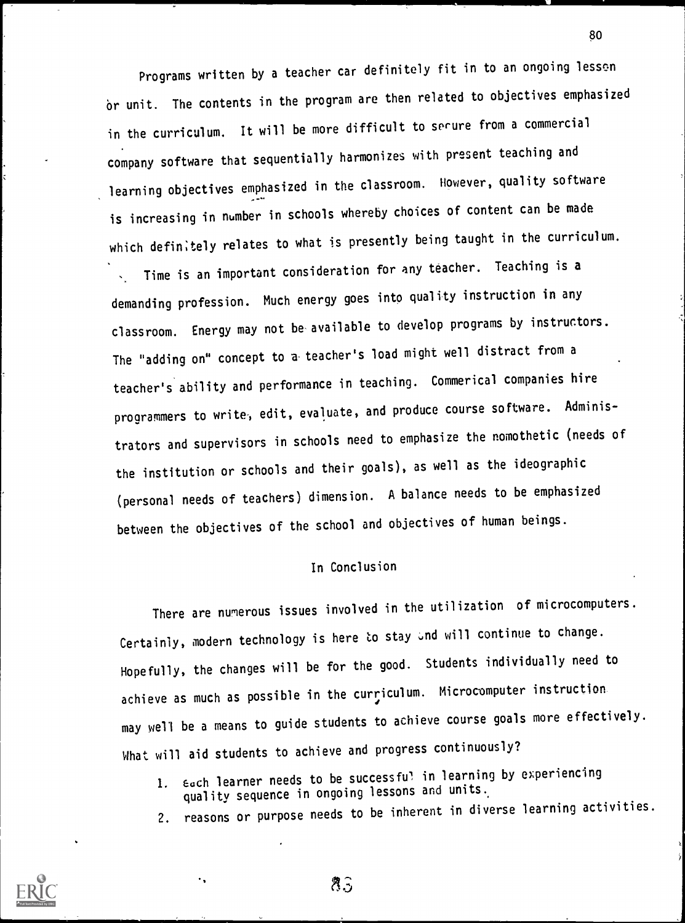Programs written by a teacher car definitely fit in to an ongoing lesson br unit. The contents in the program are then related to objectives emphasized in the curriculum. It will be more difficult to secure from a commercial company software that sequentially harmonizes with present teaching and learning objectives emphasized in the classroom. However, quality software is increasing in number in schools whereby choices of content can be made which definitely relates to what is presently being taught in the curriculum.

Time is an important consideration for any teacher. Teaching is a demanding profession. Much energy goes into quality instruction in any classroom. Energy may not be available to develop programs by instructors. The "adding on" concept to a-teacher's load might well distract from a teacher's ability and performance in teaching. Commerical companies hire programmers to write, edit, evaluate, and produce course software. Administrators and supervisors in schools need to emphasize the nomothetic (needs of the institution or schools and their goals), as well as the ideographic (personal needs of teachers) dimension. A balance needs to be emphasized between the objectives of the school and objectives of human beings.

### In Conclusion

There are numerous issues involved in the utilization of microcomputers. Certainly, modern technology is here to stay and will continue to change. Hopefully, the changes will be for the good. Students individually need to achieve as much as possible in the curriculum. Microcomputer instruction may well be a means to guide students to achieve course goals more effectively. What will aid students to achieve and progress continuously?

- 1. Each learner needs to be successful in learning by experiencing quality sequence in ongoing lessons and units.
- 2. reasons or purpose needs to be inherent in diverse learning activities.



80

 $8<sub>3</sub>$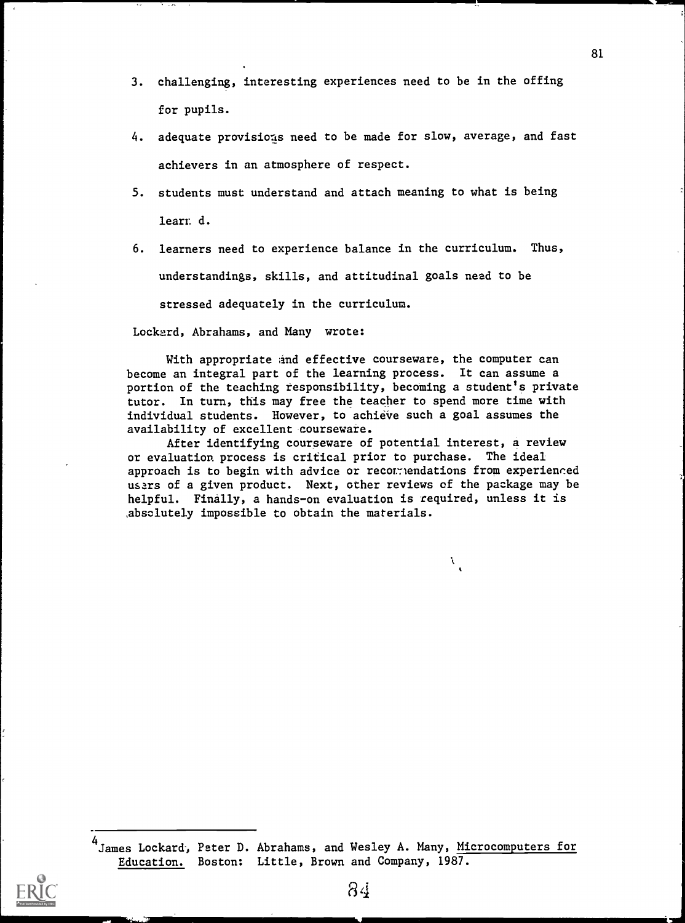- 3. challenging, interesting experiences need to be in the offing for pupils.
- 4. adequate provisions need to be made for slow, average, and fast achievers in an atmosphere of respect.
- 5. students must understand and attach meaning to what is being learr, d.
- 6. learners need to experience balance in the curriculum. Thus, understandings, skills, and attitudinal goals need to be stressed adequately in the curriculum.

Lockard, Abrahams, and Many wrote:

With appropriate and effective courseware, the computer can become an integral part of the learning process. It can assume a portion of the teaching responsibility, becoming a student's private tutor. In turn, this may free the teacher to spend more time with individual students. However, to achieve such a goal assumes the availability of excellent courseware.

After identifying courseware of potential interest, a review or evaluation process is critical prior to purchase. The ideal approach is to begin with advice or recornendations from experienced users of a given product. Next, other reviews of the package may be helpful. Finally, a hands-on evaluation is required, unless it is absolutely impossible to obtain the materials.

À.

<sup>4</sup> James Lockard, Peter D. Abrahams, and Wesley A. Many, Microcomputers for Education. Boston: Little, Brown and Company, 1987.

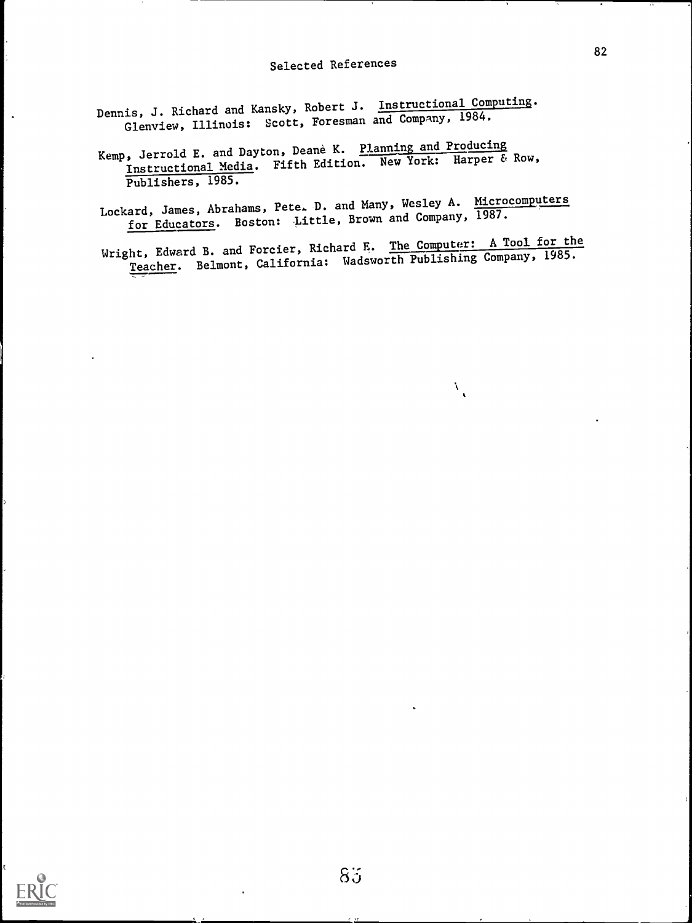Dennis, J. Richard and Kansky, Robert J. Instructional Computing. Glenview, Illinois: Scott, Foresman and Company, 1984.

Kemp, Jerrold E. and Dayton, Deane K. Planning and Producing Instructional Media. Fifth Edition. New York: Harper & Row, Publishers, 1985.

Lockard, James, Abrahams, Pete. D. and Many, Wesley A. Microcomputers for Educators. Boston: Little, Brown and Company, 1987.

Wright, Edward B. and Forcier, Richard E. The Computer: A Tool for the Teacher. Belmont, California: Wadsworth Publishing Company, 1985.

 $\lambda_{\rm{g}}$ 



 $\ddot{\phantom{a}}$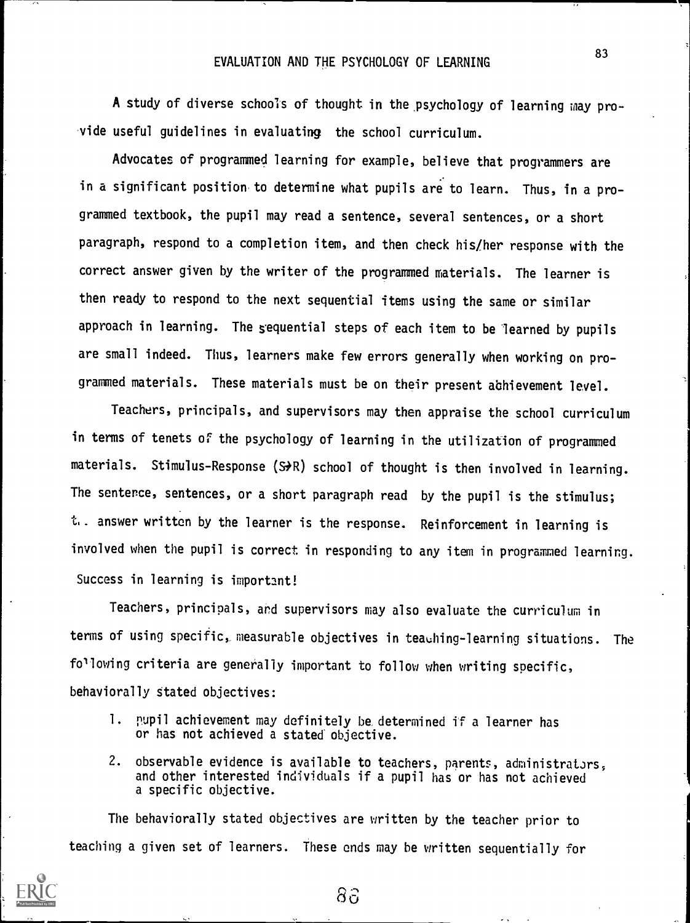#### EVALUATION AND THE PSYCHOLOGY OF LEARNING

A study of diverse schools of thought in the psychology of learning may provide useful guidelines in evaluating the school curriculum.

Advocates of programmed learning for example, believe that programmers are in a significant position to determine what pupils are to learn. Thus, in a programmed textbook, the pupil may read a sentence, several sentences, or a short paragraph, respond to a completion item, and then check his/her response with the correct answer given by the writer of the programmed materials. The learner is then ready to respond to the next sequential items using the same or similar approach in learning. The sequential steps of each item to be learned by pupils are small indeed. Thus, learners make few errors generally when working on programmed materials. These materials must be on their present abhievement level.

Teachers, principals, and supervisors may then appraise the school curriculum in terms of tenets of the psychology of learning in the utilization of programmed materials. Stimulus-Response (S $\bigstar$ R) school of thought is then involved in learning. The sentence, sentences, or a short paragraph read by the pupil is the stimulus; t.. answer written by the learner is the response. Reinforcement in learning is involved when the pupil is correct in responding to any item in programmed learning. Success in learning is important!

Teachers, principals, and supervisors may also evaluate the curriculum in terms of using specific, measurable objectives in teaching-learning situations. The following criteria are generally important to follow when writing specific, behaviorally stated objectives:

- 1. pupil achievement may definitely be, determined if a learner has or has not achieved a stated objective.
- 2. observable evidence is available to teachers, parents, administrators, and other interested individuals if a pupil has or has not achieved a specific objective.

The behaviorally stated objectives are written by the teacher prior to teaching a given set of learners. These ends may be written sequentially for



 $8\hat{c}$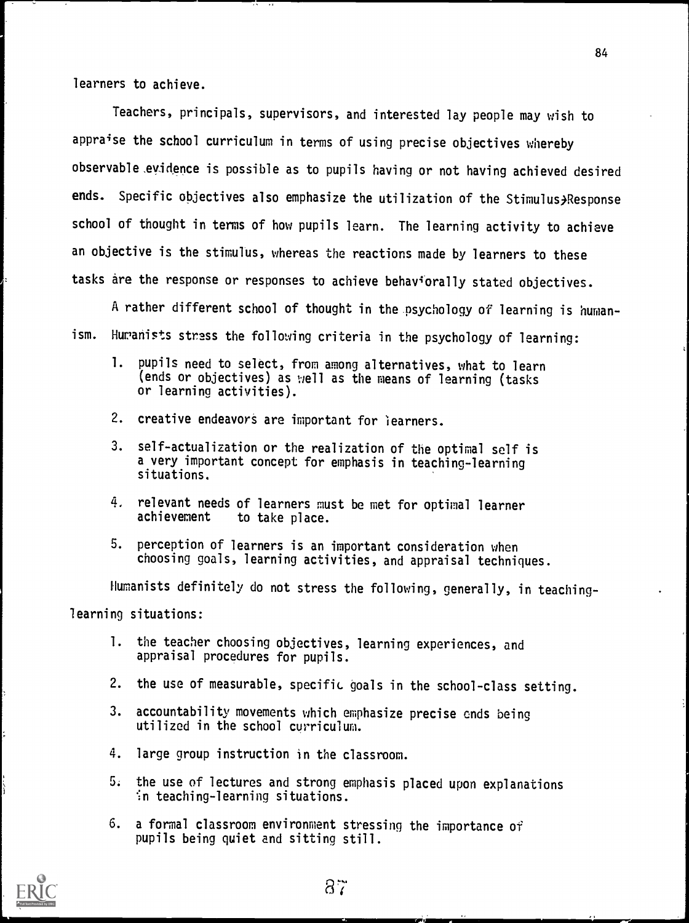learners to achieve.

Teachers, principals, supervisors, and interested lay people may wish to appraise the school curriculum in terms of using precise objectives whereby observable .evidence is possible as to pupils having or not having achieved desired ends. Specific objectives also emphasize the utilization of the Stimulus, Response school of thought in terms of how pupils learn. The learning activity to achieve an objective is the stimulus, whereas the reactions made by learners to these tasks are the response or responses to achieve behaviorally stated objectives.

A rather different school of thought in the psychology of learning is humanism. Huranists stress the following criteria in the psychology of learning:

- 1. pupils need to select, from among alternatives, what to learn (ends or objectives) as well as the means of learning (tasks or learning activities).
- 2. creative endeavors are important for learners.
- 3. self-actualization or the realization of the optimal self is a very important concept for emphasis in teaching-learning situations.
- $4.$  relevant needs of learners must be met for optimal learner achievement to take place. to take place.
- 5. perception of learners is an important consideration when choosing goals, learning activities, and appraisal techniques.

Humanists definitely do not stress the following, generally, in teachinglearning situations:

- 1. the teacher choosing objectives, learning experiences, and appraisal procedures for pupils.
- 2. the use of measurable, specific goals in the school-class setting.
- 3. accountability movements which emphasize precise ends being utilized in the school curriculum.
- 4. large group instruction in the classroom.
- 5. the use of lectures and strong emphasis placed upon explanations  $\cdot$ in teaching-learning situations.
- 6. a formal classroom environment stressing the importance of pupils being quiet and sitting still.

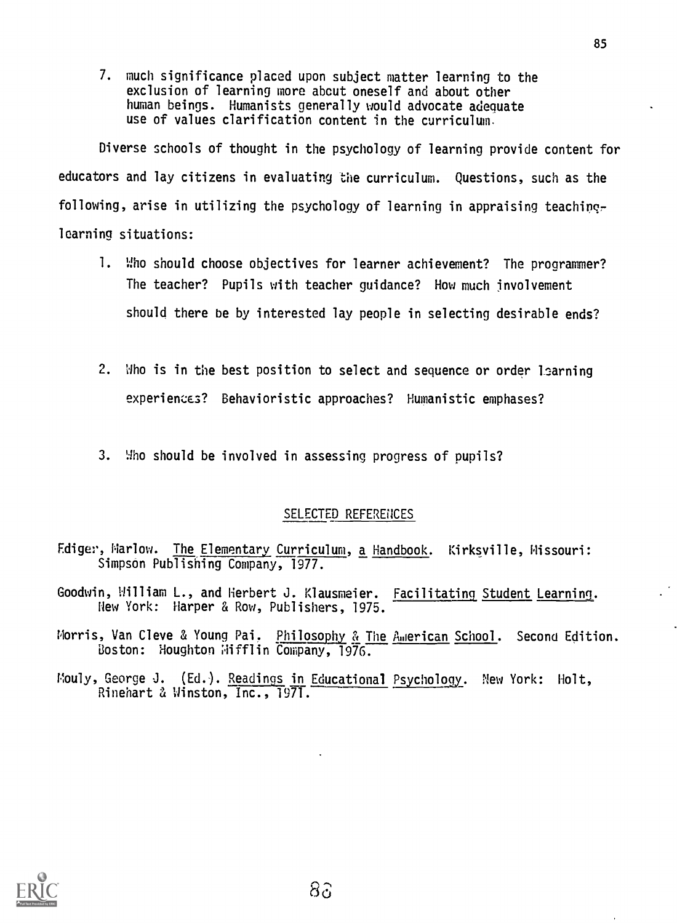7. much significance placed upon subject matter learning to the exclusion of learning more about oneself and about other human beings. Humanists generally would advocate adequate use of values clarification content in the curriculum.

Diverse schools of thought in the psychology of learning provide content for educators and lay citizens in evaluating the curriculum. Questions, such as the following, arise in utilizing the psychology of learning in appraising teachinglearning situations:

- 1. Who should choose objectives for learner achievement? The programmer? The teacher? Pupils with teacher guidance? How much involvement should there be by interested lay people in selecting desirable ends?
- 2. Who is in the best position to select and sequence or order learning experiences? Behavioristic approaches? Humanistic emphases?
- 3. Who should be involved in assessing progress of pupils?

## SELECTED REFERENCES

- Ediger, Marlow. The Elementary Curriculum, a Handbook. Kirksville, Missouri: Simpson Publishing Company, 1977.
- Goodwin, William L., and Herbert J. Klausmeier. Facilitating Student Learning. New York: Harper & Row, Publishers, 1975.
- Morris, Van Cleve & Young Pai. Philosophy & The American School. Second Edition. Boston: Houghton Mifflin Company, 1976.
- Mouly, George J. (Ed.). Readings in Educational Psychology. New York: Holt, Rinehart & Winston, Inc., 1971.

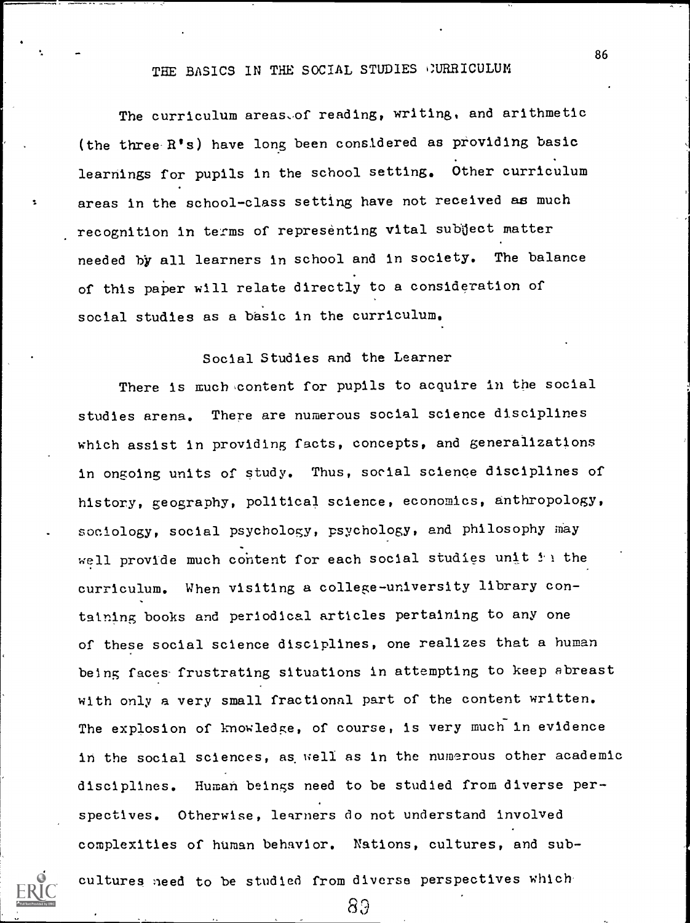# THE BASICS IN THE SOCIAL STUDIES CURRICULUM

The curriculum areas-of reading, writing, and arithmetic (the three A's) have long been considered as providing basic learnings for pupils in the school setting. Other curriculum areas in the school-class setting have not received as much recognition in terms of representing vital subject matter needed by all learners in school and in society. The balance of this paper will relate directly to a consideration of social studies as a basic in the curriculum.

## Social Studies and the Learner

There is much content for pupils to acquire in the social studies arena. There are numerous social science disciplines which assist in providing facts, concepts, and generalizations in ongoing units of study. Thus, social science disciplines of history, geography, political science, economics, anthropology, sociology, social psychology, psychology, and philosophy may well provide much content for each social studies unit  $f(x)$  the curriculum. When visiting a college-university library containing books and periodical articles pertaining to any one of these social science disciplines, one realizes that a human being faces- frustrating situations in attempting to keep abreast with only a very small fractional part of the content written. The explosion of knowledge, of course, is very much in evidence in the social sciences, as well as in the numerous other academic disciplines. Human beings need to be studied from diverse perspectives. Otherwise, learners do not understand involved complexities of human behavior. Nations, cultures, and sub-

cultures need to be studied from diverse perspectives which

89

86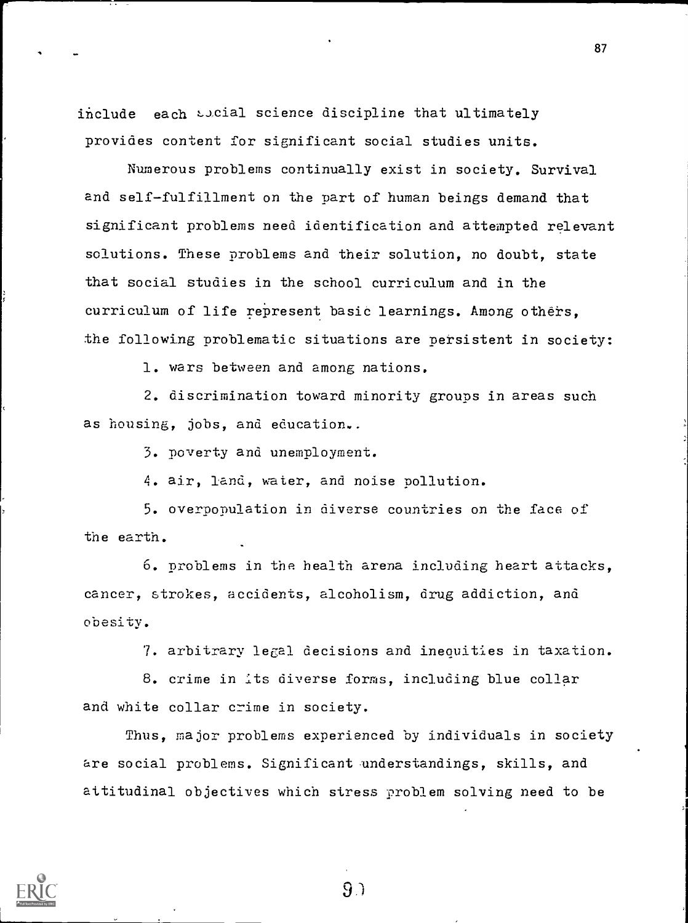include each social science discipline that ultimately provides content for significant social studies units.

Numerous problems continually exist in society. Survival and self-fulfillment on the part of human beings demand that significant problems need identification and attempted relevant solutions. These problems and their solution, no doubt, state that social studies in the school curriculum and in the curriculum of life represent basic learnings. Among others, the following problematic situations are persistent in society:

1. wars between and among nations.

2. discrimination toward minority groups in areas such as housing, jobs, and education..

3. poverty and unemployment.

4. air, land, water, and noise pollution.

5. overpopulation in diverse countries on the face of the earth.

6. problems in the health arena including heart attacks, cancer, strokes, accidents, alcoholism, drug addiction, and obesity.

7. arbitrary legal decisions and inequities in taxation.

8. crime in its diverse forms, including blue collar and white collar crime in society.

Thus, major problems experienced by individuals in society are social problems. Significant understandings, skills, and attitudinal objectives which stress problem solving need to be